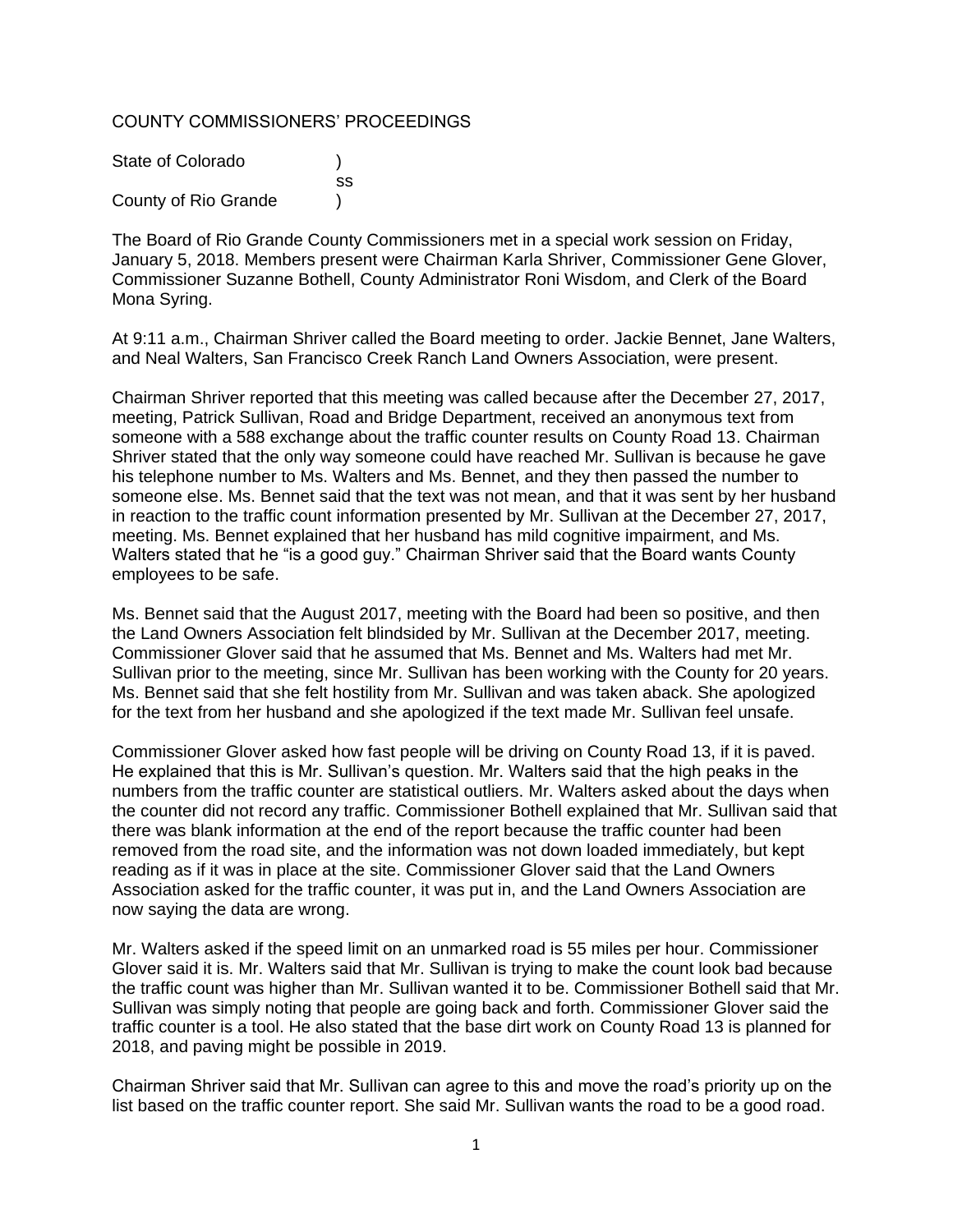# COUNTY COMMISSIONERS' PROCEEDINGS

| State of Colorado    |     |
|----------------------|-----|
|                      | SS. |
| County of Rio Grande |     |

The Board of Rio Grande County Commissioners met in a special work session on Friday, January 5, 2018. Members present were Chairman Karla Shriver, Commissioner Gene Glover, Commissioner Suzanne Bothell, County Administrator Roni Wisdom, and Clerk of the Board Mona Syring.

At 9:11 a.m., Chairman Shriver called the Board meeting to order. Jackie Bennet, Jane Walters, and Neal Walters, San Francisco Creek Ranch Land Owners Association, were present.

Chairman Shriver reported that this meeting was called because after the December 27, 2017, meeting, Patrick Sullivan, Road and Bridge Department, received an anonymous text from someone with a 588 exchange about the traffic counter results on County Road 13. Chairman Shriver stated that the only way someone could have reached Mr. Sullivan is because he gave his telephone number to Ms. Walters and Ms. Bennet, and they then passed the number to someone else. Ms. Bennet said that the text was not mean, and that it was sent by her husband in reaction to the traffic count information presented by Mr. Sullivan at the December 27, 2017, meeting. Ms. Bennet explained that her husband has mild cognitive impairment, and Ms. Walters stated that he "is a good guy." Chairman Shriver said that the Board wants County employees to be safe.

Ms. Bennet said that the August 2017, meeting with the Board had been so positive, and then the Land Owners Association felt blindsided by Mr. Sullivan at the December 2017, meeting. Commissioner Glover said that he assumed that Ms. Bennet and Ms. Walters had met Mr. Sullivan prior to the meeting, since Mr. Sullivan has been working with the County for 20 years. Ms. Bennet said that she felt hostility from Mr. Sullivan and was taken aback. She apologized for the text from her husband and she apologized if the text made Mr. Sullivan feel unsafe.

Commissioner Glover asked how fast people will be driving on County Road 13, if it is paved. He explained that this is Mr. Sullivan's question. Mr. Walters said that the high peaks in the numbers from the traffic counter are statistical outliers. Mr. Walters asked about the days when the counter did not record any traffic. Commissioner Bothell explained that Mr. Sullivan said that there was blank information at the end of the report because the traffic counter had been removed from the road site, and the information was not down loaded immediately, but kept reading as if it was in place at the site. Commissioner Glover said that the Land Owners Association asked for the traffic counter, it was put in, and the Land Owners Association are now saying the data are wrong.

Mr. Walters asked if the speed limit on an unmarked road is 55 miles per hour. Commissioner Glover said it is. Mr. Walters said that Mr. Sullivan is trying to make the count look bad because the traffic count was higher than Mr. Sullivan wanted it to be. Commissioner Bothell said that Mr. Sullivan was simply noting that people are going back and forth. Commissioner Glover said the traffic counter is a tool. He also stated that the base dirt work on County Road 13 is planned for 2018, and paving might be possible in 2019.

Chairman Shriver said that Mr. Sullivan can agree to this and move the road's priority up on the list based on the traffic counter report. She said Mr. Sullivan wants the road to be a good road.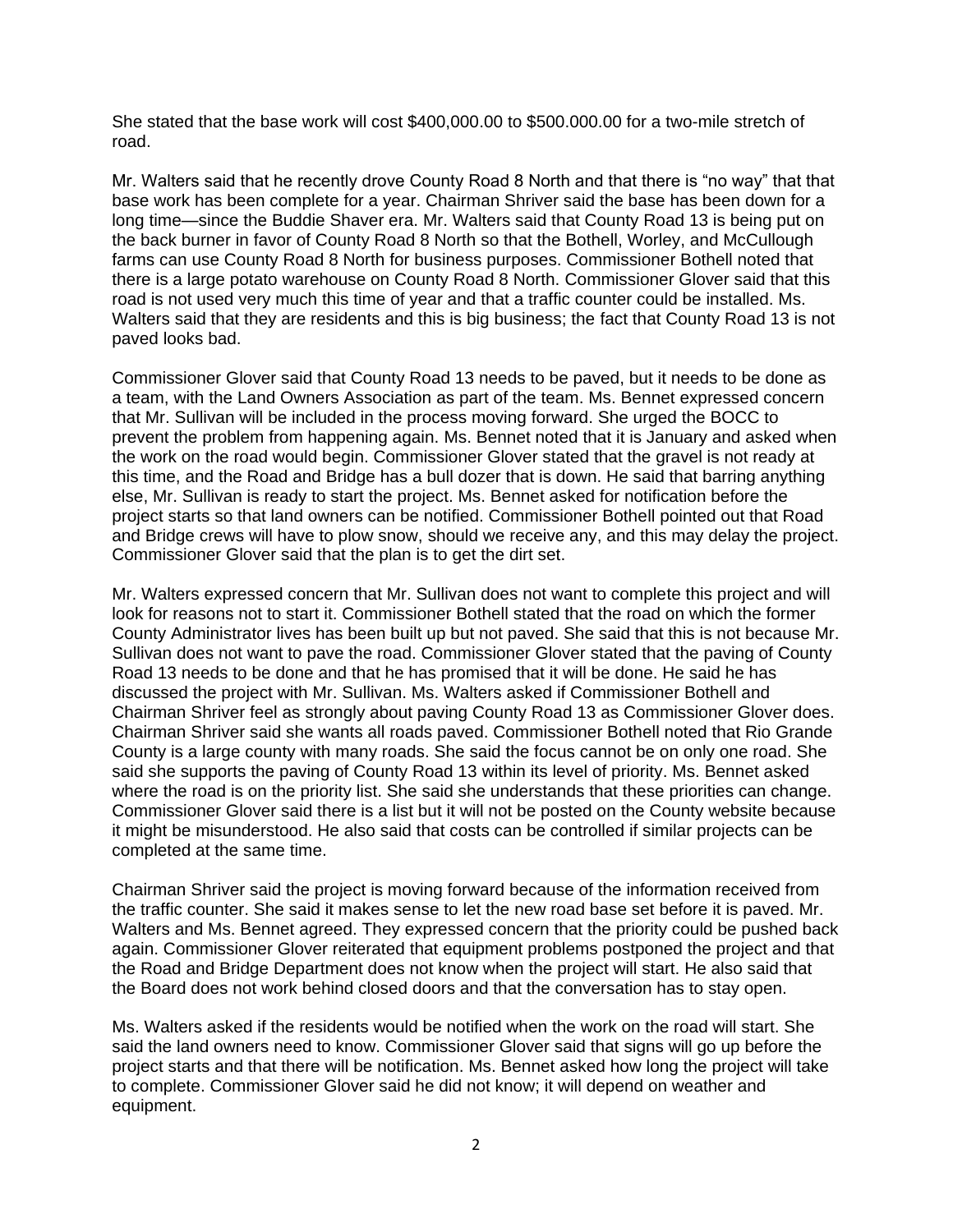She stated that the base work will cost \$400,000.00 to \$500.000.00 for a two-mile stretch of road.

Mr. Walters said that he recently drove County Road 8 North and that there is "no way" that that base work has been complete for a year. Chairman Shriver said the base has been down for a long time—since the Buddie Shaver era. Mr. Walters said that County Road 13 is being put on the back burner in favor of County Road 8 North so that the Bothell, Worley, and McCullough farms can use County Road 8 North for business purposes. Commissioner Bothell noted that there is a large potato warehouse on County Road 8 North. Commissioner Glover said that this road is not used very much this time of year and that a traffic counter could be installed. Ms. Walters said that they are residents and this is big business; the fact that County Road 13 is not paved looks bad.

Commissioner Glover said that County Road 13 needs to be paved, but it needs to be done as a team, with the Land Owners Association as part of the team. Ms. Bennet expressed concern that Mr. Sullivan will be included in the process moving forward. She urged the BOCC to prevent the problem from happening again. Ms. Bennet noted that it is January and asked when the work on the road would begin. Commissioner Glover stated that the gravel is not ready at this time, and the Road and Bridge has a bull dozer that is down. He said that barring anything else, Mr. Sullivan is ready to start the project. Ms. Bennet asked for notification before the project starts so that land owners can be notified. Commissioner Bothell pointed out that Road and Bridge crews will have to plow snow, should we receive any, and this may delay the project. Commissioner Glover said that the plan is to get the dirt set.

Mr. Walters expressed concern that Mr. Sullivan does not want to complete this project and will look for reasons not to start it. Commissioner Bothell stated that the road on which the former County Administrator lives has been built up but not paved. She said that this is not because Mr. Sullivan does not want to pave the road. Commissioner Glover stated that the paving of County Road 13 needs to be done and that he has promised that it will be done. He said he has discussed the project with Mr. Sullivan. Ms. Walters asked if Commissioner Bothell and Chairman Shriver feel as strongly about paving County Road 13 as Commissioner Glover does. Chairman Shriver said she wants all roads paved. Commissioner Bothell noted that Rio Grande County is a large county with many roads. She said the focus cannot be on only one road. She said she supports the paving of County Road 13 within its level of priority. Ms. Bennet asked where the road is on the priority list. She said she understands that these priorities can change. Commissioner Glover said there is a list but it will not be posted on the County website because it might be misunderstood. He also said that costs can be controlled if similar projects can be completed at the same time.

Chairman Shriver said the project is moving forward because of the information received from the traffic counter. She said it makes sense to let the new road base set before it is paved. Mr. Walters and Ms. Bennet agreed. They expressed concern that the priority could be pushed back again. Commissioner Glover reiterated that equipment problems postponed the project and that the Road and Bridge Department does not know when the project will start. He also said that the Board does not work behind closed doors and that the conversation has to stay open.

Ms. Walters asked if the residents would be notified when the work on the road will start. She said the land owners need to know. Commissioner Glover said that signs will go up before the project starts and that there will be notification. Ms. Bennet asked how long the project will take to complete. Commissioner Glover said he did not know; it will depend on weather and equipment.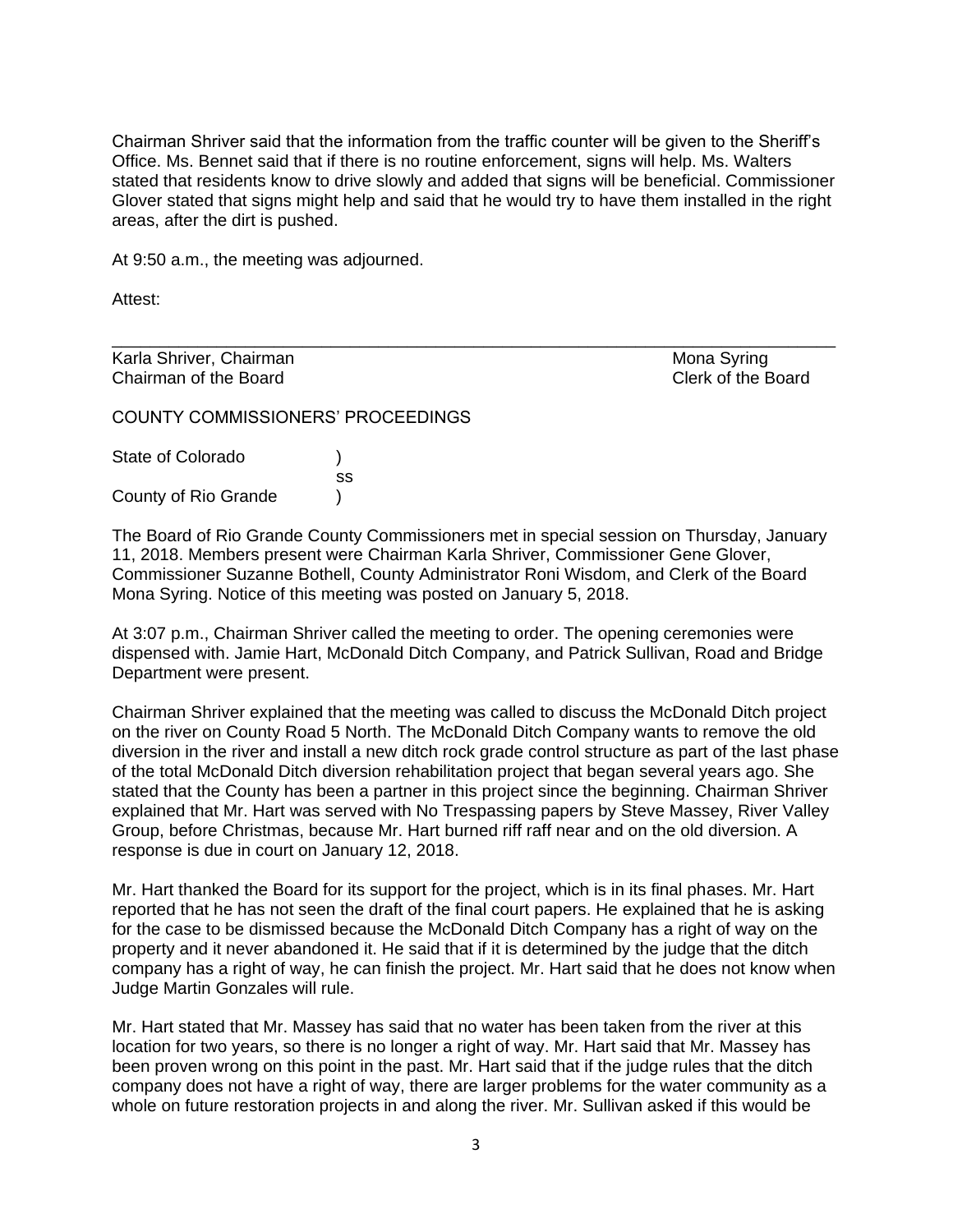Chairman Shriver said that the information from the traffic counter will be given to the Sheriff's Office. Ms. Bennet said that if there is no routine enforcement, signs will help. Ms. Walters stated that residents know to drive slowly and added that signs will be beneficial. Commissioner Glover stated that signs might help and said that he would try to have them installed in the right areas, after the dirt is pushed.

\_\_\_\_\_\_\_\_\_\_\_\_\_\_\_\_\_\_\_\_\_\_\_\_\_\_\_\_\_\_\_\_\_\_\_\_\_\_\_\_\_\_\_\_\_\_\_\_\_\_\_\_\_\_\_\_\_\_\_\_\_\_\_\_\_\_\_\_\_\_\_\_\_\_\_\_

At 9:50 a.m., the meeting was adjourned.

Attest:

Karla Shriver, Chairman Mona Syring Mona Syring Mona Syring Chairman of the Board Clerk of the Board

COUNTY COMMISSIONERS' PROCEEDINGS

| State of Colorado    |    |
|----------------------|----|
|                      | SS |
| County of Rio Grande |    |

The Board of Rio Grande County Commissioners met in special session on Thursday, January 11, 2018. Members present were Chairman Karla Shriver, Commissioner Gene Glover, Commissioner Suzanne Bothell, County Administrator Roni Wisdom, and Clerk of the Board Mona Syring. Notice of this meeting was posted on January 5, 2018.

At 3:07 p.m., Chairman Shriver called the meeting to order. The opening ceremonies were dispensed with. Jamie Hart, McDonald Ditch Company, and Patrick Sullivan, Road and Bridge Department were present.

Chairman Shriver explained that the meeting was called to discuss the McDonald Ditch project on the river on County Road 5 North. The McDonald Ditch Company wants to remove the old diversion in the river and install a new ditch rock grade control structure as part of the last phase of the total McDonald Ditch diversion rehabilitation project that began several years ago. She stated that the County has been a partner in this project since the beginning. Chairman Shriver explained that Mr. Hart was served with No Trespassing papers by Steve Massey, River Valley Group, before Christmas, because Mr. Hart burned riff raff near and on the old diversion. A response is due in court on January 12, 2018.

Mr. Hart thanked the Board for its support for the project, which is in its final phases. Mr. Hart reported that he has not seen the draft of the final court papers. He explained that he is asking for the case to be dismissed because the McDonald Ditch Company has a right of way on the property and it never abandoned it. He said that if it is determined by the judge that the ditch company has a right of way, he can finish the project. Mr. Hart said that he does not know when Judge Martin Gonzales will rule.

Mr. Hart stated that Mr. Massey has said that no water has been taken from the river at this location for two years, so there is no longer a right of way. Mr. Hart said that Mr. Massey has been proven wrong on this point in the past. Mr. Hart said that if the judge rules that the ditch company does not have a right of way, there are larger problems for the water community as a whole on future restoration projects in and along the river. Mr. Sullivan asked if this would be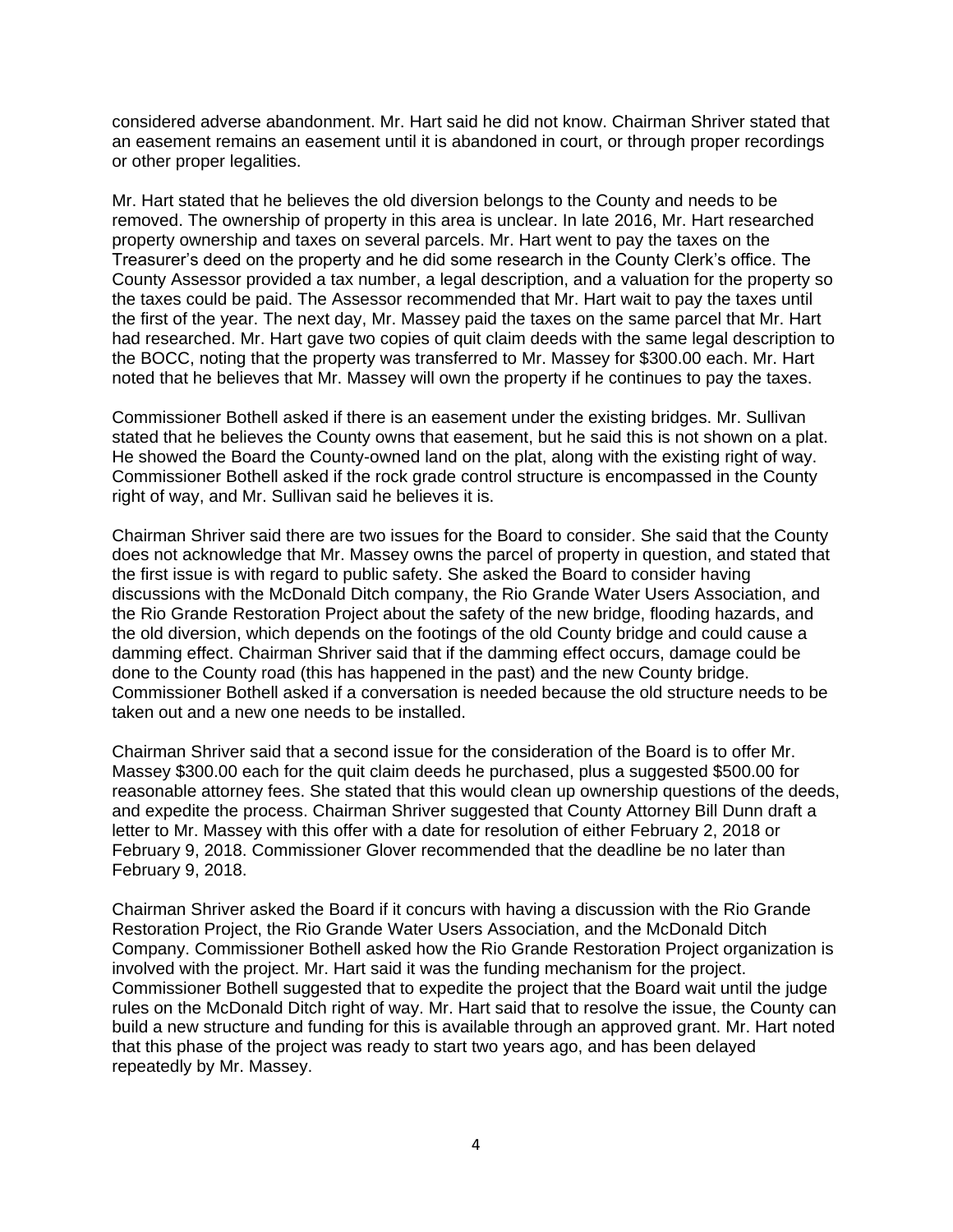considered adverse abandonment. Mr. Hart said he did not know. Chairman Shriver stated that an easement remains an easement until it is abandoned in court, or through proper recordings or other proper legalities.

Mr. Hart stated that he believes the old diversion belongs to the County and needs to be removed. The ownership of property in this area is unclear. In late 2016, Mr. Hart researched property ownership and taxes on several parcels. Mr. Hart went to pay the taxes on the Treasurer's deed on the property and he did some research in the County Clerk's office. The County Assessor provided a tax number, a legal description, and a valuation for the property so the taxes could be paid. The Assessor recommended that Mr. Hart wait to pay the taxes until the first of the year. The next day, Mr. Massey paid the taxes on the same parcel that Mr. Hart had researched. Mr. Hart gave two copies of quit claim deeds with the same legal description to the BOCC, noting that the property was transferred to Mr. Massey for \$300.00 each. Mr. Hart noted that he believes that Mr. Massey will own the property if he continues to pay the taxes.

Commissioner Bothell asked if there is an easement under the existing bridges. Mr. Sullivan stated that he believes the County owns that easement, but he said this is not shown on a plat. He showed the Board the County-owned land on the plat, along with the existing right of way. Commissioner Bothell asked if the rock grade control structure is encompassed in the County right of way, and Mr. Sullivan said he believes it is.

Chairman Shriver said there are two issues for the Board to consider. She said that the County does not acknowledge that Mr. Massey owns the parcel of property in question, and stated that the first issue is with regard to public safety. She asked the Board to consider having discussions with the McDonald Ditch company, the Rio Grande Water Users Association, and the Rio Grande Restoration Project about the safety of the new bridge, flooding hazards, and the old diversion, which depends on the footings of the old County bridge and could cause a damming effect. Chairman Shriver said that if the damming effect occurs, damage could be done to the County road (this has happened in the past) and the new County bridge. Commissioner Bothell asked if a conversation is needed because the old structure needs to be taken out and a new one needs to be installed.

Chairman Shriver said that a second issue for the consideration of the Board is to offer Mr. Massey \$300.00 each for the quit claim deeds he purchased, plus a suggested \$500.00 for reasonable attorney fees. She stated that this would clean up ownership questions of the deeds, and expedite the process. Chairman Shriver suggested that County Attorney Bill Dunn draft a letter to Mr. Massey with this offer with a date for resolution of either February 2, 2018 or February 9, 2018. Commissioner Glover recommended that the deadline be no later than February 9, 2018.

Chairman Shriver asked the Board if it concurs with having a discussion with the Rio Grande Restoration Project, the Rio Grande Water Users Association, and the McDonald Ditch Company. Commissioner Bothell asked how the Rio Grande Restoration Project organization is involved with the project. Mr. Hart said it was the funding mechanism for the project. Commissioner Bothell suggested that to expedite the project that the Board wait until the judge rules on the McDonald Ditch right of way. Mr. Hart said that to resolve the issue, the County can build a new structure and funding for this is available through an approved grant. Mr. Hart noted that this phase of the project was ready to start two years ago, and has been delayed repeatedly by Mr. Massey.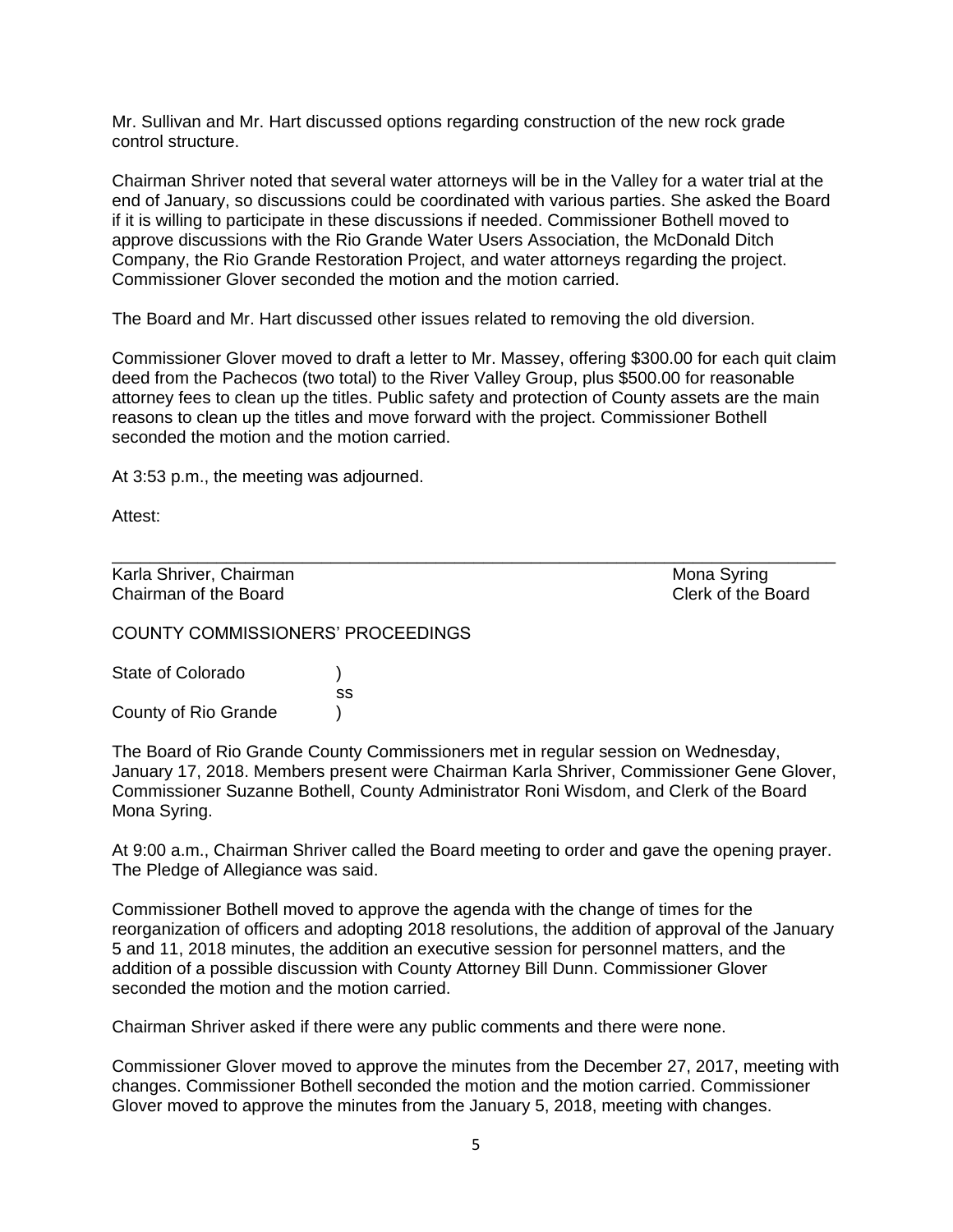Mr. Sullivan and Mr. Hart discussed options regarding construction of the new rock grade control structure.

Chairman Shriver noted that several water attorneys will be in the Valley for a water trial at the end of January, so discussions could be coordinated with various parties. She asked the Board if it is willing to participate in these discussions if needed. Commissioner Bothell moved to approve discussions with the Rio Grande Water Users Association, the McDonald Ditch Company, the Rio Grande Restoration Project, and water attorneys regarding the project. Commissioner Glover seconded the motion and the motion carried.

The Board and Mr. Hart discussed other issues related to removing the old diversion.

Commissioner Glover moved to draft a letter to Mr. Massey, offering \$300.00 for each quit claim deed from the Pachecos (two total) to the River Valley Group, plus \$500.00 for reasonable attorney fees to clean up the titles. Public safety and protection of County assets are the main reasons to clean up the titles and move forward with the project. Commissioner Bothell seconded the motion and the motion carried.

\_\_\_\_\_\_\_\_\_\_\_\_\_\_\_\_\_\_\_\_\_\_\_\_\_\_\_\_\_\_\_\_\_\_\_\_\_\_\_\_\_\_\_\_\_\_\_\_\_\_\_\_\_\_\_\_\_\_\_\_\_\_\_\_\_\_\_\_\_\_\_\_\_\_\_\_

At 3:53 p.m., the meeting was adjourned.

Attest:

Karla Shriver, Chairman Mona Syring and Chairman Mona Syring Mona Syring Chairman of the Board Clerk of the Board

COUNTY COMMISSIONERS' PROCEEDINGS

| State of Colorado    |    |
|----------------------|----|
|                      | SS |
| County of Rio Grande |    |

The Board of Rio Grande County Commissioners met in regular session on Wednesday, January 17, 2018. Members present were Chairman Karla Shriver, Commissioner Gene Glover, Commissioner Suzanne Bothell, County Administrator Roni Wisdom, and Clerk of the Board Mona Syring.

At 9:00 a.m., Chairman Shriver called the Board meeting to order and gave the opening prayer. The Pledge of Allegiance was said.

Commissioner Bothell moved to approve the agenda with the change of times for the reorganization of officers and adopting 2018 resolutions, the addition of approval of the January 5 and 11, 2018 minutes, the addition an executive session for personnel matters, and the addition of a possible discussion with County Attorney Bill Dunn. Commissioner Glover seconded the motion and the motion carried.

Chairman Shriver asked if there were any public comments and there were none.

Commissioner Glover moved to approve the minutes from the December 27, 2017, meeting with changes. Commissioner Bothell seconded the motion and the motion carried. Commissioner Glover moved to approve the minutes from the January 5, 2018, meeting with changes.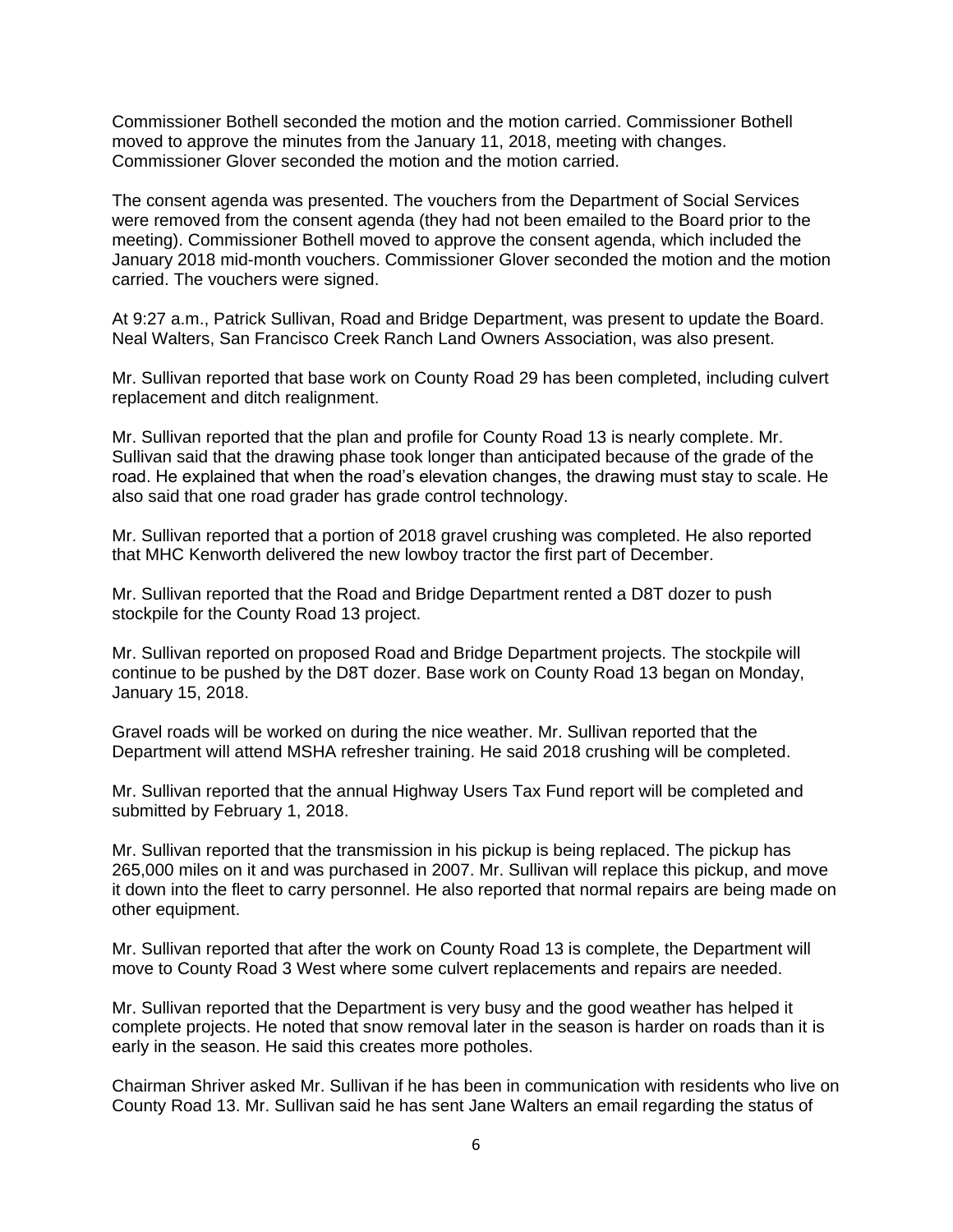Commissioner Bothell seconded the motion and the motion carried. Commissioner Bothell moved to approve the minutes from the January 11, 2018, meeting with changes. Commissioner Glover seconded the motion and the motion carried.

The consent agenda was presented. The vouchers from the Department of Social Services were removed from the consent agenda (they had not been emailed to the Board prior to the meeting). Commissioner Bothell moved to approve the consent agenda, which included the January 2018 mid-month vouchers. Commissioner Glover seconded the motion and the motion carried. The vouchers were signed.

At 9:27 a.m., Patrick Sullivan, Road and Bridge Department, was present to update the Board. Neal Walters, San Francisco Creek Ranch Land Owners Association, was also present.

Mr. Sullivan reported that base work on County Road 29 has been completed, including culvert replacement and ditch realignment.

Mr. Sullivan reported that the plan and profile for County Road 13 is nearly complete. Mr. Sullivan said that the drawing phase took longer than anticipated because of the grade of the road. He explained that when the road's elevation changes, the drawing must stay to scale. He also said that one road grader has grade control technology.

Mr. Sullivan reported that a portion of 2018 gravel crushing was completed. He also reported that MHC Kenworth delivered the new lowboy tractor the first part of December.

Mr. Sullivan reported that the Road and Bridge Department rented a D8T dozer to push stockpile for the County Road 13 project.

Mr. Sullivan reported on proposed Road and Bridge Department projects. The stockpile will continue to be pushed by the D8T dozer. Base work on County Road 13 began on Monday, January 15, 2018.

Gravel roads will be worked on during the nice weather. Mr. Sullivan reported that the Department will attend MSHA refresher training. He said 2018 crushing will be completed.

Mr. Sullivan reported that the annual Highway Users Tax Fund report will be completed and submitted by February 1, 2018.

Mr. Sullivan reported that the transmission in his pickup is being replaced. The pickup has 265,000 miles on it and was purchased in 2007. Mr. Sullivan will replace this pickup, and move it down into the fleet to carry personnel. He also reported that normal repairs are being made on other equipment.

Mr. Sullivan reported that after the work on County Road 13 is complete, the Department will move to County Road 3 West where some culvert replacements and repairs are needed.

Mr. Sullivan reported that the Department is very busy and the good weather has helped it complete projects. He noted that snow removal later in the season is harder on roads than it is early in the season. He said this creates more potholes.

Chairman Shriver asked Mr. Sullivan if he has been in communication with residents who live on County Road 13. Mr. Sullivan said he has sent Jane Walters an email regarding the status of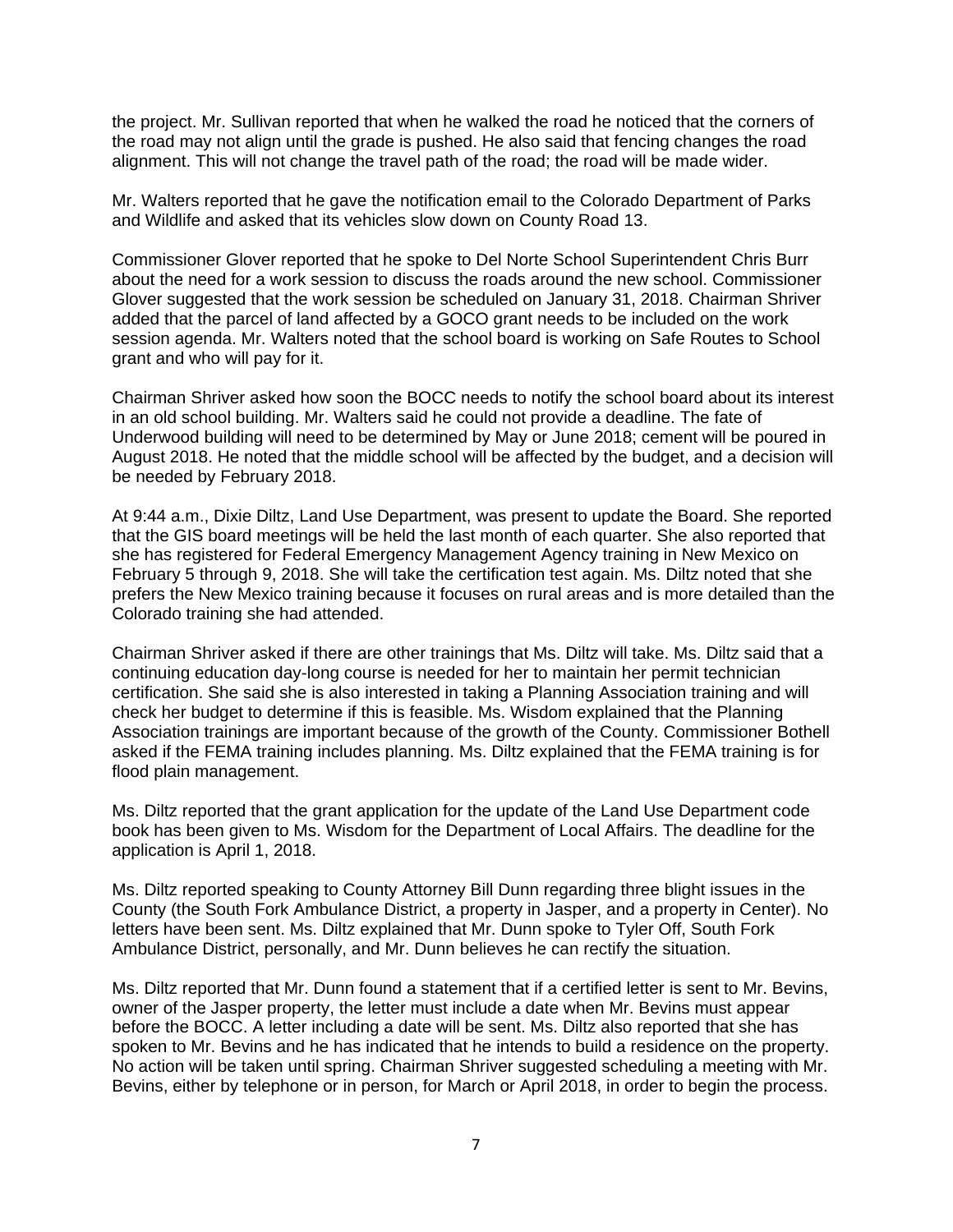the project. Mr. Sullivan reported that when he walked the road he noticed that the corners of the road may not align until the grade is pushed. He also said that fencing changes the road alignment. This will not change the travel path of the road; the road will be made wider.

Mr. Walters reported that he gave the notification email to the Colorado Department of Parks and Wildlife and asked that its vehicles slow down on County Road 13.

Commissioner Glover reported that he spoke to Del Norte School Superintendent Chris Burr about the need for a work session to discuss the roads around the new school. Commissioner Glover suggested that the work session be scheduled on January 31, 2018. Chairman Shriver added that the parcel of land affected by a GOCO grant needs to be included on the work session agenda. Mr. Walters noted that the school board is working on Safe Routes to School grant and who will pay for it.

Chairman Shriver asked how soon the BOCC needs to notify the school board about its interest in an old school building. Mr. Walters said he could not provide a deadline. The fate of Underwood building will need to be determined by May or June 2018; cement will be poured in August 2018. He noted that the middle school will be affected by the budget, and a decision will be needed by February 2018.

At 9:44 a.m., Dixie Diltz, Land Use Department, was present to update the Board. She reported that the GIS board meetings will be held the last month of each quarter. She also reported that she has registered for Federal Emergency Management Agency training in New Mexico on February 5 through 9, 2018. She will take the certification test again. Ms. Diltz noted that she prefers the New Mexico training because it focuses on rural areas and is more detailed than the Colorado training she had attended.

Chairman Shriver asked if there are other trainings that Ms. Diltz will take. Ms. Diltz said that a continuing education day-long course is needed for her to maintain her permit technician certification. She said she is also interested in taking a Planning Association training and will check her budget to determine if this is feasible. Ms. Wisdom explained that the Planning Association trainings are important because of the growth of the County. Commissioner Bothell asked if the FEMA training includes planning. Ms. Diltz explained that the FEMA training is for flood plain management.

Ms. Diltz reported that the grant application for the update of the Land Use Department code book has been given to Ms. Wisdom for the Department of Local Affairs. The deadline for the application is April 1, 2018.

Ms. Diltz reported speaking to County Attorney Bill Dunn regarding three blight issues in the County (the South Fork Ambulance District, a property in Jasper, and a property in Center). No letters have been sent. Ms. Diltz explained that Mr. Dunn spoke to Tyler Off, South Fork Ambulance District, personally, and Mr. Dunn believes he can rectify the situation.

Ms. Diltz reported that Mr. Dunn found a statement that if a certified letter is sent to Mr. Bevins, owner of the Jasper property, the letter must include a date when Mr. Bevins must appear before the BOCC. A letter including a date will be sent. Ms. Diltz also reported that she has spoken to Mr. Bevins and he has indicated that he intends to build a residence on the property. No action will be taken until spring. Chairman Shriver suggested scheduling a meeting with Mr. Bevins, either by telephone or in person, for March or April 2018, in order to begin the process.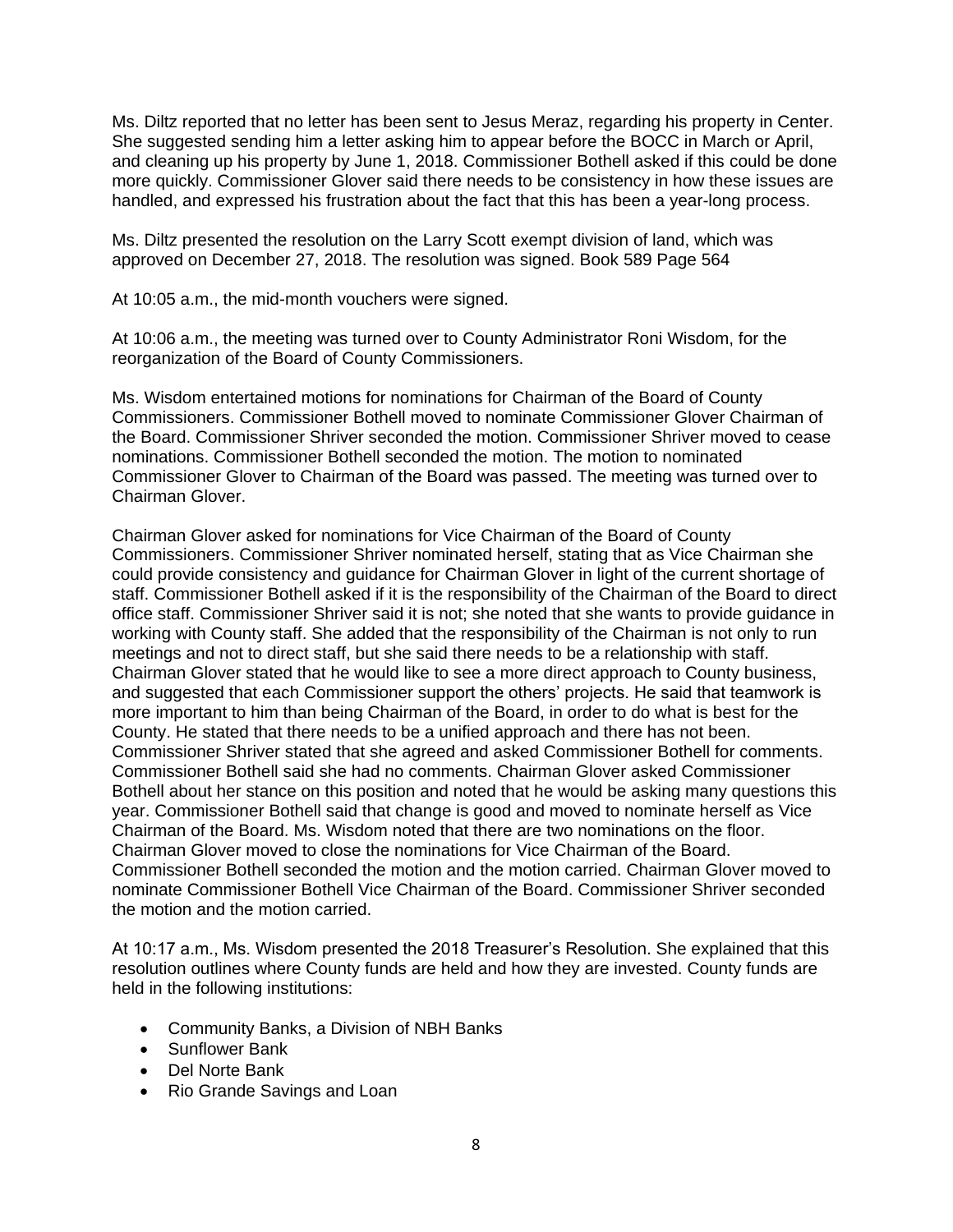Ms. Diltz reported that no letter has been sent to Jesus Meraz, regarding his property in Center. She suggested sending him a letter asking him to appear before the BOCC in March or April, and cleaning up his property by June 1, 2018. Commissioner Bothell asked if this could be done more quickly. Commissioner Glover said there needs to be consistency in how these issues are handled, and expressed his frustration about the fact that this has been a year-long process.

Ms. Diltz presented the resolution on the Larry Scott exempt division of land, which was approved on December 27, 2018. The resolution was signed. Book 589 Page 564

At 10:05 a.m., the mid-month vouchers were signed.

At 10:06 a.m., the meeting was turned over to County Administrator Roni Wisdom, for the reorganization of the Board of County Commissioners.

Ms. Wisdom entertained motions for nominations for Chairman of the Board of County Commissioners. Commissioner Bothell moved to nominate Commissioner Glover Chairman of the Board. Commissioner Shriver seconded the motion. Commissioner Shriver moved to cease nominations. Commissioner Bothell seconded the motion. The motion to nominated Commissioner Glover to Chairman of the Board was passed. The meeting was turned over to Chairman Glover.

Chairman Glover asked for nominations for Vice Chairman of the Board of County Commissioners. Commissioner Shriver nominated herself, stating that as Vice Chairman she could provide consistency and guidance for Chairman Glover in light of the current shortage of staff. Commissioner Bothell asked if it is the responsibility of the Chairman of the Board to direct office staff. Commissioner Shriver said it is not; she noted that she wants to provide guidance in working with County staff. She added that the responsibility of the Chairman is not only to run meetings and not to direct staff, but she said there needs to be a relationship with staff. Chairman Glover stated that he would like to see a more direct approach to County business, and suggested that each Commissioner support the others' projects. He said that teamwork is more important to him than being Chairman of the Board, in order to do what is best for the County. He stated that there needs to be a unified approach and there has not been. Commissioner Shriver stated that she agreed and asked Commissioner Bothell for comments. Commissioner Bothell said she had no comments. Chairman Glover asked Commissioner Bothell about her stance on this position and noted that he would be asking many questions this year. Commissioner Bothell said that change is good and moved to nominate herself as Vice Chairman of the Board. Ms. Wisdom noted that there are two nominations on the floor. Chairman Glover moved to close the nominations for Vice Chairman of the Board. Commissioner Bothell seconded the motion and the motion carried. Chairman Glover moved to nominate Commissioner Bothell Vice Chairman of the Board. Commissioner Shriver seconded the motion and the motion carried.

At 10:17 a.m., Ms. Wisdom presented the 2018 Treasurer's Resolution. She explained that this resolution outlines where County funds are held and how they are invested. County funds are held in the following institutions:

- Community Banks, a Division of NBH Banks
- Sunflower Bank
- Del Norte Bank
- Rio Grande Savings and Loan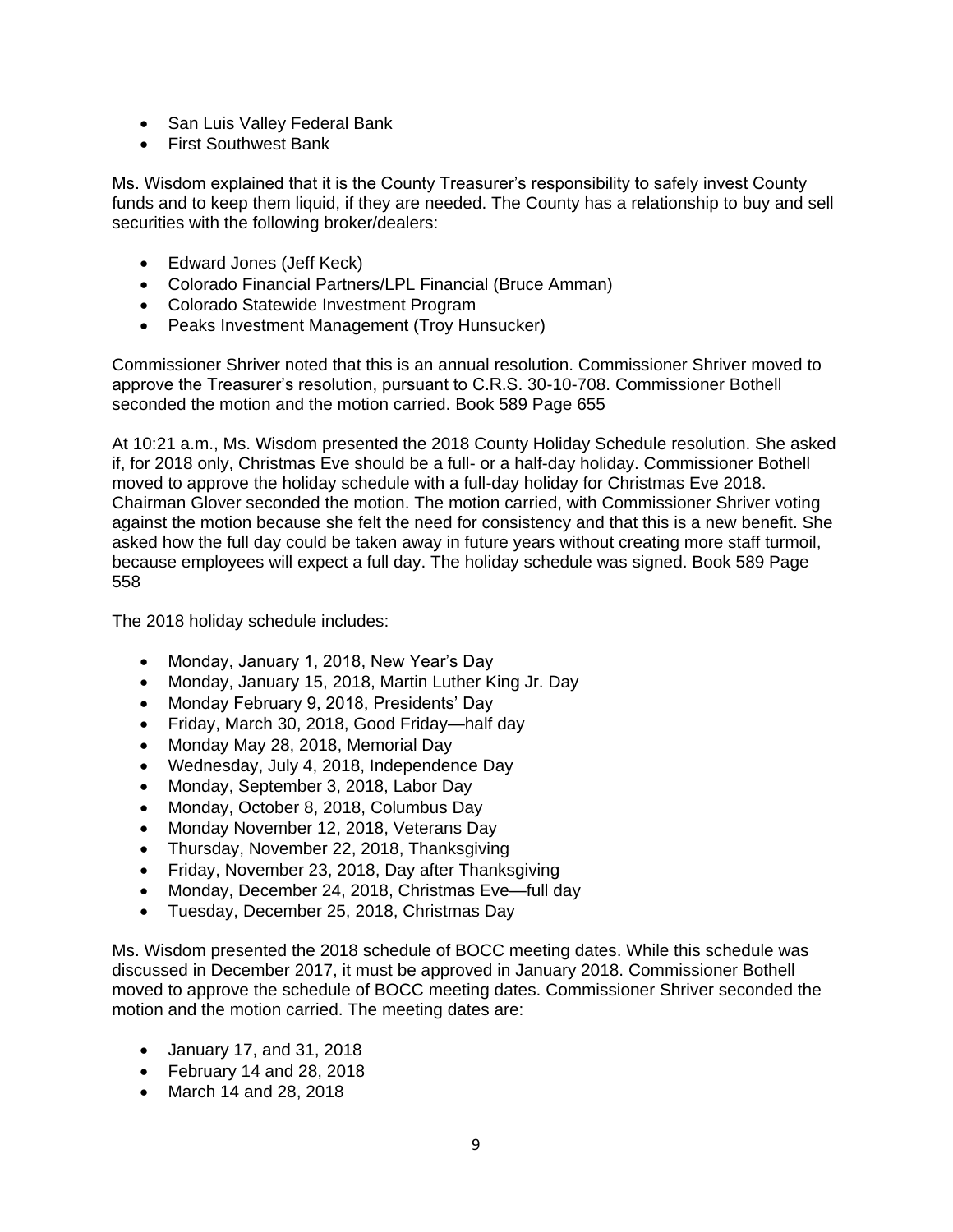- San Luis Valley Federal Bank
- First Southwest Bank

Ms. Wisdom explained that it is the County Treasurer's responsibility to safely invest County funds and to keep them liquid, if they are needed. The County has a relationship to buy and sell securities with the following broker/dealers:

- Edward Jones (Jeff Keck)
- Colorado Financial Partners/LPL Financial (Bruce Amman)
- Colorado Statewide Investment Program
- Peaks Investment Management (Troy Hunsucker)

Commissioner Shriver noted that this is an annual resolution. Commissioner Shriver moved to approve the Treasurer's resolution, pursuant to C.R.S. 30-10-708. Commissioner Bothell seconded the motion and the motion carried. Book 589 Page 655

At 10:21 a.m., Ms. Wisdom presented the 2018 County Holiday Schedule resolution. She asked if, for 2018 only, Christmas Eve should be a full- or a half-day holiday. Commissioner Bothell moved to approve the holiday schedule with a full-day holiday for Christmas Eve 2018. Chairman Glover seconded the motion. The motion carried, with Commissioner Shriver voting against the motion because she felt the need for consistency and that this is a new benefit. She asked how the full day could be taken away in future years without creating more staff turmoil, because employees will expect a full day. The holiday schedule was signed. Book 589 Page 558

The 2018 holiday schedule includes:

- Monday, January 1, 2018, New Year's Day
- Monday, January 15, 2018, Martin Luther King Jr. Day
- Monday February 9, 2018, Presidents' Day
- Friday, March 30, 2018, Good Friday—half day
- Monday May 28, 2018, Memorial Day
- Wednesday, July 4, 2018, Independence Day
- Monday, September 3, 2018, Labor Day
- Monday, October 8, 2018, Columbus Day
- Monday November 12, 2018, Veterans Day
- Thursday, November 22, 2018, Thanksgiving
- Friday, November 23, 2018, Day after Thanksgiving
- Monday, December 24, 2018, Christmas Eve—full day
- Tuesday, December 25, 2018, Christmas Day

Ms. Wisdom presented the 2018 schedule of BOCC meeting dates. While this schedule was discussed in December 2017, it must be approved in January 2018. Commissioner Bothell moved to approve the schedule of BOCC meeting dates. Commissioner Shriver seconded the motion and the motion carried. The meeting dates are:

- January 17, and 31, 2018
- February 14 and 28, 2018
- March 14 and 28, 2018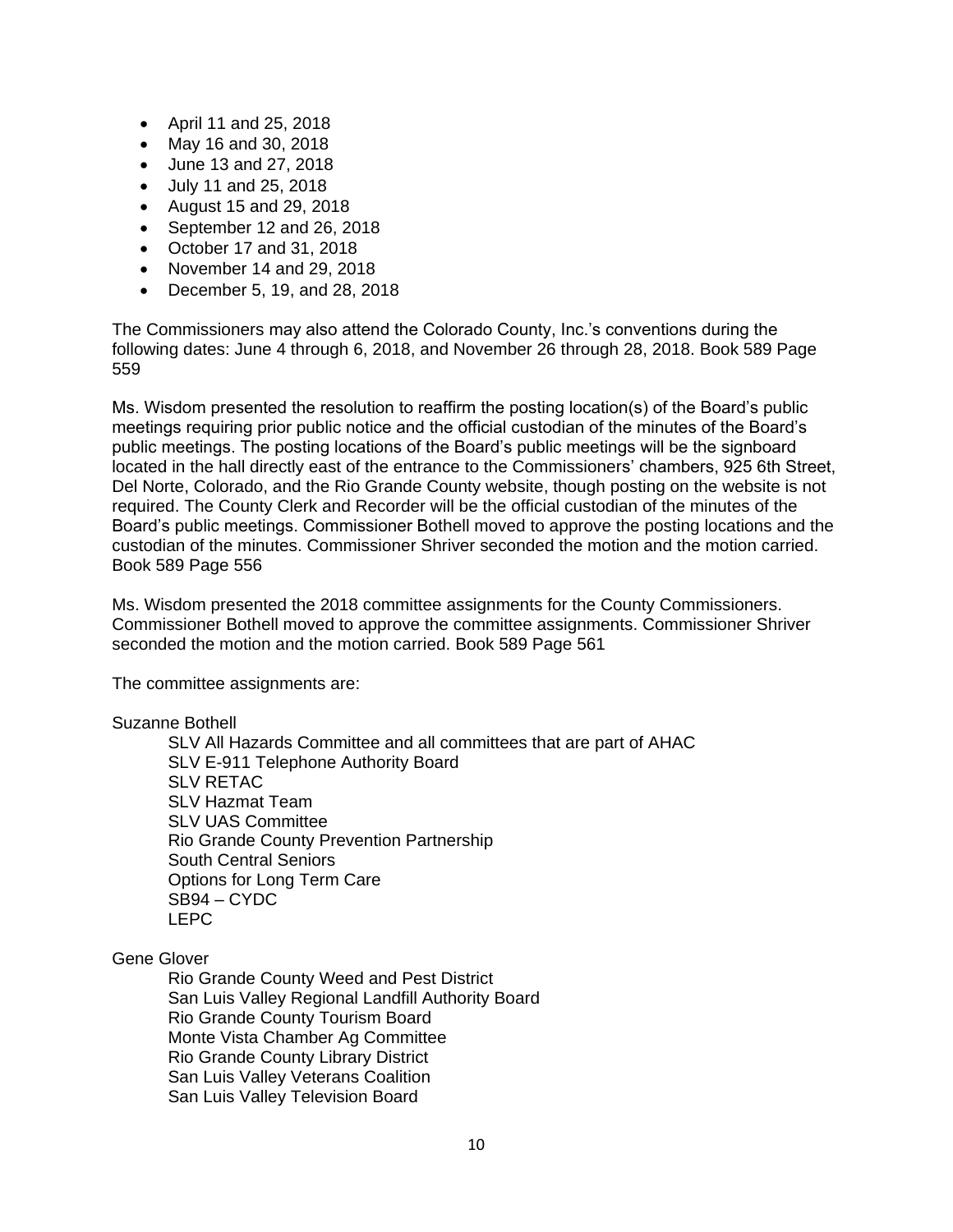- April 11 and 25, 2018
- May 16 and 30, 2018
- June 13 and 27, 2018
- July 11 and 25, 2018
- August 15 and 29, 2018
- September 12 and 26, 2018
- October 17 and 31, 2018
- November 14 and 29, 2018
- December 5, 19, and 28, 2018

The Commissioners may also attend the Colorado County, Inc.'s conventions during the following dates: June 4 through 6, 2018, and November 26 through 28, 2018. Book 589 Page 559

Ms. Wisdom presented the resolution to reaffirm the posting location(s) of the Board's public meetings requiring prior public notice and the official custodian of the minutes of the Board's public meetings. The posting locations of the Board's public meetings will be the signboard located in the hall directly east of the entrance to the Commissioners' chambers, 925 6th Street, Del Norte, Colorado, and the Rio Grande County website, though posting on the website is not required. The County Clerk and Recorder will be the official custodian of the minutes of the Board's public meetings. Commissioner Bothell moved to approve the posting locations and the custodian of the minutes. Commissioner Shriver seconded the motion and the motion carried. Book 589 Page 556

Ms. Wisdom presented the 2018 committee assignments for the County Commissioners. Commissioner Bothell moved to approve the committee assignments. Commissioner Shriver seconded the motion and the motion carried. Book 589 Page 561

The committee assignments are:

### Suzanne Bothell

SLV All Hazards Committee and all committees that are part of AHAC SLV E-911 Telephone Authority Board SI V RETAC SLV Hazmat Team SLV UAS Committee Rio Grande County Prevention Partnership South Central Seniors Options for Long Term Care SB94 – CYDC LEPC

# Gene Glover

Rio Grande County Weed and Pest District San Luis Valley Regional Landfill Authority Board Rio Grande County Tourism Board Monte Vista Chamber Ag Committee Rio Grande County Library District San Luis Valley Veterans Coalition San Luis Valley Television Board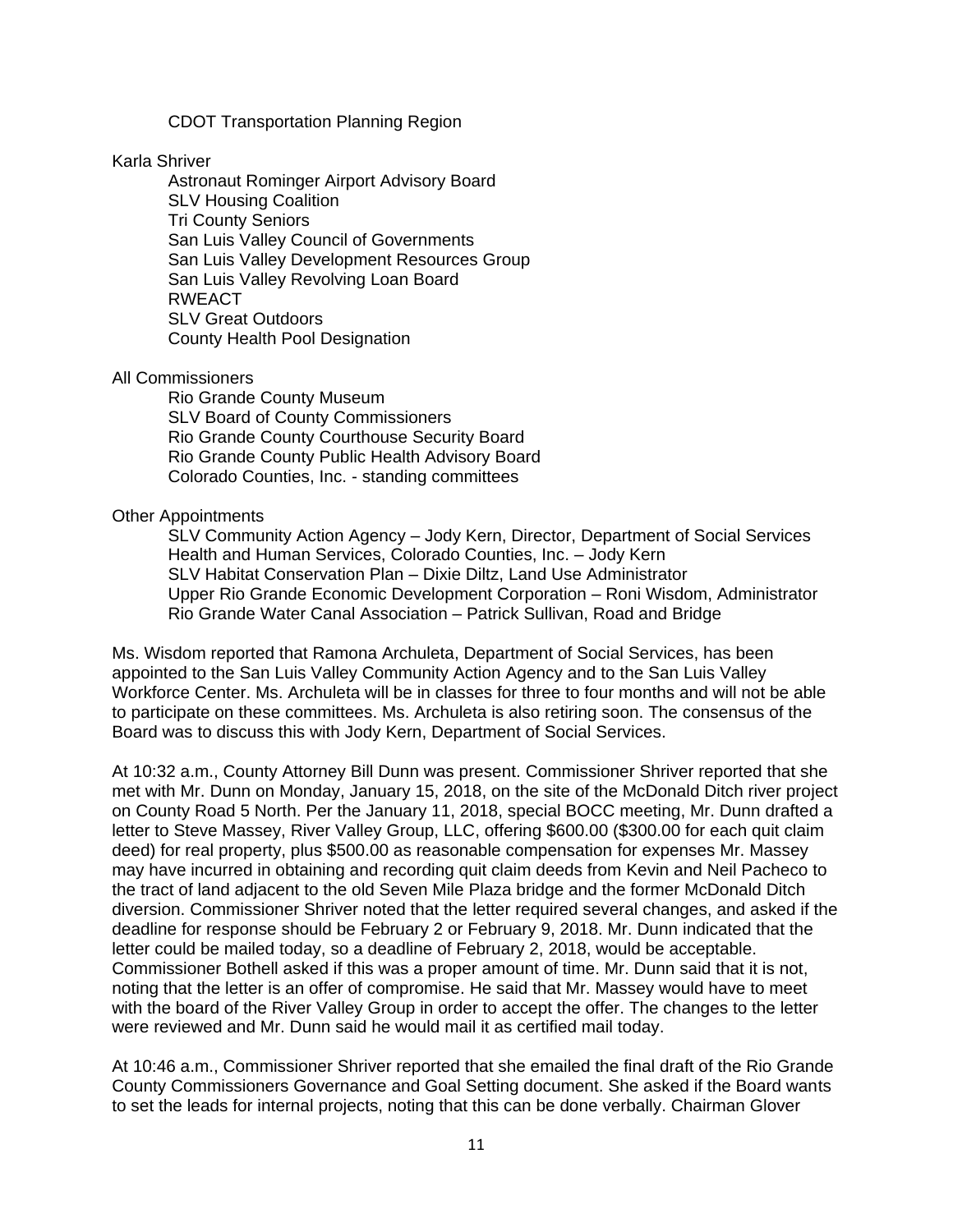#### CDOT Transportation Planning Region

#### Karla Shriver

Astronaut Rominger Airport Advisory Board SLV Housing Coalition Tri County Seniors San Luis Valley Council of Governments San Luis Valley Development Resources Group San Luis Valley Revolving Loan Board RWEACT SLV Great Outdoors County Health Pool Designation

#### All Commissioners

Rio Grande County Museum SLV Board of County Commissioners Rio Grande County Courthouse Security Board Rio Grande County Public Health Advisory Board Colorado Counties, Inc. - standing committees

#### Other Appointments

SLV Community Action Agency – Jody Kern, Director, Department of Social Services Health and Human Services, Colorado Counties, Inc. – Jody Kern SLV Habitat Conservation Plan – Dixie Diltz, Land Use Administrator Upper Rio Grande Economic Development Corporation – Roni Wisdom, Administrator Rio Grande Water Canal Association – Patrick Sullivan, Road and Bridge

Ms. Wisdom reported that Ramona Archuleta, Department of Social Services, has been appointed to the San Luis Valley Community Action Agency and to the San Luis Valley Workforce Center. Ms. Archuleta will be in classes for three to four months and will not be able to participate on these committees. Ms. Archuleta is also retiring soon. The consensus of the Board was to discuss this with Jody Kern, Department of Social Services.

At 10:32 a.m., County Attorney Bill Dunn was present. Commissioner Shriver reported that she met with Mr. Dunn on Monday, January 15, 2018, on the site of the McDonald Ditch river project on County Road 5 North. Per the January 11, 2018, special BOCC meeting, Mr. Dunn drafted a letter to Steve Massey, River Valley Group, LLC, offering \$600.00 (\$300.00 for each quit claim deed) for real property, plus \$500.00 as reasonable compensation for expenses Mr. Massey may have incurred in obtaining and recording quit claim deeds from Kevin and Neil Pacheco to the tract of land adjacent to the old Seven Mile Plaza bridge and the former McDonald Ditch diversion. Commissioner Shriver noted that the letter required several changes, and asked if the deadline for response should be February 2 or February 9, 2018. Mr. Dunn indicated that the letter could be mailed today, so a deadline of February 2, 2018, would be acceptable. Commissioner Bothell asked if this was a proper amount of time. Mr. Dunn said that it is not, noting that the letter is an offer of compromise. He said that Mr. Massey would have to meet with the board of the River Valley Group in order to accept the offer. The changes to the letter were reviewed and Mr. Dunn said he would mail it as certified mail today.

At 10:46 a.m., Commissioner Shriver reported that she emailed the final draft of the Rio Grande County Commissioners Governance and Goal Setting document. She asked if the Board wants to set the leads for internal projects, noting that this can be done verbally. Chairman Glover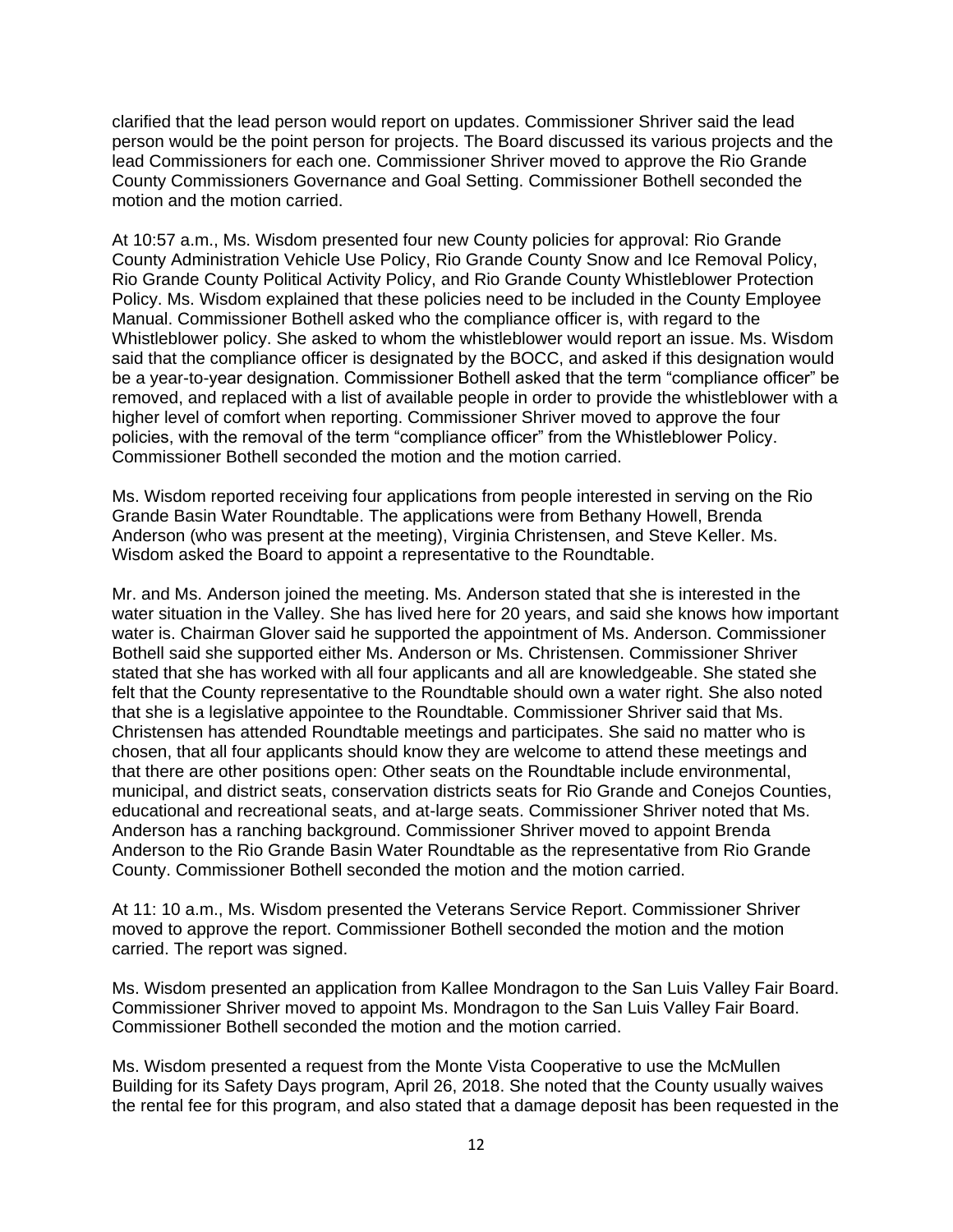clarified that the lead person would report on updates. Commissioner Shriver said the lead person would be the point person for projects. The Board discussed its various projects and the lead Commissioners for each one. Commissioner Shriver moved to approve the Rio Grande County Commissioners Governance and Goal Setting. Commissioner Bothell seconded the motion and the motion carried.

At 10:57 a.m., Ms. Wisdom presented four new County policies for approval: Rio Grande County Administration Vehicle Use Policy, Rio Grande County Snow and Ice Removal Policy, Rio Grande County Political Activity Policy, and Rio Grande County Whistleblower Protection Policy. Ms. Wisdom explained that these policies need to be included in the County Employee Manual. Commissioner Bothell asked who the compliance officer is, with regard to the Whistleblower policy. She asked to whom the whistleblower would report an issue. Ms. Wisdom said that the compliance officer is designated by the BOCC, and asked if this designation would be a year-to-year designation. Commissioner Bothell asked that the term "compliance officer" be removed, and replaced with a list of available people in order to provide the whistleblower with a higher level of comfort when reporting. Commissioner Shriver moved to approve the four policies, with the removal of the term "compliance officer" from the Whistleblower Policy. Commissioner Bothell seconded the motion and the motion carried.

Ms. Wisdom reported receiving four applications from people interested in serving on the Rio Grande Basin Water Roundtable. The applications were from Bethany Howell, Brenda Anderson (who was present at the meeting), Virginia Christensen, and Steve Keller. Ms. Wisdom asked the Board to appoint a representative to the Roundtable.

Mr. and Ms. Anderson joined the meeting. Ms. Anderson stated that she is interested in the water situation in the Valley. She has lived here for 20 years, and said she knows how important water is. Chairman Glover said he supported the appointment of Ms. Anderson. Commissioner Bothell said she supported either Ms. Anderson or Ms. Christensen. Commissioner Shriver stated that she has worked with all four applicants and all are knowledgeable. She stated she felt that the County representative to the Roundtable should own a water right. She also noted that she is a legislative appointee to the Roundtable. Commissioner Shriver said that Ms. Christensen has attended Roundtable meetings and participates. She said no matter who is chosen, that all four applicants should know they are welcome to attend these meetings and that there are other positions open: Other seats on the Roundtable include environmental, municipal, and district seats, conservation districts seats for Rio Grande and Conejos Counties, educational and recreational seats, and at-large seats. Commissioner Shriver noted that Ms. Anderson has a ranching background. Commissioner Shriver moved to appoint Brenda Anderson to the Rio Grande Basin Water Roundtable as the representative from Rio Grande County. Commissioner Bothell seconded the motion and the motion carried.

At 11: 10 a.m., Ms. Wisdom presented the Veterans Service Report. Commissioner Shriver moved to approve the report. Commissioner Bothell seconded the motion and the motion carried. The report was signed.

Ms. Wisdom presented an application from Kallee Mondragon to the San Luis Valley Fair Board. Commissioner Shriver moved to appoint Ms. Mondragon to the San Luis Valley Fair Board. Commissioner Bothell seconded the motion and the motion carried.

Ms. Wisdom presented a request from the Monte Vista Cooperative to use the McMullen Building for its Safety Days program, April 26, 2018. She noted that the County usually waives the rental fee for this program, and also stated that a damage deposit has been requested in the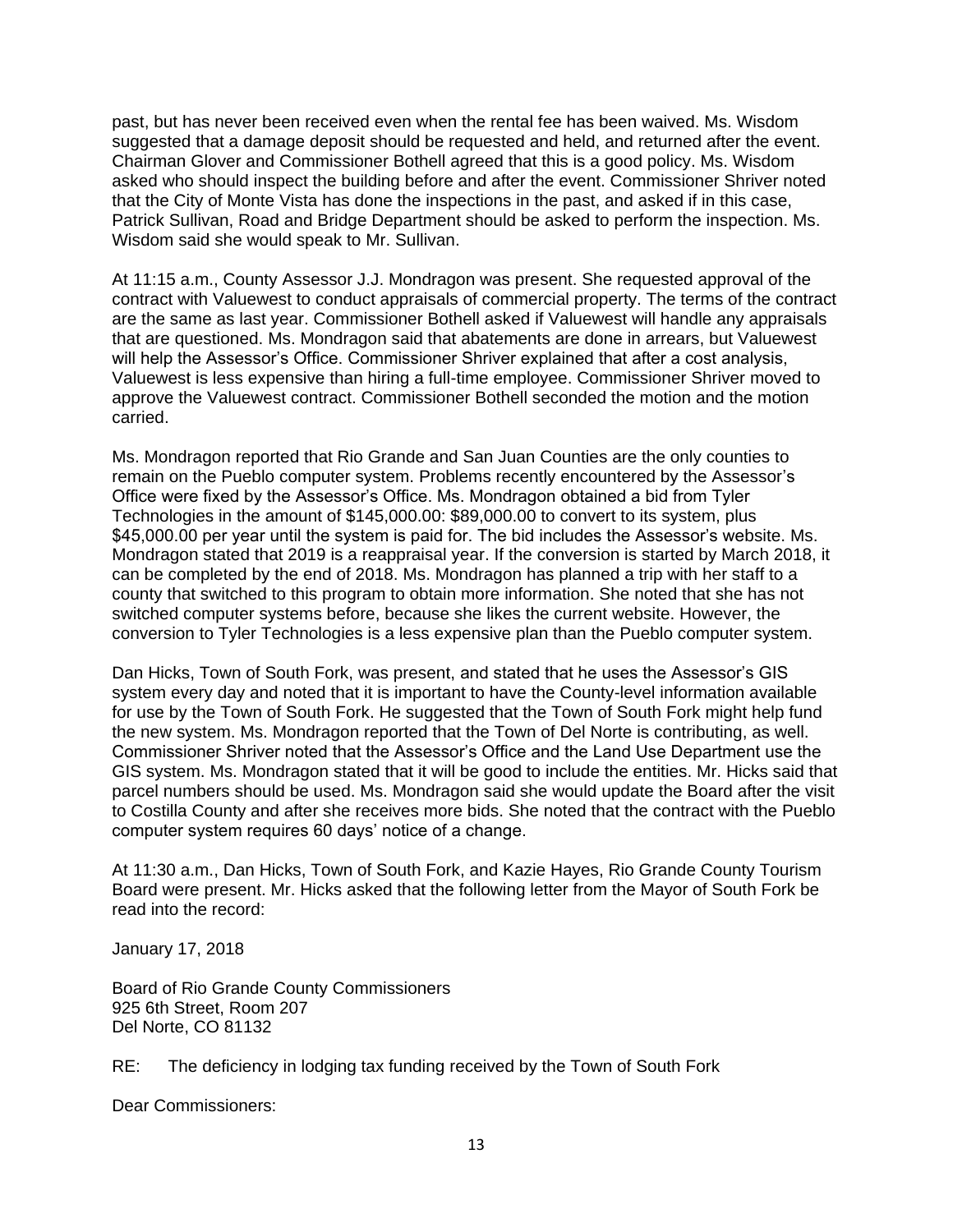past, but has never been received even when the rental fee has been waived. Ms. Wisdom suggested that a damage deposit should be requested and held, and returned after the event. Chairman Glover and Commissioner Bothell agreed that this is a good policy. Ms. Wisdom asked who should inspect the building before and after the event. Commissioner Shriver noted that the City of Monte Vista has done the inspections in the past, and asked if in this case, Patrick Sullivan, Road and Bridge Department should be asked to perform the inspection. Ms. Wisdom said she would speak to Mr. Sullivan.

At 11:15 a.m., County Assessor J.J. Mondragon was present. She requested approval of the contract with Valuewest to conduct appraisals of commercial property. The terms of the contract are the same as last year. Commissioner Bothell asked if Valuewest will handle any appraisals that are questioned. Ms. Mondragon said that abatements are done in arrears, but Valuewest will help the Assessor's Office. Commissioner Shriver explained that after a cost analysis, Valuewest is less expensive than hiring a full-time employee. Commissioner Shriver moved to approve the Valuewest contract. Commissioner Bothell seconded the motion and the motion carried.

Ms. Mondragon reported that Rio Grande and San Juan Counties are the only counties to remain on the Pueblo computer system. Problems recently encountered by the Assessor's Office were fixed by the Assessor's Office. Ms. Mondragon obtained a bid from Tyler Technologies in the amount of \$145,000.00: \$89,000.00 to convert to its system, plus \$45,000.00 per year until the system is paid for. The bid includes the Assessor's website. Ms. Mondragon stated that 2019 is a reappraisal year. If the conversion is started by March 2018, it can be completed by the end of 2018. Ms. Mondragon has planned a trip with her staff to a county that switched to this program to obtain more information. She noted that she has not switched computer systems before, because she likes the current website. However, the conversion to Tyler Technologies is a less expensive plan than the Pueblo computer system.

Dan Hicks, Town of South Fork, was present, and stated that he uses the Assessor's GIS system every day and noted that it is important to have the County-level information available for use by the Town of South Fork. He suggested that the Town of South Fork might help fund the new system. Ms. Mondragon reported that the Town of Del Norte is contributing, as well. Commissioner Shriver noted that the Assessor's Office and the Land Use Department use the GIS system. Ms. Mondragon stated that it will be good to include the entities. Mr. Hicks said that parcel numbers should be used. Ms. Mondragon said she would update the Board after the visit to Costilla County and after she receives more bids. She noted that the contract with the Pueblo computer system requires 60 days' notice of a change.

At 11:30 a.m., Dan Hicks, Town of South Fork, and Kazie Hayes, Rio Grande County Tourism Board were present. Mr. Hicks asked that the following letter from the Mayor of South Fork be read into the record:

January 17, 2018

Board of Rio Grande County Commissioners 925 6th Street, Room 207 Del Norte, CO 81132

RE: The deficiency in lodging tax funding received by the Town of South Fork

Dear Commissioners: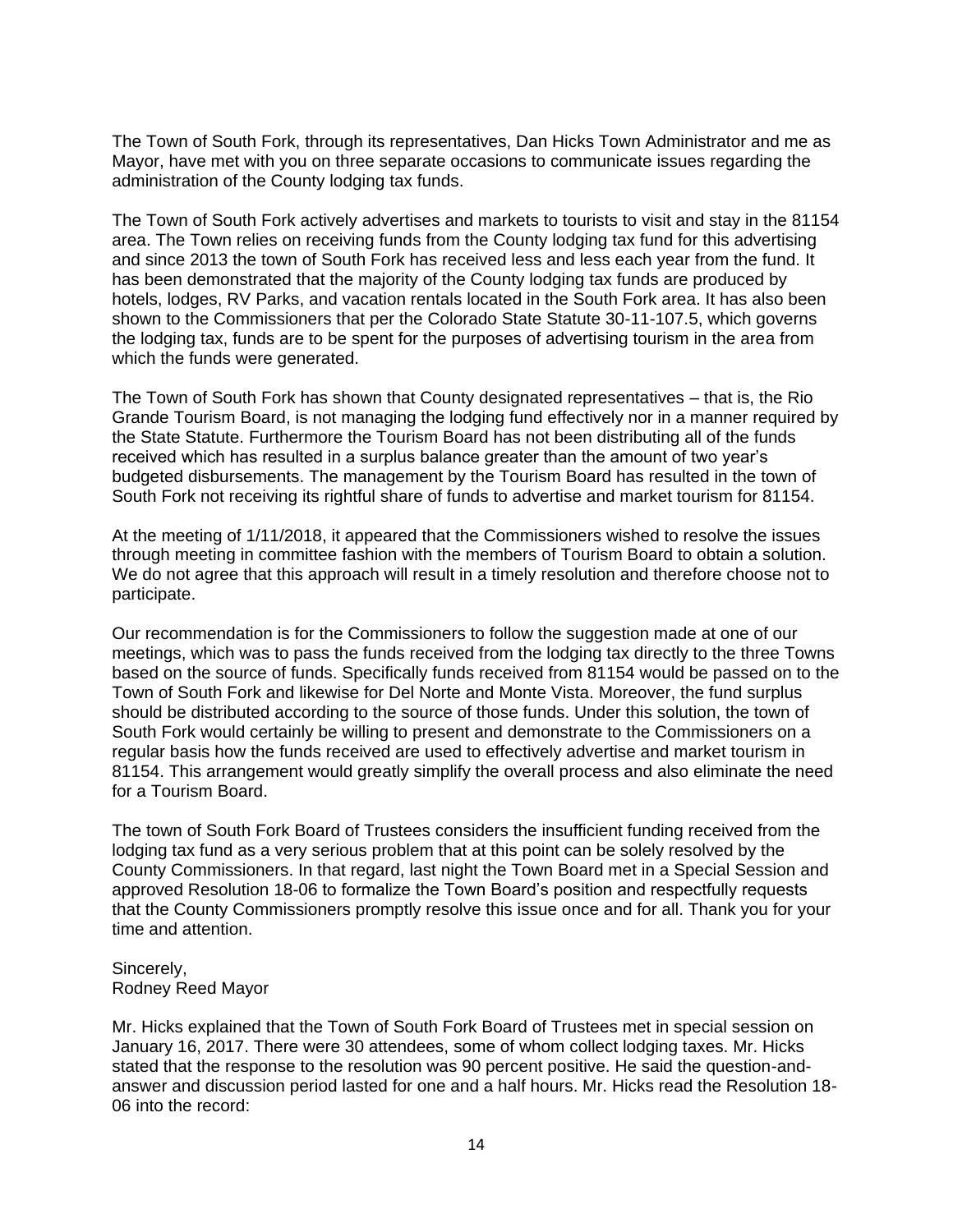The Town of South Fork, through its representatives, Dan Hicks Town Administrator and me as Mayor, have met with you on three separate occasions to communicate issues regarding the administration of the County lodging tax funds.

The Town of South Fork actively advertises and markets to tourists to visit and stay in the 81154 area. The Town relies on receiving funds from the County lodging tax fund for this advertising and since 2013 the town of South Fork has received less and less each year from the fund. It has been demonstrated that the majority of the County lodging tax funds are produced by hotels, lodges, RV Parks, and vacation rentals located in the South Fork area. It has also been shown to the Commissioners that per the Colorado State Statute 30-11-107.5, which governs the lodging tax, funds are to be spent for the purposes of advertising tourism in the area from which the funds were generated.

The Town of South Fork has shown that County designated representatives – that is, the Rio Grande Tourism Board, is not managing the lodging fund effectively nor in a manner required by the State Statute. Furthermore the Tourism Board has not been distributing all of the funds received which has resulted in a surplus balance greater than the amount of two year's budgeted disbursements. The management by the Tourism Board has resulted in the town of South Fork not receiving its rightful share of funds to advertise and market tourism for 81154.

At the meeting of 1/11/2018, it appeared that the Commissioners wished to resolve the issues through meeting in committee fashion with the members of Tourism Board to obtain a solution. We do not agree that this approach will result in a timely resolution and therefore choose not to participate.

Our recommendation is for the Commissioners to follow the suggestion made at one of our meetings, which was to pass the funds received from the lodging tax directly to the three Towns based on the source of funds. Specifically funds received from 81154 would be passed on to the Town of South Fork and likewise for Del Norte and Monte Vista. Moreover, the fund surplus should be distributed according to the source of those funds. Under this solution, the town of South Fork would certainly be willing to present and demonstrate to the Commissioners on a regular basis how the funds received are used to effectively advertise and market tourism in 81154. This arrangement would greatly simplify the overall process and also eliminate the need for a Tourism Board.

The town of South Fork Board of Trustees considers the insufficient funding received from the lodging tax fund as a very serious problem that at this point can be solely resolved by the County Commissioners. In that regard, last night the Town Board met in a Special Session and approved Resolution 18-06 to formalize the Town Board's position and respectfully requests that the County Commissioners promptly resolve this issue once and for all. Thank you for your time and attention.

#### Sincerely, Rodney Reed Mayor

Mr. Hicks explained that the Town of South Fork Board of Trustees met in special session on January 16, 2017. There were 30 attendees, some of whom collect lodging taxes. Mr. Hicks stated that the response to the resolution was 90 percent positive. He said the question-andanswer and discussion period lasted for one and a half hours. Mr. Hicks read the Resolution 18- 06 into the record: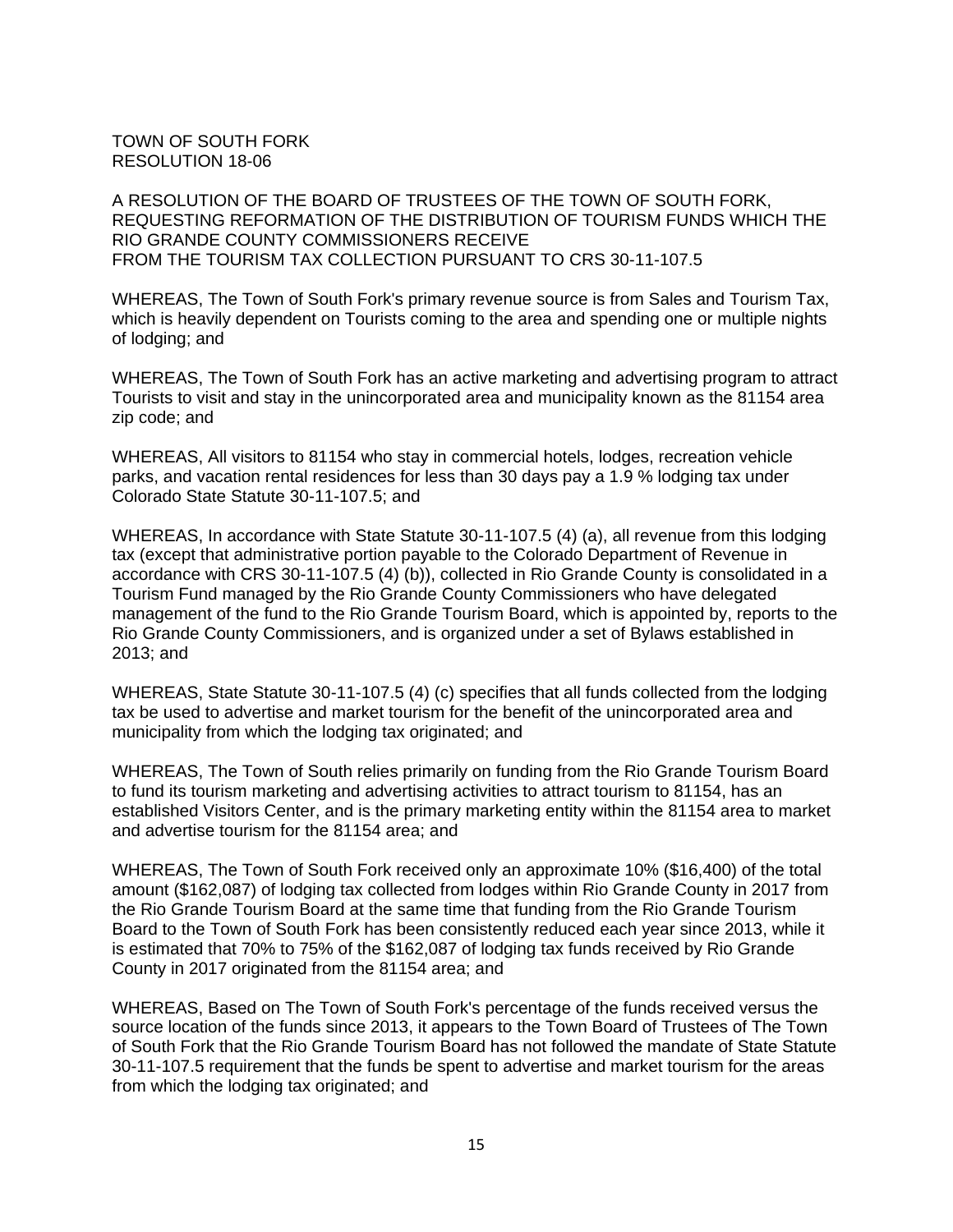TOWN OF SOUTH FORK RESOLUTION 18-06

A RESOLUTION OF THE BOARD OF TRUSTEES OF THE TOWN OF SOUTH FORK, REQUESTING REFORMATION OF THE DISTRIBUTION OF TOURISM FUNDS WHICH THE RIO GRANDE COUNTY COMMISSIONERS RECEIVE FROM THE TOURISM TAX COLLECTION PURSUANT TO CRS 30-11-107.5

WHEREAS, The Town of South Fork's primary revenue source is from Sales and Tourism Tax, which is heavily dependent on Tourists coming to the area and spending one or multiple nights of lodging; and

WHEREAS, The Town of South Fork has an active marketing and advertising program to attract Tourists to visit and stay in the unincorporated area and municipality known as the 81154 area zip code; and

WHEREAS, All visitors to 81154 who stay in commercial hotels, lodges, recreation vehicle parks, and vacation rental residences for less than 30 days pay a 1.9 % lodging tax under Colorado State Statute 30-11-107.5; and

WHEREAS, In accordance with State Statute 30-11-107.5 (4) (a), all revenue from this lodging tax (except that administrative portion payable to the Colorado Department of Revenue in accordance with CRS 30-11-107.5 (4) (b)), collected in Rio Grande County is consolidated in a Tourism Fund managed by the Rio Grande County Commissioners who have delegated management of the fund to the Rio Grande Tourism Board, which is appointed by, reports to the Rio Grande County Commissioners, and is organized under a set of Bylaws established in 2013; and

WHEREAS, State Statute 30-11-107.5 (4) (c) specifies that all funds collected from the lodging tax be used to advertise and market tourism for the benefit of the unincorporated area and municipality from which the lodging tax originated; and

WHEREAS, The Town of South relies primarily on funding from the Rio Grande Tourism Board to fund its tourism marketing and advertising activities to attract tourism to 81154, has an established Visitors Center, and is the primary marketing entity within the 81154 area to market and advertise tourism for the 81154 area; and

WHEREAS, The Town of South Fork received only an approximate 10% (\$16,400) of the total amount (\$162,087) of lodging tax collected from lodges within Rio Grande County in 2017 from the Rio Grande Tourism Board at the same time that funding from the Rio Grande Tourism Board to the Town of South Fork has been consistently reduced each year since 2013, while it is estimated that 70% to 75% of the \$162,087 of lodging tax funds received by Rio Grande County in 2017 originated from the 81154 area; and

WHEREAS, Based on The Town of South Fork's percentage of the funds received versus the source location of the funds since 2013, it appears to the Town Board of Trustees of The Town of South Fork that the Rio Grande Tourism Board has not followed the mandate of State Statute 30-11-107.5 requirement that the funds be spent to advertise and market tourism for the areas from which the lodging tax originated; and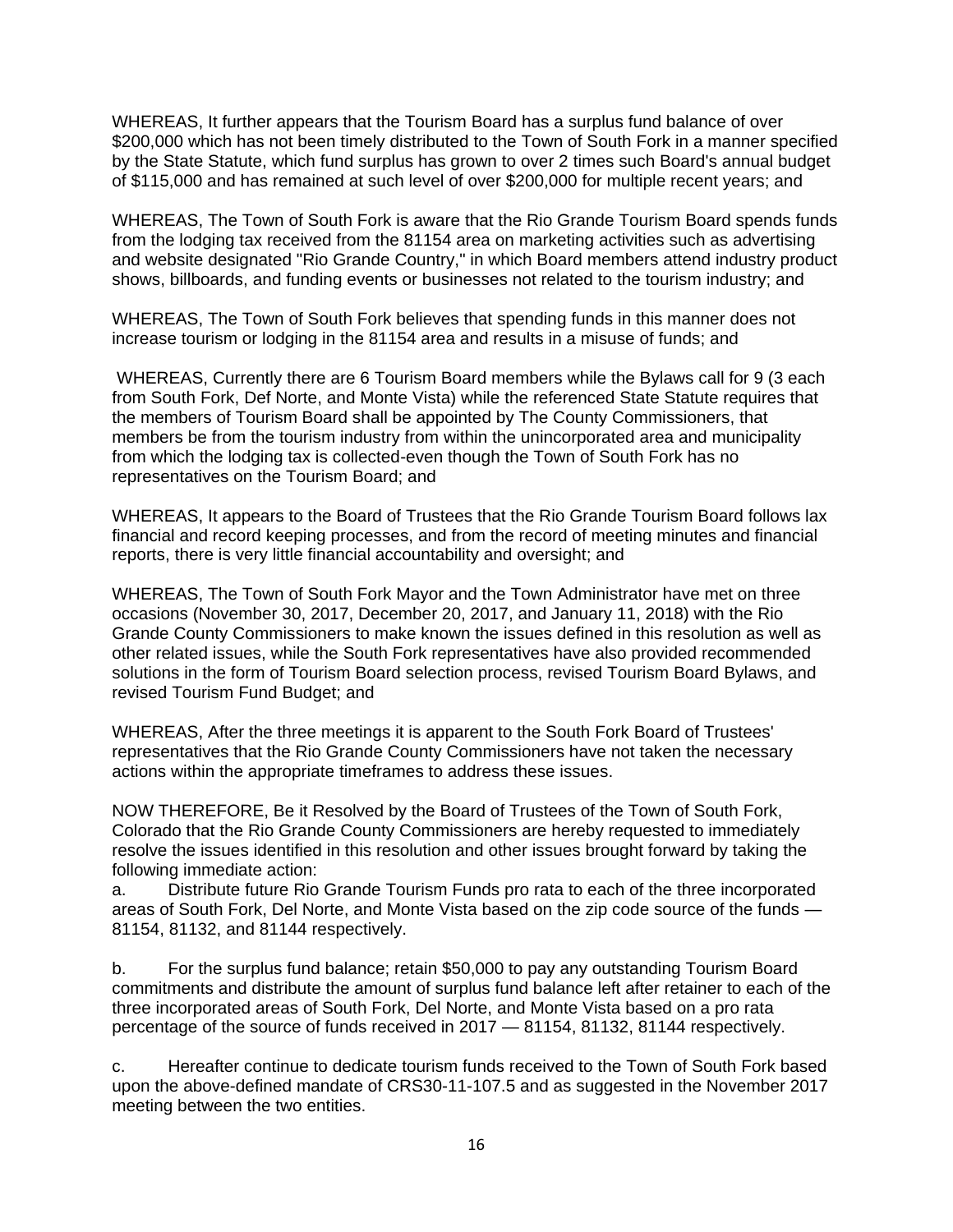WHEREAS, It further appears that the Tourism Board has a surplus fund balance of over \$200,000 which has not been timely distributed to the Town of South Fork in a manner specified by the State Statute, which fund surplus has grown to over 2 times such Board's annual budget of \$115,000 and has remained at such level of over \$200,000 for multiple recent years; and

WHEREAS, The Town of South Fork is aware that the Rio Grande Tourism Board spends funds from the lodging tax received from the 81154 area on marketing activities such as advertising and website designated "Rio Grande Country," in which Board members attend industry product shows, billboards, and funding events or businesses not related to the tourism industry; and

WHEREAS, The Town of South Fork believes that spending funds in this manner does not increase tourism or lodging in the 81154 area and results in a misuse of funds; and

WHEREAS, Currently there are 6 Tourism Board members while the Bylaws call for 9 (3 each from South Fork, Def Norte, and Monte Vista) while the referenced State Statute requires that the members of Tourism Board shall be appointed by The County Commissioners, that members be from the tourism industry from within the unincorporated area and municipality from which the lodging tax is collected-even though the Town of South Fork has no representatives on the Tourism Board; and

WHEREAS, It appears to the Board of Trustees that the Rio Grande Tourism Board follows lax financial and record keeping processes, and from the record of meeting minutes and financial reports, there is very little financial accountability and oversight; and

WHEREAS, The Town of South Fork Mayor and the Town Administrator have met on three occasions (November 30, 2017, December 20, 2017, and January 11, 2018) with the Rio Grande County Commissioners to make known the issues defined in this resolution as well as other related issues, while the South Fork representatives have also provided recommended solutions in the form of Tourism Board selection process, revised Tourism Board Bylaws, and revised Tourism Fund Budget; and

WHEREAS, After the three meetings it is apparent to the South Fork Board of Trustees' representatives that the Rio Grande County Commissioners have not taken the necessary actions within the appropriate timeframes to address these issues.

NOW THEREFORE, Be it Resolved by the Board of Trustees of the Town of South Fork, Colorado that the Rio Grande County Commissioners are hereby requested to immediately resolve the issues identified in this resolution and other issues brought forward by taking the following immediate action:

a. Distribute future Rio Grande Tourism Funds pro rata to each of the three incorporated areas of South Fork, Del Norte, and Monte Vista based on the zip code source of the funds — 81154, 81132, and 81144 respectively.

b. For the surplus fund balance; retain \$50,000 to pay any outstanding Tourism Board commitments and distribute the amount of surplus fund balance left after retainer to each of the three incorporated areas of South Fork, Del Norte, and Monte Vista based on a pro rata percentage of the source of funds received in 2017 — 81154, 81132, 81144 respectively.

c. Hereafter continue to dedicate tourism funds received to the Town of South Fork based upon the above-defined mandate of CRS30-11-107.5 and as suggested in the November 2017 meeting between the two entities.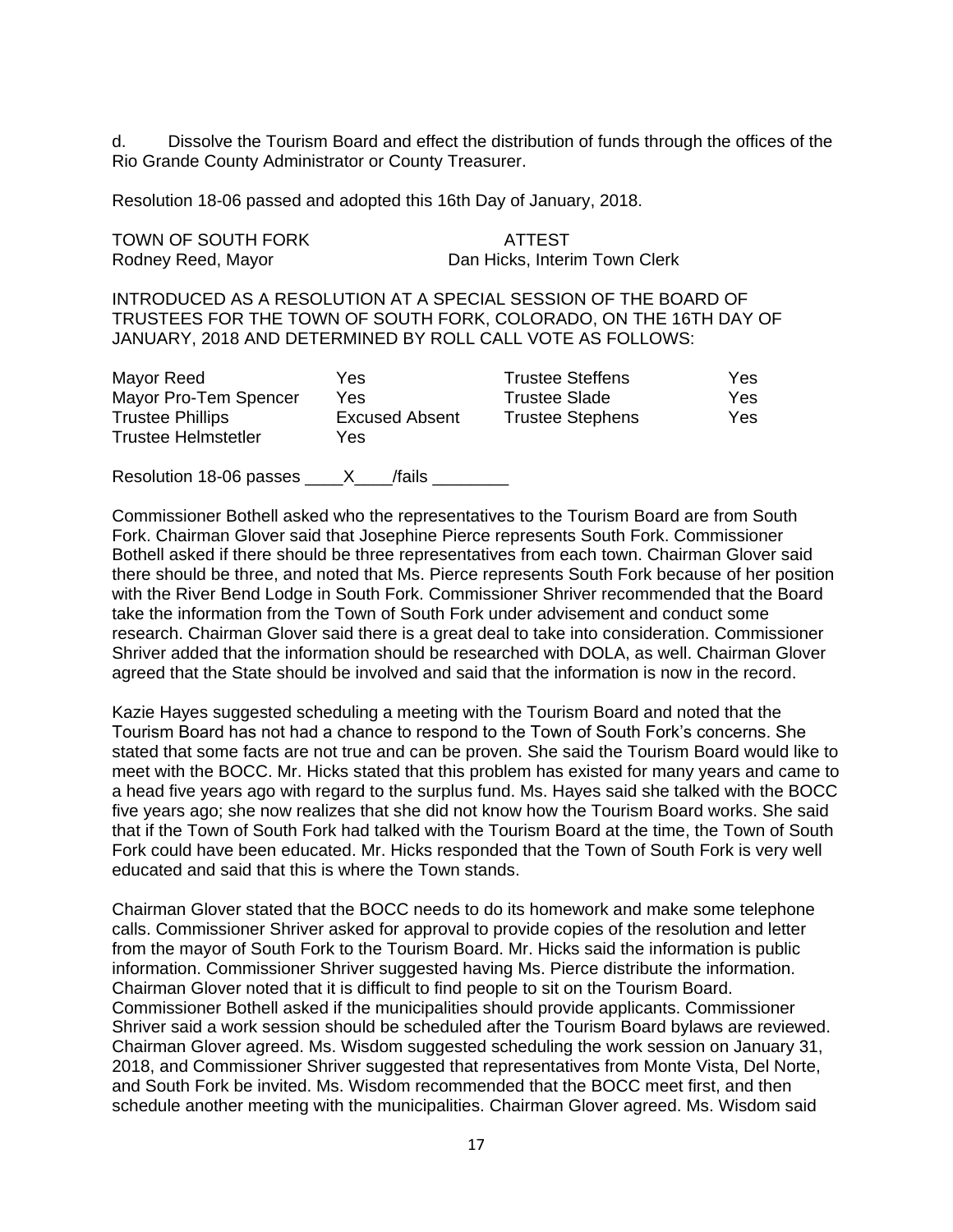d. Dissolve the Tourism Board and effect the distribution of funds through the offices of the Rio Grande County Administrator or County Treasurer.

Resolution 18-06 passed and adopted this 16th Day of January, 2018.

TOWN OF SOUTH FORK ATTEST

Rodney Reed, Mayor **Dan Hicks, Interim Town Clerk** 

INTRODUCED AS A RESOLUTION AT A SPECIAL SESSION OF THE BOARD OF TRUSTEES FOR THE TOWN OF SOUTH FORK, COLORADO, ON THE 16TH DAY OF JANUARY, 2018 AND DETERMINED BY ROLL CALL VOTE AS FOLLOWS:

| Mayor Reed              | Yes                   | <b>Trustee Steffens</b> | Yes |
|-------------------------|-----------------------|-------------------------|-----|
| Mayor Pro-Tem Spencer   | Yes                   | Trustee Slade           | Yes |
| <b>Trustee Phillips</b> | <b>Excused Absent</b> | <b>Trustee Stephens</b> | Yes |
| Trustee Helmstetler     | Yes                   |                         |     |
|                         |                       |                         |     |

Resolution 18-06 passes X /fails

Commissioner Bothell asked who the representatives to the Tourism Board are from South Fork. Chairman Glover said that Josephine Pierce represents South Fork. Commissioner Bothell asked if there should be three representatives from each town. Chairman Glover said there should be three, and noted that Ms. Pierce represents South Fork because of her position with the River Bend Lodge in South Fork. Commissioner Shriver recommended that the Board take the information from the Town of South Fork under advisement and conduct some research. Chairman Glover said there is a great deal to take into consideration. Commissioner Shriver added that the information should be researched with DOLA, as well. Chairman Glover agreed that the State should be involved and said that the information is now in the record.

Kazie Hayes suggested scheduling a meeting with the Tourism Board and noted that the Tourism Board has not had a chance to respond to the Town of South Fork's concerns. She stated that some facts are not true and can be proven. She said the Tourism Board would like to meet with the BOCC. Mr. Hicks stated that this problem has existed for many years and came to a head five years ago with regard to the surplus fund. Ms. Hayes said she talked with the BOCC five years ago; she now realizes that she did not know how the Tourism Board works. She said that if the Town of South Fork had talked with the Tourism Board at the time, the Town of South Fork could have been educated. Mr. Hicks responded that the Town of South Fork is very well educated and said that this is where the Town stands.

Chairman Glover stated that the BOCC needs to do its homework and make some telephone calls. Commissioner Shriver asked for approval to provide copies of the resolution and letter from the mayor of South Fork to the Tourism Board. Mr. Hicks said the information is public information. Commissioner Shriver suggested having Ms. Pierce distribute the information. Chairman Glover noted that it is difficult to find people to sit on the Tourism Board. Commissioner Bothell asked if the municipalities should provide applicants. Commissioner Shriver said a work session should be scheduled after the Tourism Board bylaws are reviewed. Chairman Glover agreed. Ms. Wisdom suggested scheduling the work session on January 31, 2018, and Commissioner Shriver suggested that representatives from Monte Vista, Del Norte, and South Fork be invited. Ms. Wisdom recommended that the BOCC meet first, and then schedule another meeting with the municipalities. Chairman Glover agreed. Ms. Wisdom said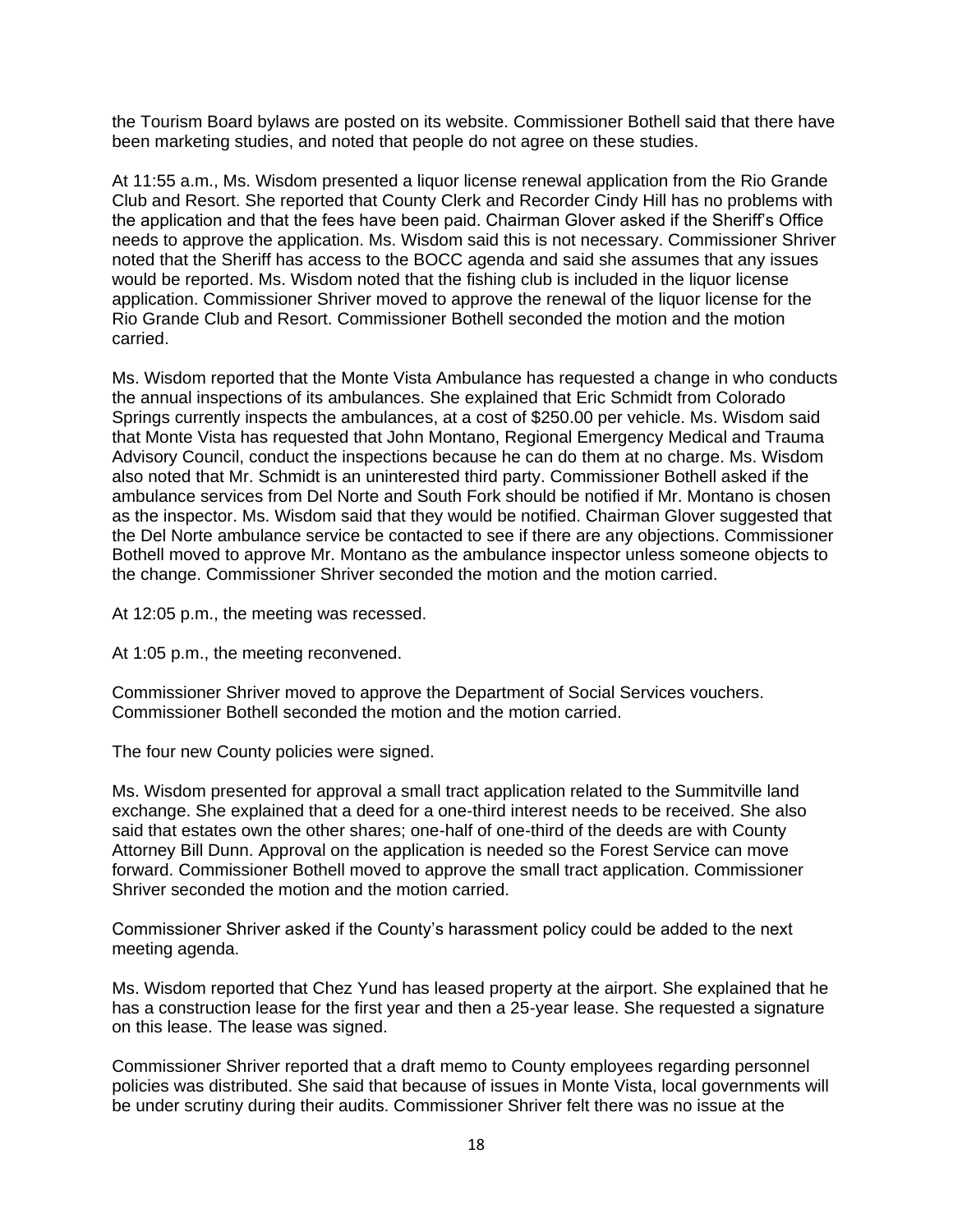the Tourism Board bylaws are posted on its website. Commissioner Bothell said that there have been marketing studies, and noted that people do not agree on these studies.

At 11:55 a.m., Ms. Wisdom presented a liquor license renewal application from the Rio Grande Club and Resort. She reported that County Clerk and Recorder Cindy Hill has no problems with the application and that the fees have been paid. Chairman Glover asked if the Sheriff's Office needs to approve the application. Ms. Wisdom said this is not necessary. Commissioner Shriver noted that the Sheriff has access to the BOCC agenda and said she assumes that any issues would be reported. Ms. Wisdom noted that the fishing club is included in the liquor license application. Commissioner Shriver moved to approve the renewal of the liquor license for the Rio Grande Club and Resort. Commissioner Bothell seconded the motion and the motion carried.

Ms. Wisdom reported that the Monte Vista Ambulance has requested a change in who conducts the annual inspections of its ambulances. She explained that Eric Schmidt from Colorado Springs currently inspects the ambulances, at a cost of \$250.00 per vehicle. Ms. Wisdom said that Monte Vista has requested that John Montano, Regional Emergency Medical and Trauma Advisory Council, conduct the inspections because he can do them at no charge. Ms. Wisdom also noted that Mr. Schmidt is an uninterested third party. Commissioner Bothell asked if the ambulance services from Del Norte and South Fork should be notified if Mr. Montano is chosen as the inspector. Ms. Wisdom said that they would be notified. Chairman Glover suggested that the Del Norte ambulance service be contacted to see if there are any objections. Commissioner Bothell moved to approve Mr. Montano as the ambulance inspector unless someone objects to the change. Commissioner Shriver seconded the motion and the motion carried.

At 12:05 p.m., the meeting was recessed.

At 1:05 p.m., the meeting reconvened.

Commissioner Shriver moved to approve the Department of Social Services vouchers. Commissioner Bothell seconded the motion and the motion carried.

The four new County policies were signed.

Ms. Wisdom presented for approval a small tract application related to the Summitville land exchange. She explained that a deed for a one-third interest needs to be received. She also said that estates own the other shares; one-half of one-third of the deeds are with County Attorney Bill Dunn. Approval on the application is needed so the Forest Service can move forward. Commissioner Bothell moved to approve the small tract application. Commissioner Shriver seconded the motion and the motion carried.

Commissioner Shriver asked if the County's harassment policy could be added to the next meeting agenda.

Ms. Wisdom reported that Chez Yund has leased property at the airport. She explained that he has a construction lease for the first year and then a 25-year lease. She requested a signature on this lease. The lease was signed.

Commissioner Shriver reported that a draft memo to County employees regarding personnel policies was distributed. She said that because of issues in Monte Vista, local governments will be under scrutiny during their audits. Commissioner Shriver felt there was no issue at the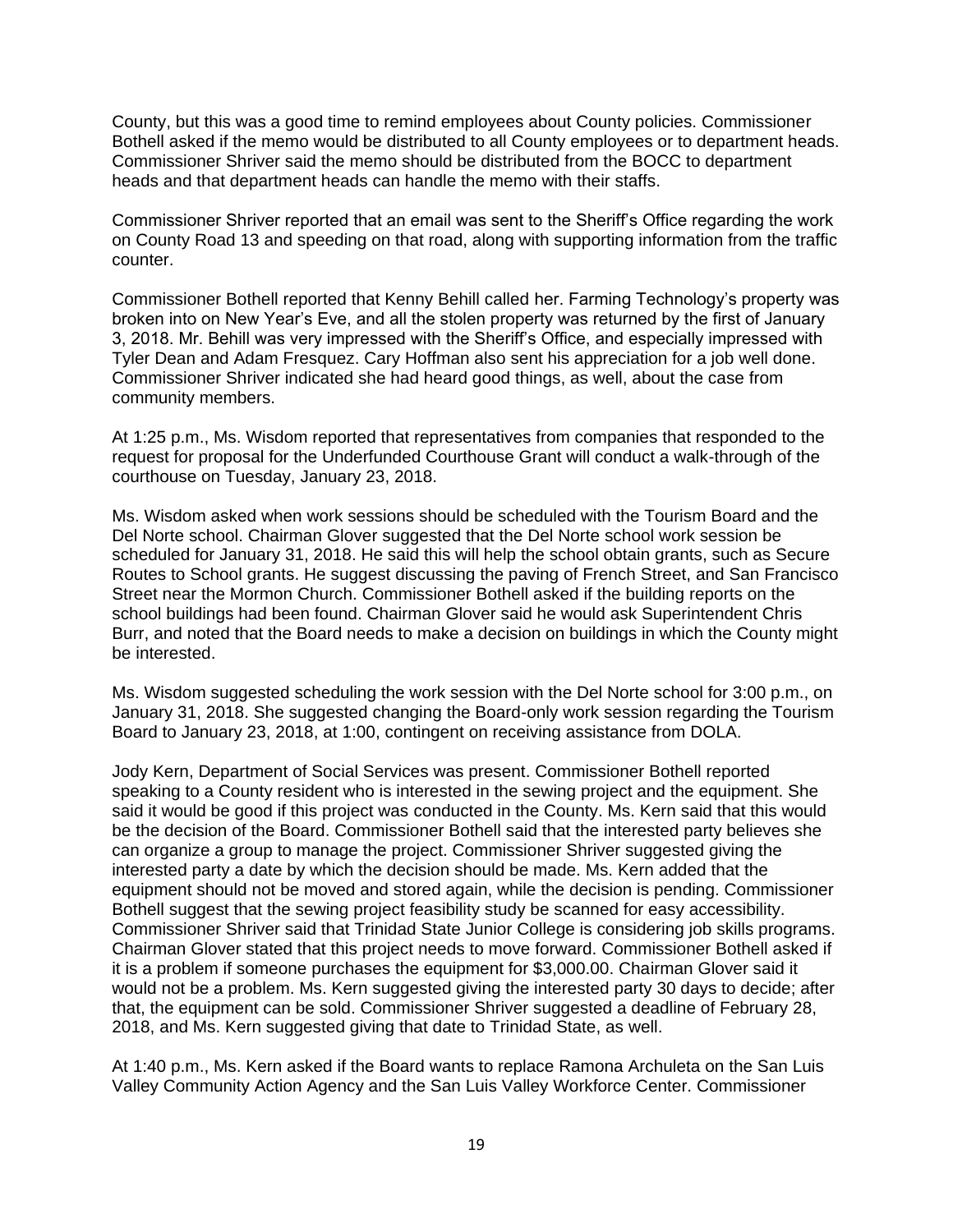County, but this was a good time to remind employees about County policies. Commissioner Bothell asked if the memo would be distributed to all County employees or to department heads. Commissioner Shriver said the memo should be distributed from the BOCC to department heads and that department heads can handle the memo with their staffs.

Commissioner Shriver reported that an email was sent to the Sheriff's Office regarding the work on County Road 13 and speeding on that road, along with supporting information from the traffic counter.

Commissioner Bothell reported that Kenny Behill called her. Farming Technology's property was broken into on New Year's Eve, and all the stolen property was returned by the first of January 3, 2018. Mr. Behill was very impressed with the Sheriff's Office, and especially impressed with Tyler Dean and Adam Fresquez. Cary Hoffman also sent his appreciation for a job well done. Commissioner Shriver indicated she had heard good things, as well, about the case from community members.

At 1:25 p.m., Ms. Wisdom reported that representatives from companies that responded to the request for proposal for the Underfunded Courthouse Grant will conduct a walk-through of the courthouse on Tuesday, January 23, 2018.

Ms. Wisdom asked when work sessions should be scheduled with the Tourism Board and the Del Norte school. Chairman Glover suggested that the Del Norte school work session be scheduled for January 31, 2018. He said this will help the school obtain grants, such as Secure Routes to School grants. He suggest discussing the paving of French Street, and San Francisco Street near the Mormon Church. Commissioner Bothell asked if the building reports on the school buildings had been found. Chairman Glover said he would ask Superintendent Chris Burr, and noted that the Board needs to make a decision on buildings in which the County might be interested.

Ms. Wisdom suggested scheduling the work session with the Del Norte school for 3:00 p.m., on January 31, 2018. She suggested changing the Board-only work session regarding the Tourism Board to January 23, 2018, at 1:00, contingent on receiving assistance from DOLA.

Jody Kern, Department of Social Services was present. Commissioner Bothell reported speaking to a County resident who is interested in the sewing project and the equipment. She said it would be good if this project was conducted in the County. Ms. Kern said that this would be the decision of the Board. Commissioner Bothell said that the interested party believes she can organize a group to manage the project. Commissioner Shriver suggested giving the interested party a date by which the decision should be made. Ms. Kern added that the equipment should not be moved and stored again, while the decision is pending. Commissioner Bothell suggest that the sewing project feasibility study be scanned for easy accessibility. Commissioner Shriver said that Trinidad State Junior College is considering job skills programs. Chairman Glover stated that this project needs to move forward. Commissioner Bothell asked if it is a problem if someone purchases the equipment for \$3,000.00. Chairman Glover said it would not be a problem. Ms. Kern suggested giving the interested party 30 days to decide; after that, the equipment can be sold. Commissioner Shriver suggested a deadline of February 28, 2018, and Ms. Kern suggested giving that date to Trinidad State, as well.

At 1:40 p.m., Ms. Kern asked if the Board wants to replace Ramona Archuleta on the San Luis Valley Community Action Agency and the San Luis Valley Workforce Center. Commissioner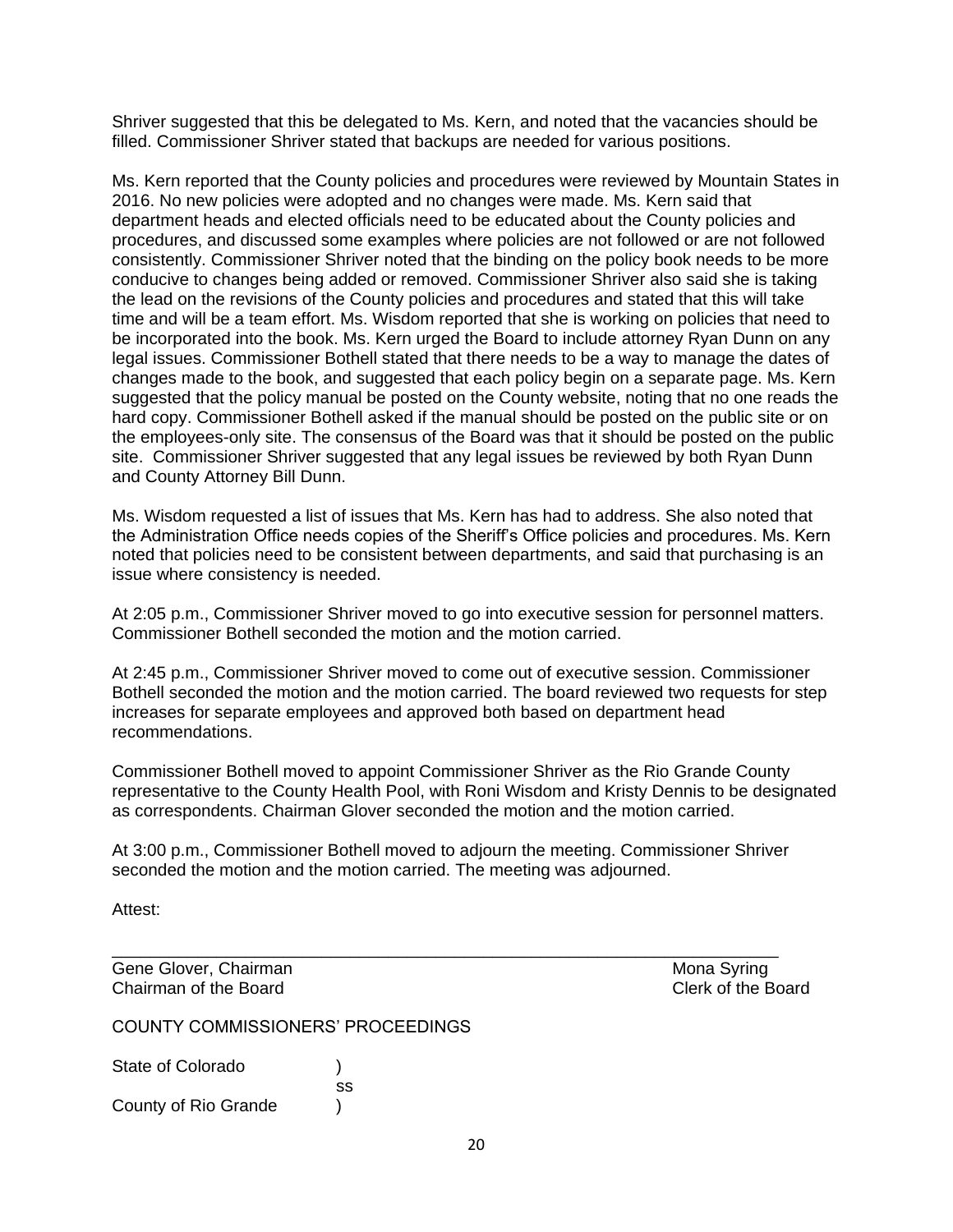Shriver suggested that this be delegated to Ms. Kern, and noted that the vacancies should be filled. Commissioner Shriver stated that backups are needed for various positions.

Ms. Kern reported that the County policies and procedures were reviewed by Mountain States in 2016. No new policies were adopted and no changes were made. Ms. Kern said that department heads and elected officials need to be educated about the County policies and procedures, and discussed some examples where policies are not followed or are not followed consistently. Commissioner Shriver noted that the binding on the policy book needs to be more conducive to changes being added or removed. Commissioner Shriver also said she is taking the lead on the revisions of the County policies and procedures and stated that this will take time and will be a team effort. Ms. Wisdom reported that she is working on policies that need to be incorporated into the book. Ms. Kern urged the Board to include attorney Ryan Dunn on any legal issues. Commissioner Bothell stated that there needs to be a way to manage the dates of changes made to the book, and suggested that each policy begin on a separate page. Ms. Kern suggested that the policy manual be posted on the County website, noting that no one reads the hard copy. Commissioner Bothell asked if the manual should be posted on the public site or on the employees-only site. The consensus of the Board was that it should be posted on the public site. Commissioner Shriver suggested that any legal issues be reviewed by both Ryan Dunn and County Attorney Bill Dunn.

Ms. Wisdom requested a list of issues that Ms. Kern has had to address. She also noted that the Administration Office needs copies of the Sheriff's Office policies and procedures. Ms. Kern noted that policies need to be consistent between departments, and said that purchasing is an issue where consistency is needed.

At 2:05 p.m., Commissioner Shriver moved to go into executive session for personnel matters. Commissioner Bothell seconded the motion and the motion carried.

At 2:45 p.m., Commissioner Shriver moved to come out of executive session. Commissioner Bothell seconded the motion and the motion carried. The board reviewed two requests for step increases for separate employees and approved both based on department head recommendations.

Commissioner Bothell moved to appoint Commissioner Shriver as the Rio Grande County representative to the County Health Pool, with Roni Wisdom and Kristy Dennis to be designated as correspondents. Chairman Glover seconded the motion and the motion carried.

At 3:00 p.m., Commissioner Bothell moved to adjourn the meeting. Commissioner Shriver seconded the motion and the motion carried. The meeting was adjourned.

\_\_\_\_\_\_\_\_\_\_\_\_\_\_\_\_\_\_\_\_\_\_\_\_\_\_\_\_\_\_\_\_\_\_\_\_\_\_\_\_\_\_\_\_\_\_\_\_\_\_\_\_\_\_\_\_\_\_\_\_\_\_\_\_\_\_\_\_\_\_

Attest:

Gene Glover, Chairman Mona Syring Chairman of the Board Clerk of the Board

COUNTY COMMISSIONERS' PROCEEDINGS

| State of Colorado    |    |
|----------------------|----|
|                      | SS |
| County of Rio Grande |    |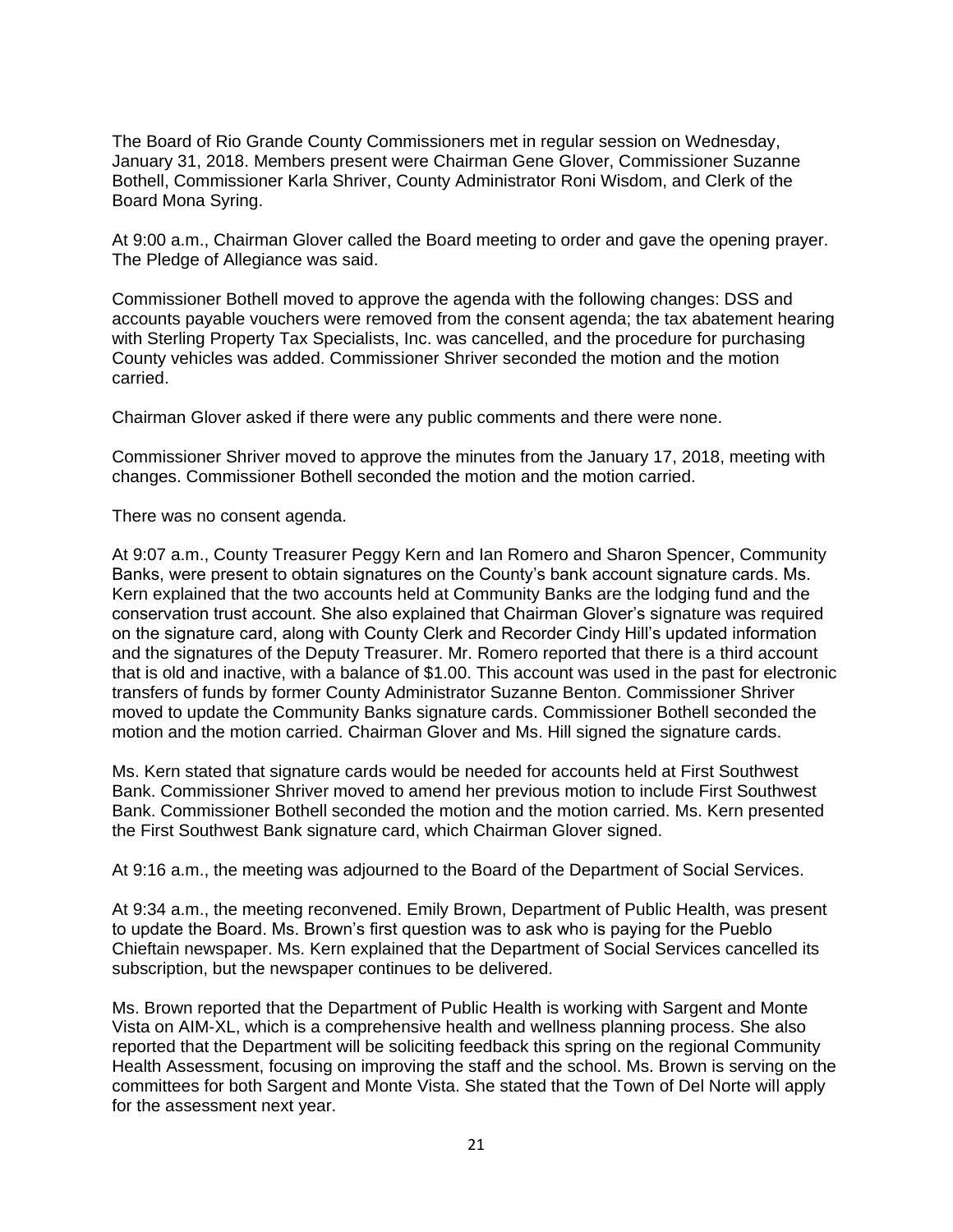The Board of Rio Grande County Commissioners met in regular session on Wednesday, January 31, 2018. Members present were Chairman Gene Glover, Commissioner Suzanne Bothell, Commissioner Karla Shriver, County Administrator Roni Wisdom, and Clerk of the Board Mona Syring.

At 9:00 a.m., Chairman Glover called the Board meeting to order and gave the opening prayer. The Pledge of Allegiance was said.

Commissioner Bothell moved to approve the agenda with the following changes: DSS and accounts payable vouchers were removed from the consent agenda; the tax abatement hearing with Sterling Property Tax Specialists, Inc. was cancelled, and the procedure for purchasing County vehicles was added. Commissioner Shriver seconded the motion and the motion carried.

Chairman Glover asked if there were any public comments and there were none.

Commissioner Shriver moved to approve the minutes from the January 17, 2018, meeting with changes. Commissioner Bothell seconded the motion and the motion carried.

There was no consent agenda.

At 9:07 a.m., County Treasurer Peggy Kern and Ian Romero and Sharon Spencer, Community Banks, were present to obtain signatures on the County's bank account signature cards. Ms. Kern explained that the two accounts held at Community Banks are the lodging fund and the conservation trust account. She also explained that Chairman Glover's signature was required on the signature card, along with County Clerk and Recorder Cindy Hill's updated information and the signatures of the Deputy Treasurer. Mr. Romero reported that there is a third account that is old and inactive, with a balance of \$1.00. This account was used in the past for electronic transfers of funds by former County Administrator Suzanne Benton. Commissioner Shriver moved to update the Community Banks signature cards. Commissioner Bothell seconded the motion and the motion carried. Chairman Glover and Ms. Hill signed the signature cards.

Ms. Kern stated that signature cards would be needed for accounts held at First Southwest Bank. Commissioner Shriver moved to amend her previous motion to include First Southwest Bank. Commissioner Bothell seconded the motion and the motion carried. Ms. Kern presented the First Southwest Bank signature card, which Chairman Glover signed.

At 9:16 a.m., the meeting was adjourned to the Board of the Department of Social Services.

At 9:34 a.m., the meeting reconvened. Emily Brown, Department of Public Health, was present to update the Board. Ms. Brown's first question was to ask who is paying for the Pueblo Chieftain newspaper. Ms. Kern explained that the Department of Social Services cancelled its subscription, but the newspaper continues to be delivered.

Ms. Brown reported that the Department of Public Health is working with Sargent and Monte Vista on AIM-XL, which is a comprehensive health and wellness planning process. She also reported that the Department will be soliciting feedback this spring on the regional Community Health Assessment, focusing on improving the staff and the school. Ms. Brown is serving on the committees for both Sargent and Monte Vista. She stated that the Town of Del Norte will apply for the assessment next year.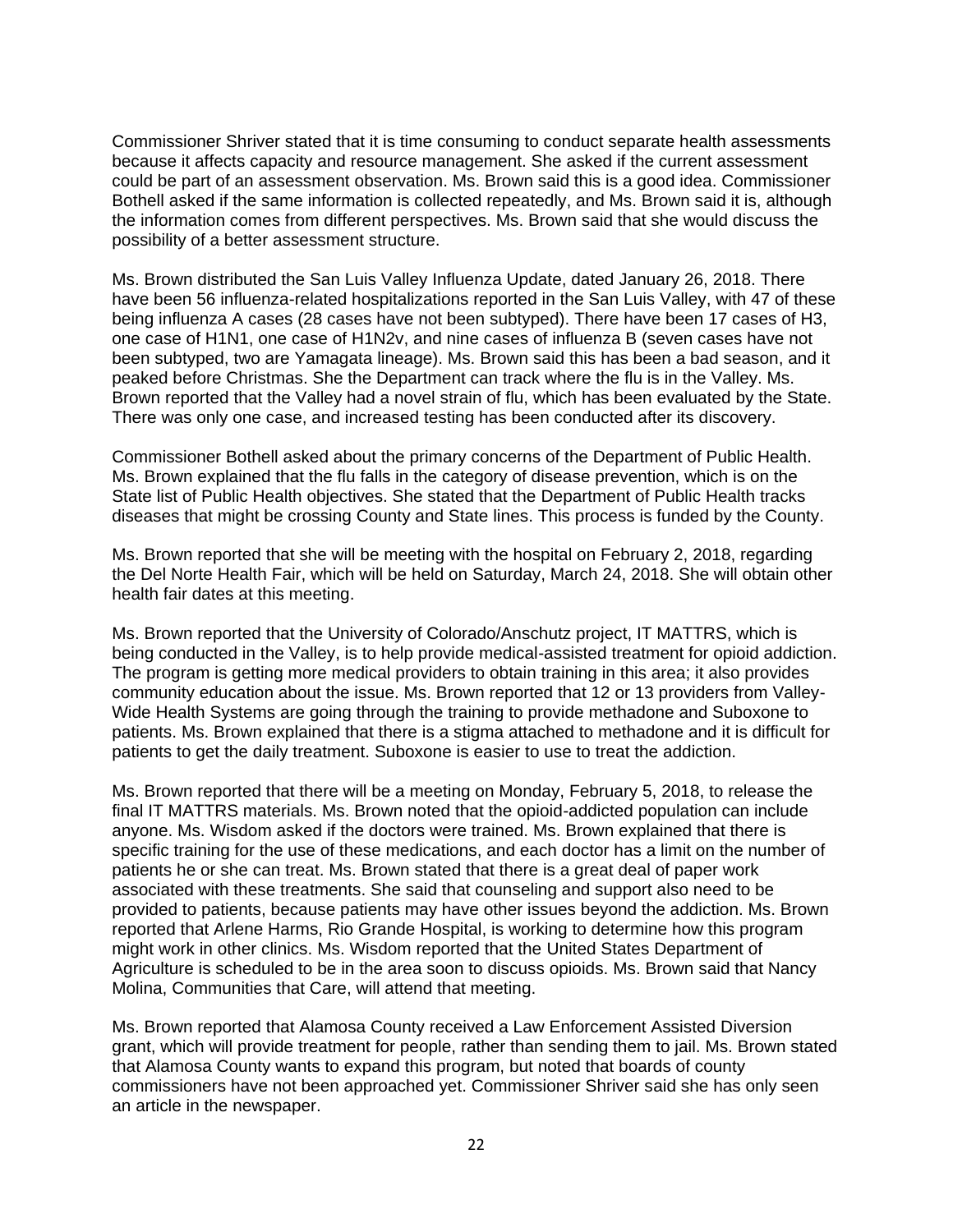Commissioner Shriver stated that it is time consuming to conduct separate health assessments because it affects capacity and resource management. She asked if the current assessment could be part of an assessment observation. Ms. Brown said this is a good idea. Commissioner Bothell asked if the same information is collected repeatedly, and Ms. Brown said it is, although the information comes from different perspectives. Ms. Brown said that she would discuss the possibility of a better assessment structure.

Ms. Brown distributed the San Luis Valley Influenza Update, dated January 26, 2018. There have been 56 influenza-related hospitalizations reported in the San Luis Valley, with 47 of these being influenza A cases (28 cases have not been subtyped). There have been 17 cases of H3, one case of H1N1, one case of H1N2v, and nine cases of influenza B (seven cases have not been subtyped, two are Yamagata lineage). Ms. Brown said this has been a bad season, and it peaked before Christmas. She the Department can track where the flu is in the Valley. Ms. Brown reported that the Valley had a novel strain of flu, which has been evaluated by the State. There was only one case, and increased testing has been conducted after its discovery.

Commissioner Bothell asked about the primary concerns of the Department of Public Health. Ms. Brown explained that the flu falls in the category of disease prevention, which is on the State list of Public Health objectives. She stated that the Department of Public Health tracks diseases that might be crossing County and State lines. This process is funded by the County.

Ms. Brown reported that she will be meeting with the hospital on February 2, 2018, regarding the Del Norte Health Fair, which will be held on Saturday, March 24, 2018. She will obtain other health fair dates at this meeting.

Ms. Brown reported that the University of Colorado/Anschutz project, IT MATTRS, which is being conducted in the Valley, is to help provide medical-assisted treatment for opioid addiction. The program is getting more medical providers to obtain training in this area; it also provides community education about the issue. Ms. Brown reported that 12 or 13 providers from Valley-Wide Health Systems are going through the training to provide methadone and Suboxone to patients. Ms. Brown explained that there is a stigma attached to methadone and it is difficult for patients to get the daily treatment. Suboxone is easier to use to treat the addiction.

Ms. Brown reported that there will be a meeting on Monday, February 5, 2018, to release the final IT MATTRS materials. Ms. Brown noted that the opioid-addicted population can include anyone. Ms. Wisdom asked if the doctors were trained. Ms. Brown explained that there is specific training for the use of these medications, and each doctor has a limit on the number of patients he or she can treat. Ms. Brown stated that there is a great deal of paper work associated with these treatments. She said that counseling and support also need to be provided to patients, because patients may have other issues beyond the addiction. Ms. Brown reported that Arlene Harms, Rio Grande Hospital, is working to determine how this program might work in other clinics. Ms. Wisdom reported that the United States Department of Agriculture is scheduled to be in the area soon to discuss opioids. Ms. Brown said that Nancy Molina, Communities that Care, will attend that meeting.

Ms. Brown reported that Alamosa County received a Law Enforcement Assisted Diversion grant, which will provide treatment for people, rather than sending them to jail. Ms. Brown stated that Alamosa County wants to expand this program, but noted that boards of county commissioners have not been approached yet. Commissioner Shriver said she has only seen an article in the newspaper.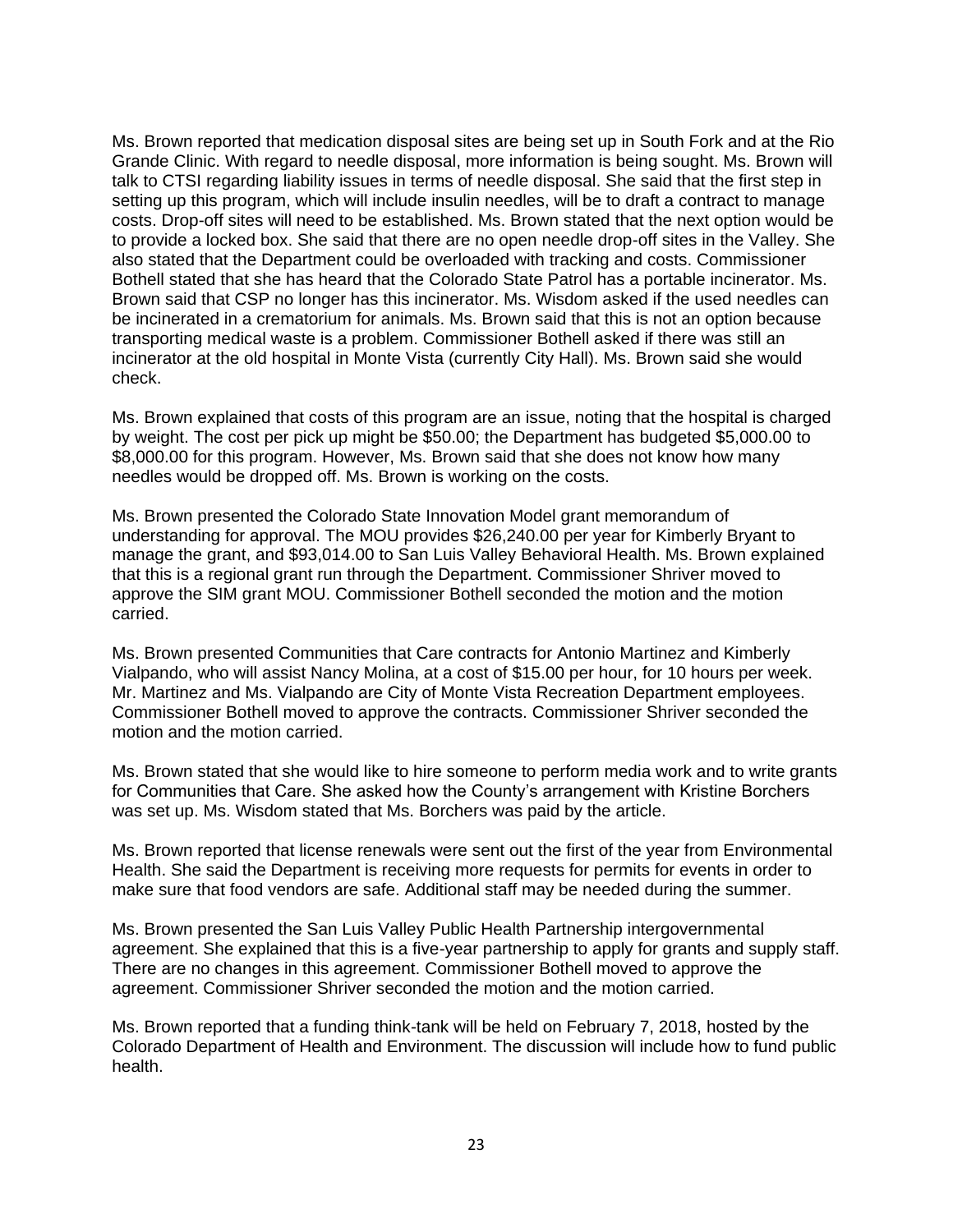Ms. Brown reported that medication disposal sites are being set up in South Fork and at the Rio Grande Clinic. With regard to needle disposal, more information is being sought. Ms. Brown will talk to CTSI regarding liability issues in terms of needle disposal. She said that the first step in setting up this program, which will include insulin needles, will be to draft a contract to manage costs. Drop-off sites will need to be established. Ms. Brown stated that the next option would be to provide a locked box. She said that there are no open needle drop-off sites in the Valley. She also stated that the Department could be overloaded with tracking and costs. Commissioner Bothell stated that she has heard that the Colorado State Patrol has a portable incinerator. Ms. Brown said that CSP no longer has this incinerator. Ms. Wisdom asked if the used needles can be incinerated in a crematorium for animals. Ms. Brown said that this is not an option because transporting medical waste is a problem. Commissioner Bothell asked if there was still an incinerator at the old hospital in Monte Vista (currently City Hall). Ms. Brown said she would check.

Ms. Brown explained that costs of this program are an issue, noting that the hospital is charged by weight. The cost per pick up might be \$50.00; the Department has budgeted \$5,000.00 to \$8,000.00 for this program. However, Ms. Brown said that she does not know how many needles would be dropped off. Ms. Brown is working on the costs.

Ms. Brown presented the Colorado State Innovation Model grant memorandum of understanding for approval. The MOU provides \$26,240.00 per year for Kimberly Bryant to manage the grant, and \$93,014.00 to San Luis Valley Behavioral Health. Ms. Brown explained that this is a regional grant run through the Department. Commissioner Shriver moved to approve the SIM grant MOU. Commissioner Bothell seconded the motion and the motion carried.

Ms. Brown presented Communities that Care contracts for Antonio Martinez and Kimberly Vialpando, who will assist Nancy Molina, at a cost of \$15.00 per hour, for 10 hours per week. Mr. Martinez and Ms. Vialpando are City of Monte Vista Recreation Department employees. Commissioner Bothell moved to approve the contracts. Commissioner Shriver seconded the motion and the motion carried.

Ms. Brown stated that she would like to hire someone to perform media work and to write grants for Communities that Care. She asked how the County's arrangement with Kristine Borchers was set up. Ms. Wisdom stated that Ms. Borchers was paid by the article.

Ms. Brown reported that license renewals were sent out the first of the year from Environmental Health. She said the Department is receiving more requests for permits for events in order to make sure that food vendors are safe. Additional staff may be needed during the summer.

Ms. Brown presented the San Luis Valley Public Health Partnership intergovernmental agreement. She explained that this is a five-year partnership to apply for grants and supply staff. There are no changes in this agreement. Commissioner Bothell moved to approve the agreement. Commissioner Shriver seconded the motion and the motion carried.

Ms. Brown reported that a funding think-tank will be held on February 7, 2018, hosted by the Colorado Department of Health and Environment. The discussion will include how to fund public health.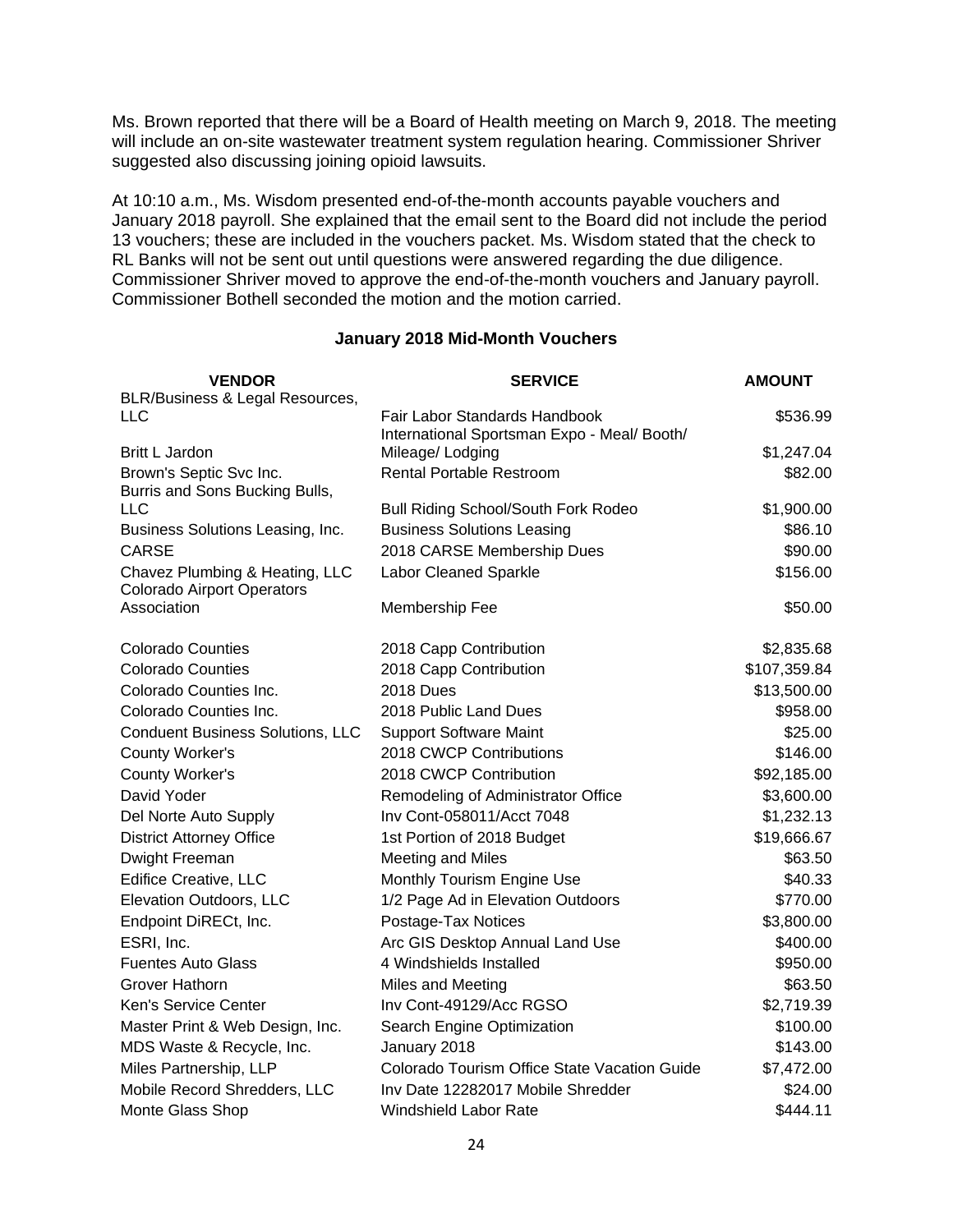Ms. Brown reported that there will be a Board of Health meeting on March 9, 2018. The meeting will include an on-site wastewater treatment system regulation hearing. Commissioner Shriver suggested also discussing joining opioid lawsuits.

At 10:10 a.m., Ms. Wisdom presented end-of-the-month accounts payable vouchers and January 2018 payroll. She explained that the email sent to the Board did not include the period 13 vouchers; these are included in the vouchers packet. Ms. Wisdom stated that the check to RL Banks will not be sent out until questions were answered regarding the due diligence. Commissioner Shriver moved to approve the end-of-the-month vouchers and January payroll. Commissioner Bothell seconded the motion and the motion carried.

#### **January 2018 Mid-Month Vouchers**

| <b>VENDOR</b>                           | <b>SERVICE</b>                                                  | <b>AMOUNT</b> |
|-----------------------------------------|-----------------------------------------------------------------|---------------|
| BLR/Business & Legal Resources,         |                                                                 |               |
| <b>LLC</b>                              | Fair Labor Standards Handbook                                   | \$536.99      |
| Britt L Jardon                          | International Sportsman Expo - Meal/ Booth/<br>Mileage/ Lodging | \$1,247.04    |
| Brown's Septic Svc Inc.                 | <b>Rental Portable Restroom</b>                                 | \$82.00       |
| Burris and Sons Bucking Bulls,          |                                                                 |               |
| <b>LLC</b>                              | <b>Bull Riding School/South Fork Rodeo</b>                      | \$1,900.00    |
| Business Solutions Leasing, Inc.        | <b>Business Solutions Leasing</b>                               | \$86.10       |
| <b>CARSE</b>                            | 2018 CARSE Membership Dues                                      | \$90.00       |
| Chavez Plumbing & Heating, LLC          | Labor Cleaned Sparkle                                           | \$156.00      |
| <b>Colorado Airport Operators</b>       |                                                                 |               |
| Association                             | Membership Fee                                                  | \$50.00       |
| <b>Colorado Counties</b>                | 2018 Capp Contribution                                          | \$2,835.68    |
| <b>Colorado Counties</b>                | 2018 Capp Contribution                                          | \$107,359.84  |
| Colorado Counties Inc.                  | <b>2018 Dues</b>                                                | \$13,500.00   |
| Colorado Counties Inc.                  | 2018 Public Land Dues                                           | \$958.00      |
| <b>Conduent Business Solutions, LLC</b> | <b>Support Software Maint</b>                                   | \$25.00       |
| County Worker's                         | 2018 CWCP Contributions                                         | \$146.00      |
| County Worker's                         | 2018 CWCP Contribution                                          | \$92,185.00   |
| David Yoder                             | Remodeling of Administrator Office                              | \$3,600.00    |
| Del Norte Auto Supply                   | Inv Cont-058011/Acct 7048                                       | \$1,232.13    |
| <b>District Attorney Office</b>         | 1st Portion of 2018 Budget                                      | \$19,666.67   |
| Dwight Freeman                          | Meeting and Miles                                               | \$63.50       |
| <b>Edifice Creative, LLC</b>            | Monthly Tourism Engine Use                                      | \$40.33       |
| Elevation Outdoors, LLC                 | 1/2 Page Ad in Elevation Outdoors                               | \$770.00      |
| Endpoint DiRECt, Inc.                   | Postage-Tax Notices                                             | \$3,800.00    |
| ESRI, Inc.                              | Arc GIS Desktop Annual Land Use                                 | \$400.00      |
| <b>Fuentes Auto Glass</b>               | 4 Windshields Installed                                         | \$950.00      |
| Grover Hathorn                          | Miles and Meeting                                               | \$63.50       |
| Ken's Service Center                    | Inv Cont-49129/Acc RGSO                                         | \$2,719.39    |
| Master Print & Web Design, Inc.         | Search Engine Optimization                                      | \$100.00      |
| MDS Waste & Recycle, Inc.               | January 2018                                                    | \$143.00      |
| Miles Partnership, LLP                  | Colorado Tourism Office State Vacation Guide                    | \$7,472.00    |
| Mobile Record Shredders, LLC            | Inv Date 12282017 Mobile Shredder                               | \$24.00       |
| Monte Glass Shop                        | <b>Windshield Labor Rate</b>                                    | \$444.11      |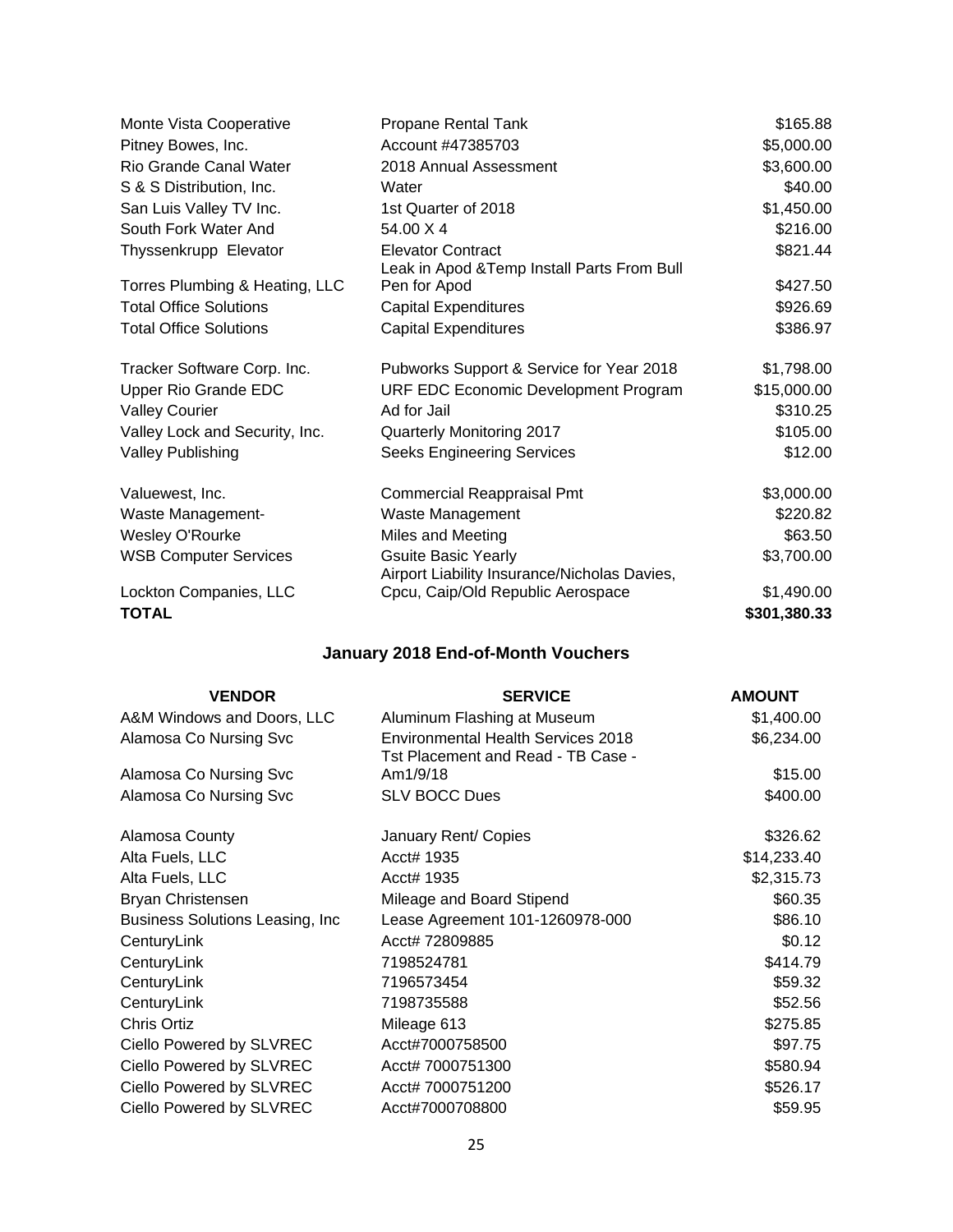| Monte Vista Cooperative        | Propane Rental Tank                                                        | \$165.88     |
|--------------------------------|----------------------------------------------------------------------------|--------------|
| Pitney Bowes, Inc.             | Account #47385703                                                          | \$5,000.00   |
| Rio Grande Canal Water         | 2018 Annual Assessment                                                     | \$3,600.00   |
| S & S Distribution, Inc.       | Water                                                                      | \$40.00      |
| San Luis Valley TV Inc.        | 1st Quarter of 2018                                                        | \$1,450.00   |
| South Fork Water And           | 54.00 X 4                                                                  | \$216.00     |
| Thyssenkrupp Elevator          | <b>Elevator Contract</b><br>Leak in Apod & Temp Install Parts From Bull    | \$821.44     |
| Torres Plumbing & Heating, LLC | Pen for Apod                                                               | \$427.50     |
| <b>Total Office Solutions</b>  | <b>Capital Expenditures</b>                                                | \$926.69     |
| <b>Total Office Solutions</b>  | <b>Capital Expenditures</b>                                                | \$386.97     |
| Tracker Software Corp. Inc.    | Pubworks Support & Service for Year 2018                                   | \$1,798.00   |
| <b>Upper Rio Grande EDC</b>    | URF EDC Economic Development Program                                       | \$15,000.00  |
| <b>Valley Courier</b>          | Ad for Jail                                                                | \$310.25     |
| Valley Lock and Security, Inc. | Quarterly Monitoring 2017                                                  | \$105.00     |
| <b>Valley Publishing</b>       | <b>Seeks Engineering Services</b>                                          | \$12.00      |
| Valuewest, Inc.                | <b>Commercial Reappraisal Pmt</b>                                          | \$3,000.00   |
| Waste Management-              | Waste Management                                                           | \$220.82     |
| Wesley O'Rourke                | Miles and Meeting                                                          | \$63.50      |
| <b>WSB Computer Services</b>   | <b>Gsuite Basic Yearly</b><br>Airport Liability Insurance/Nicholas Davies, | \$3,700.00   |
| Lockton Companies, LLC         | Cpcu, Caip/Old Republic Aerospace                                          | \$1,490.00   |
| TOTAL                          |                                                                            | \$301,380.33 |

# **January 2018 End-of-Month Vouchers**

| <b>VENDOR</b>                    | <b>SERVICE</b>                                                                  | <b>AMOUNT</b> |
|----------------------------------|---------------------------------------------------------------------------------|---------------|
| A&M Windows and Doors, LLC       | Aluminum Flashing at Museum                                                     | \$1,400.00    |
| Alamosa Co Nursing Svc           | <b>Environmental Health Services 2018</b><br>Tst Placement and Read - TB Case - | \$6,234.00    |
| Alamosa Co Nursing Svc           | Am1/9/18                                                                        | \$15.00       |
| Alamosa Co Nursing Svc           | <b>SLV BOCC Dues</b>                                                            | \$400.00      |
| Alamosa County                   | January Rent/ Copies                                                            | \$326.62      |
| Alta Fuels, LLC                  | Acct# 1935                                                                      | \$14,233.40   |
| Alta Fuels, LLC                  | Acct# 1935                                                                      | \$2,315.73    |
| Bryan Christensen                | Mileage and Board Stipend                                                       | \$60.35       |
| Business Solutions Leasing, Inc. | Lease Agreement 101-1260978-000                                                 | \$86.10       |
| CenturyLink                      | Acct# 72809885                                                                  | \$0.12        |
| CenturyLink                      | 7198524781                                                                      | \$414.79      |
| CenturyLink                      | 7196573454                                                                      | \$59.32       |
| CenturyLink                      | 7198735588                                                                      | \$52.56       |
| Chris Ortiz                      | Mileage 613                                                                     | \$275.85      |
| Ciello Powered by SLVREC         | Acct#7000758500                                                                 | \$97.75       |
| Ciello Powered by SLVREC         | Acct# 7000751300                                                                | \$580.94      |
| Ciello Powered by SLVREC         | Acct# 7000751200                                                                | \$526.17      |
| Ciello Powered by SLVREC         | Acct#7000708800                                                                 | \$59.95       |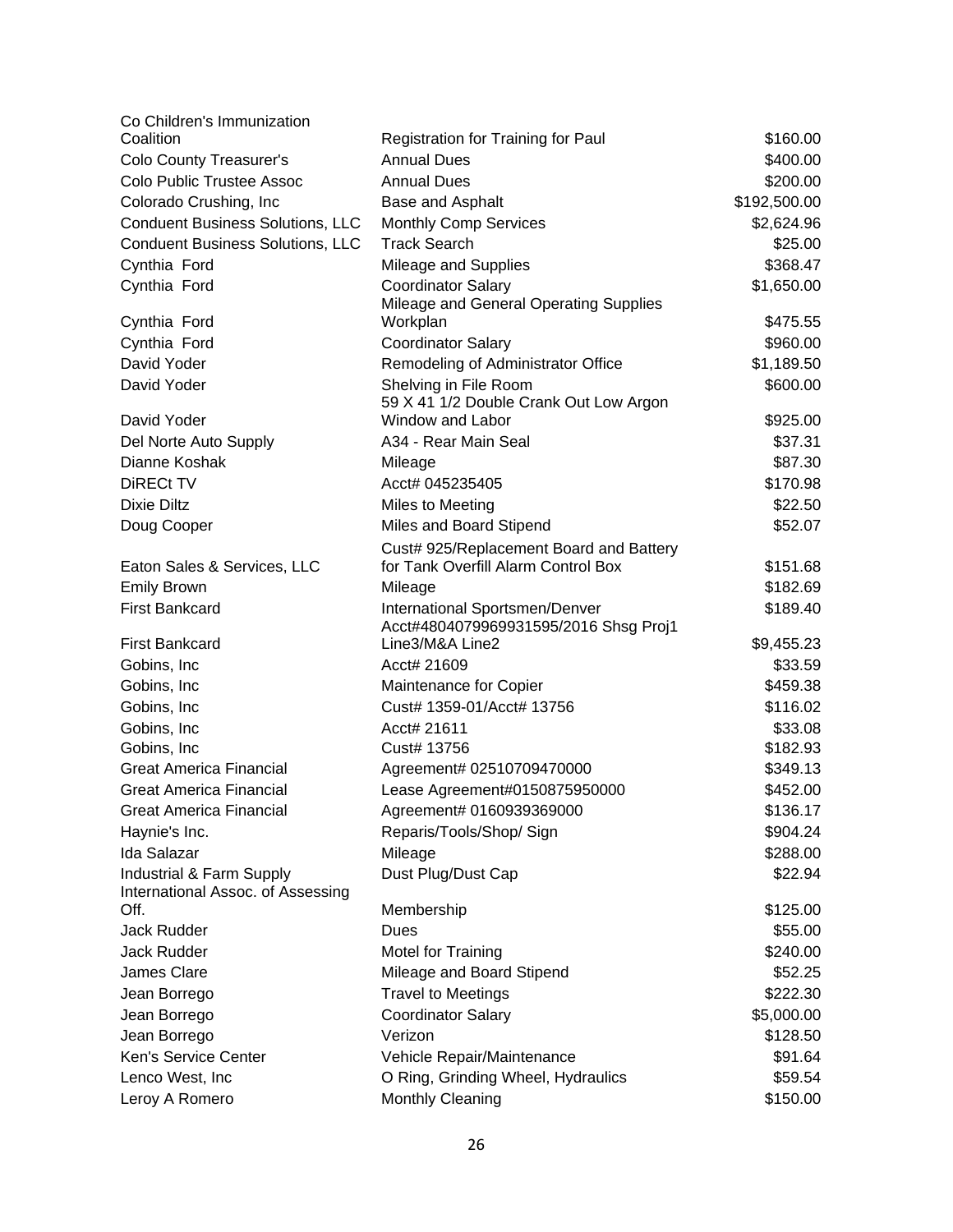| Co Children's Immunization                                    |                                                                         |              |
|---------------------------------------------------------------|-------------------------------------------------------------------------|--------------|
| Coalition                                                     | Registration for Training for Paul                                      | \$160.00     |
| <b>Colo County Treasurer's</b>                                | <b>Annual Dues</b>                                                      | \$400.00     |
| Colo Public Trustee Assoc                                     | <b>Annual Dues</b>                                                      | \$200.00     |
| Colorado Crushing, Inc                                        | Base and Asphalt                                                        | \$192,500.00 |
| <b>Conduent Business Solutions, LLC</b>                       | <b>Monthly Comp Services</b>                                            | \$2,624.96   |
| <b>Conduent Business Solutions, LLC</b>                       | <b>Track Search</b>                                                     | \$25.00      |
| Cynthia Ford                                                  | Mileage and Supplies                                                    | \$368.47     |
| Cynthia Ford                                                  | <b>Coordinator Salary</b><br>Mileage and General Operating Supplies     | \$1,650.00   |
| Cynthia Ford                                                  | Workplan                                                                | \$475.55     |
| Cynthia Ford                                                  | <b>Coordinator Salary</b>                                               | \$960.00     |
| David Yoder                                                   | Remodeling of Administrator Office                                      | \$1,189.50   |
| David Yoder                                                   | Shelving in File Room<br>59 X 41 1/2 Double Crank Out Low Argon         | \$600.00     |
| David Yoder                                                   | Window and Labor                                                        | \$925.00     |
| Del Norte Auto Supply                                         | A34 - Rear Main Seal                                                    | \$37.31      |
| Dianne Koshak                                                 | Mileage                                                                 | \$87.30      |
| DiRECt TV                                                     | Acct# 045235405                                                         | \$170.98     |
| <b>Dixie Diltz</b>                                            | Miles to Meeting                                                        | \$22.50      |
| Doug Cooper                                                   | Miles and Board Stipend                                                 | \$52.07      |
|                                                               | Cust# 925/Replacement Board and Battery                                 |              |
| Eaton Sales & Services, LLC                                   | for Tank Overfill Alarm Control Box                                     | \$151.68     |
| <b>Emily Brown</b>                                            | Mileage                                                                 | \$182.69     |
| <b>First Bankcard</b>                                         | International Sportsmen/Denver<br>Acct#4804079969931595/2016 Shsg Proj1 | \$189.40     |
| <b>First Bankcard</b>                                         | Line3/M&A Line2                                                         | \$9,455.23   |
| Gobins, Inc.                                                  | Acct# 21609                                                             | \$33.59      |
| Gobins, Inc.                                                  | Maintenance for Copier                                                  | \$459.38     |
| Gobins, Inc.                                                  | Cust# 1359-01/Acct# 13756                                               | \$116.02     |
| Gobins, Inc                                                   | Acct# 21611                                                             | \$33.08      |
| Gobins, Inc.                                                  | Cust# 13756                                                             | \$182.93     |
| <b>Great America Financial</b>                                | Agreement# 02510709470000                                               | \$349.13     |
| <b>Great America Financial</b>                                | Lease Agreement#0150875950000                                           | \$452.00     |
| <b>Great America Financial</b>                                | Agreement# 0160939369000                                                | \$136.17     |
| Haynie's Inc.                                                 | Reparis/Tools/Shop/ Sign                                                | \$904.24     |
| <b>Ida Salazar</b>                                            | Mileage                                                                 | \$288.00     |
| Industrial & Farm Supply<br>International Assoc. of Assessing | Dust Plug/Dust Cap                                                      | \$22.94      |
| Off.                                                          | Membership                                                              | \$125.00     |
| Jack Rudder                                                   | Dues                                                                    | \$55.00      |
| Jack Rudder                                                   | <b>Motel for Training</b>                                               | \$240.00     |
| <b>James Clare</b>                                            | Mileage and Board Stipend                                               | \$52.25      |
| Jean Borrego                                                  | <b>Travel to Meetings</b>                                               | \$222.30     |
| Jean Borrego                                                  | <b>Coordinator Salary</b>                                               | \$5,000.00   |
| Jean Borrego                                                  | Verizon                                                                 | \$128.50     |
| Ken's Service Center                                          | Vehicle Repair/Maintenance                                              | \$91.64      |
| Lenco West, Inc                                               | O Ring, Grinding Wheel, Hydraulics                                      | \$59.54      |
| Leroy A Romero                                                | Monthly Cleaning                                                        | \$150.00     |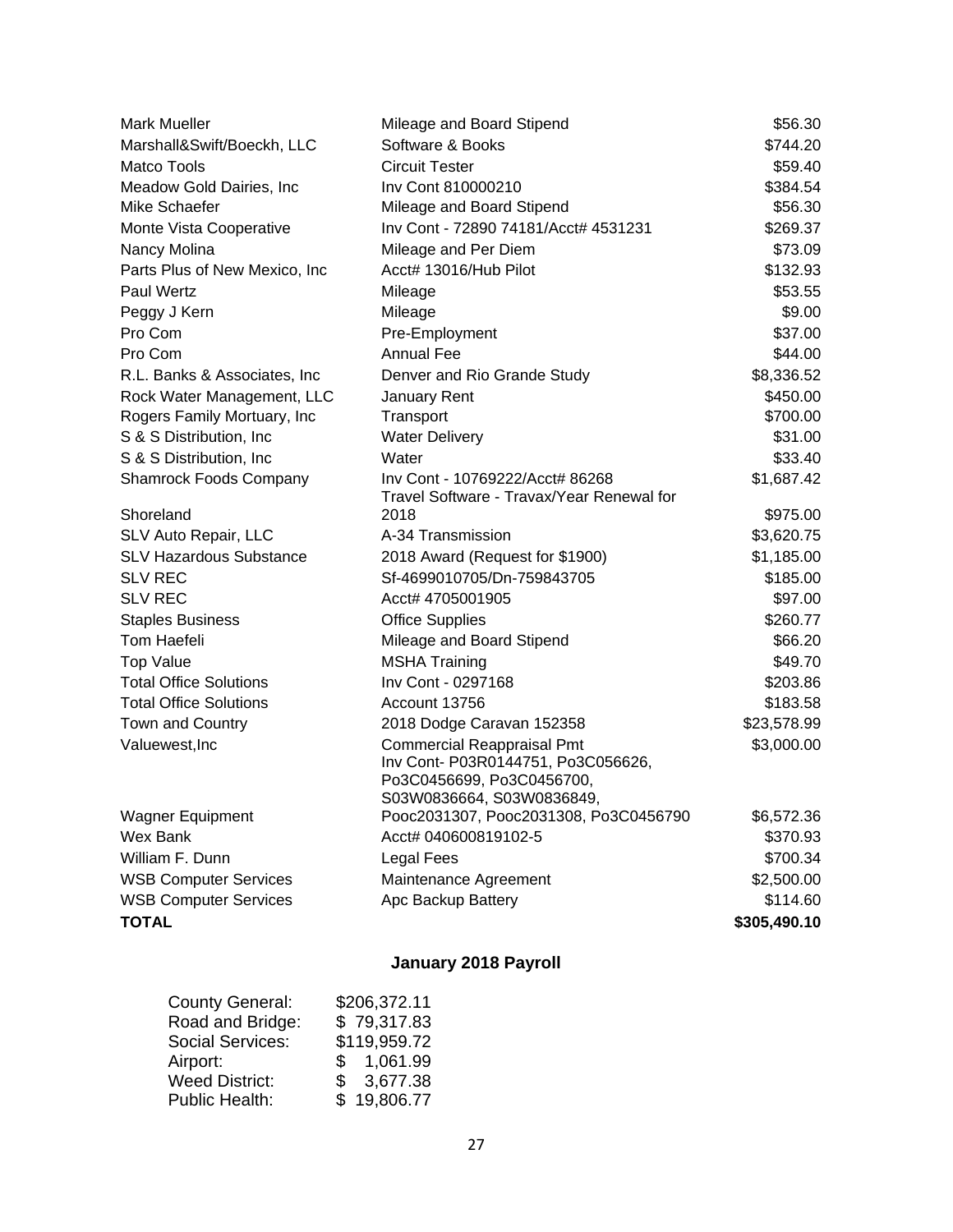| <b>Mark Mueller</b>            | Mileage and Board Stipend                                                                                                         | \$56.30      |
|--------------------------------|-----------------------------------------------------------------------------------------------------------------------------------|--------------|
| Marshall&Swift/Boeckh, LLC     | Software & Books                                                                                                                  | \$744.20     |
| <b>Matco Tools</b>             | <b>Circuit Tester</b>                                                                                                             | \$59.40      |
| Meadow Gold Dairies, Inc       | Inv Cont 810000210                                                                                                                | \$384.54     |
| Mike Schaefer                  | Mileage and Board Stipend                                                                                                         | \$56.30      |
| Monte Vista Cooperative        | Inv Cont - 72890 74181/Acct# 4531231                                                                                              | \$269.37     |
| Nancy Molina                   | Mileage and Per Diem                                                                                                              | \$73.09      |
| Parts Plus of New Mexico, Inc  | Acct# 13016/Hub Pilot                                                                                                             | \$132.93     |
| <b>Paul Wertz</b>              | Mileage                                                                                                                           | \$53.55      |
| Peggy J Kern                   | Mileage                                                                                                                           | \$9.00       |
| Pro Com                        | Pre-Employment                                                                                                                    | \$37.00      |
| Pro Com                        | Annual Fee                                                                                                                        | \$44.00      |
| R.L. Banks & Associates, Inc.  | Denver and Rio Grande Study                                                                                                       | \$8,336.52   |
| Rock Water Management, LLC     | January Rent                                                                                                                      | \$450.00     |
| Rogers Family Mortuary, Inc    | Transport                                                                                                                         | \$700.00     |
| S & S Distribution, Inc.       | <b>Water Delivery</b>                                                                                                             | \$31.00      |
| S & S Distribution, Inc.       | Water                                                                                                                             | \$33.40      |
| <b>Shamrock Foods Company</b>  | Inv Cont - 10769222/Acct# 86268                                                                                                   | \$1,687.42   |
|                                | Travel Software - Travax/Year Renewal for                                                                                         |              |
| Shoreland                      | 2018                                                                                                                              | \$975.00     |
| SLV Auto Repair, LLC           | A-34 Transmission                                                                                                                 | \$3,620.75   |
| <b>SLV Hazardous Substance</b> | 2018 Award (Request for \$1900)                                                                                                   | \$1,185.00   |
| <b>SLV REC</b>                 | Sf-4699010705/Dn-759843705                                                                                                        | \$185.00     |
| <b>SLV REC</b>                 | Acct# 4705001905                                                                                                                  | \$97.00      |
| <b>Staples Business</b>        | <b>Office Supplies</b>                                                                                                            | \$260.77     |
| Tom Haefeli                    | Mileage and Board Stipend                                                                                                         | \$66.20      |
| <b>Top Value</b>               | <b>MSHA Training</b>                                                                                                              | \$49.70      |
| <b>Total Office Solutions</b>  | Inv Cont - 0297168                                                                                                                | \$203.86     |
| <b>Total Office Solutions</b>  | Account 13756                                                                                                                     | \$183.58     |
| Town and Country               | 2018 Dodge Caravan 152358                                                                                                         | \$23,578.99  |
| Valuewest, Inc                 | <b>Commercial Reappraisal Pmt</b><br>Inv Cont- P03R0144751, Po3C056626,<br>Po3C0456699, Po3C0456700,<br>S03W0836664, S03W0836849, | \$3,000.00   |
| Wagner Equipment               | Pooc2031307, Pooc2031308, Po3C0456790                                                                                             | \$6,572.36   |
| Wex Bank                       | Acct# 040600819102-5                                                                                                              | \$370.93     |
| William F. Dunn                | <b>Legal Fees</b>                                                                                                                 | \$700.34     |
| <b>WSB Computer Services</b>   | Maintenance Agreement                                                                                                             | \$2,500.00   |
| <b>WSB Computer Services</b>   | Apc Backup Battery                                                                                                                | \$114.60     |
| <b>TOTAL</b>                   |                                                                                                                                   | \$305,490.10 |

# **January 2018 Payroll**

| <b>County General:</b>  | \$206,372.11             |
|-------------------------|--------------------------|
| Road and Bridge:        | \$79,317.83              |
| <b>Social Services:</b> | \$119,959.72             |
| Airport:                | \$1,061.99               |
| <b>Weed District:</b>   | 3,677.38<br>$\mathbb{S}$ |
| <b>Public Health:</b>   | \$19,806.77              |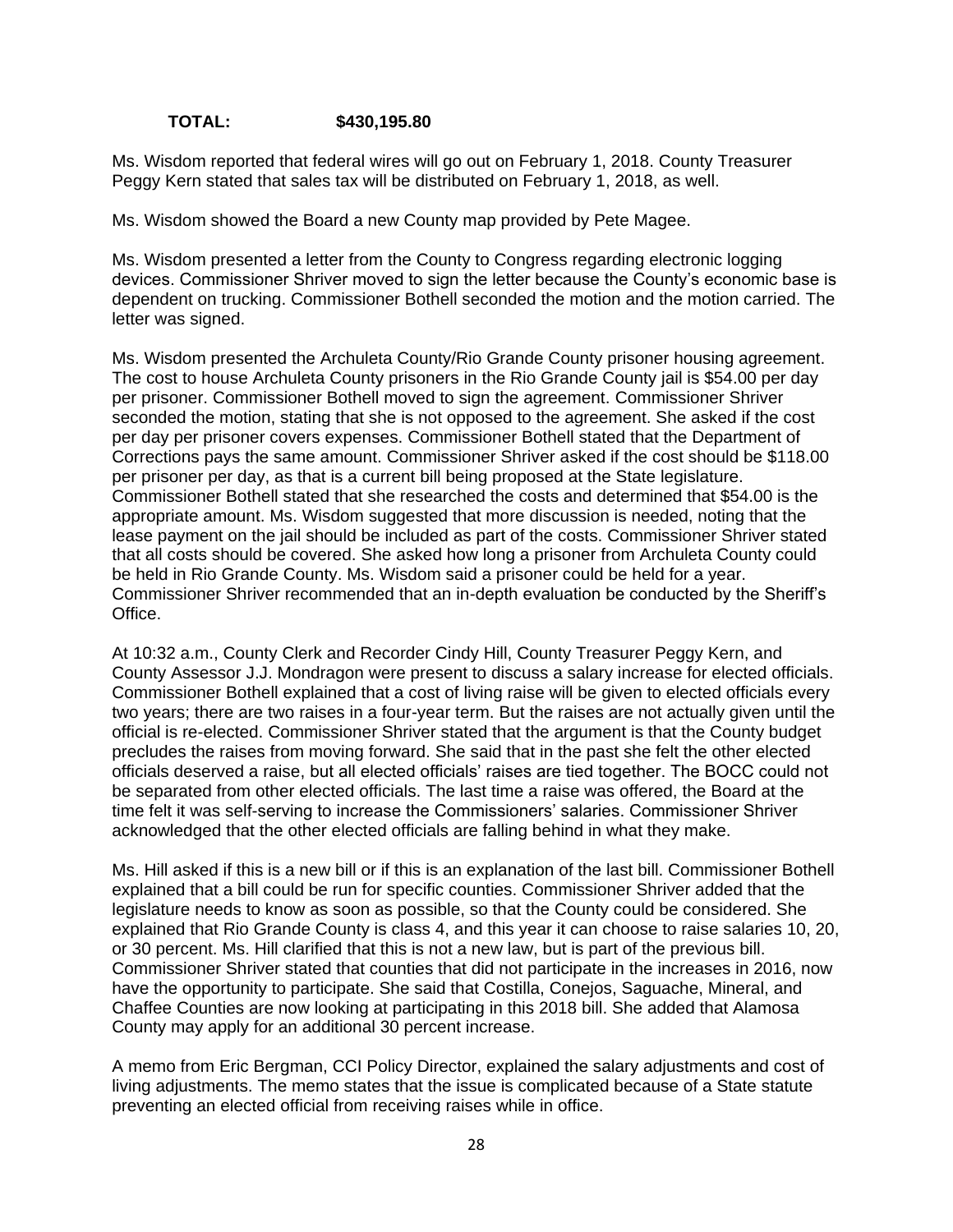**TOTAL: \$430,195.80**

Ms. Wisdom reported that federal wires will go out on February 1, 2018. County Treasurer Peggy Kern stated that sales tax will be distributed on February 1, 2018, as well.

Ms. Wisdom showed the Board a new County map provided by Pete Magee.

Ms. Wisdom presented a letter from the County to Congress regarding electronic logging devices. Commissioner Shriver moved to sign the letter because the County's economic base is dependent on trucking. Commissioner Bothell seconded the motion and the motion carried. The letter was signed.

Ms. Wisdom presented the Archuleta County/Rio Grande County prisoner housing agreement. The cost to house Archuleta County prisoners in the Rio Grande County jail is \$54.00 per day per prisoner. Commissioner Bothell moved to sign the agreement. Commissioner Shriver seconded the motion, stating that she is not opposed to the agreement. She asked if the cost per day per prisoner covers expenses. Commissioner Bothell stated that the Department of Corrections pays the same amount. Commissioner Shriver asked if the cost should be \$118.00 per prisoner per day, as that is a current bill being proposed at the State legislature. Commissioner Bothell stated that she researched the costs and determined that \$54.00 is the appropriate amount. Ms. Wisdom suggested that more discussion is needed, noting that the lease payment on the jail should be included as part of the costs. Commissioner Shriver stated that all costs should be covered. She asked how long a prisoner from Archuleta County could be held in Rio Grande County. Ms. Wisdom said a prisoner could be held for a year. Commissioner Shriver recommended that an in-depth evaluation be conducted by the Sheriff's Office.

At 10:32 a.m., County Clerk and Recorder Cindy Hill, County Treasurer Peggy Kern, and County Assessor J.J. Mondragon were present to discuss a salary increase for elected officials. Commissioner Bothell explained that a cost of living raise will be given to elected officials every two years; there are two raises in a four-year term. But the raises are not actually given until the official is re-elected. Commissioner Shriver stated that the argument is that the County budget precludes the raises from moving forward. She said that in the past she felt the other elected officials deserved a raise, but all elected officials' raises are tied together. The BOCC could not be separated from other elected officials. The last time a raise was offered, the Board at the time felt it was self-serving to increase the Commissioners' salaries. Commissioner Shriver acknowledged that the other elected officials are falling behind in what they make.

Ms. Hill asked if this is a new bill or if this is an explanation of the last bill. Commissioner Bothell explained that a bill could be run for specific counties. Commissioner Shriver added that the legislature needs to know as soon as possible, so that the County could be considered. She explained that Rio Grande County is class 4, and this year it can choose to raise salaries 10, 20, or 30 percent. Ms. Hill clarified that this is not a new law, but is part of the previous bill. Commissioner Shriver stated that counties that did not participate in the increases in 2016, now have the opportunity to participate. She said that Costilla, Conejos, Saguache, Mineral, and Chaffee Counties are now looking at participating in this 2018 bill. She added that Alamosa County may apply for an additional 30 percent increase.

A memo from Eric Bergman, CCI Policy Director, explained the salary adjustments and cost of living adjustments. The memo states that the issue is complicated because of a State statute preventing an elected official from receiving raises while in office.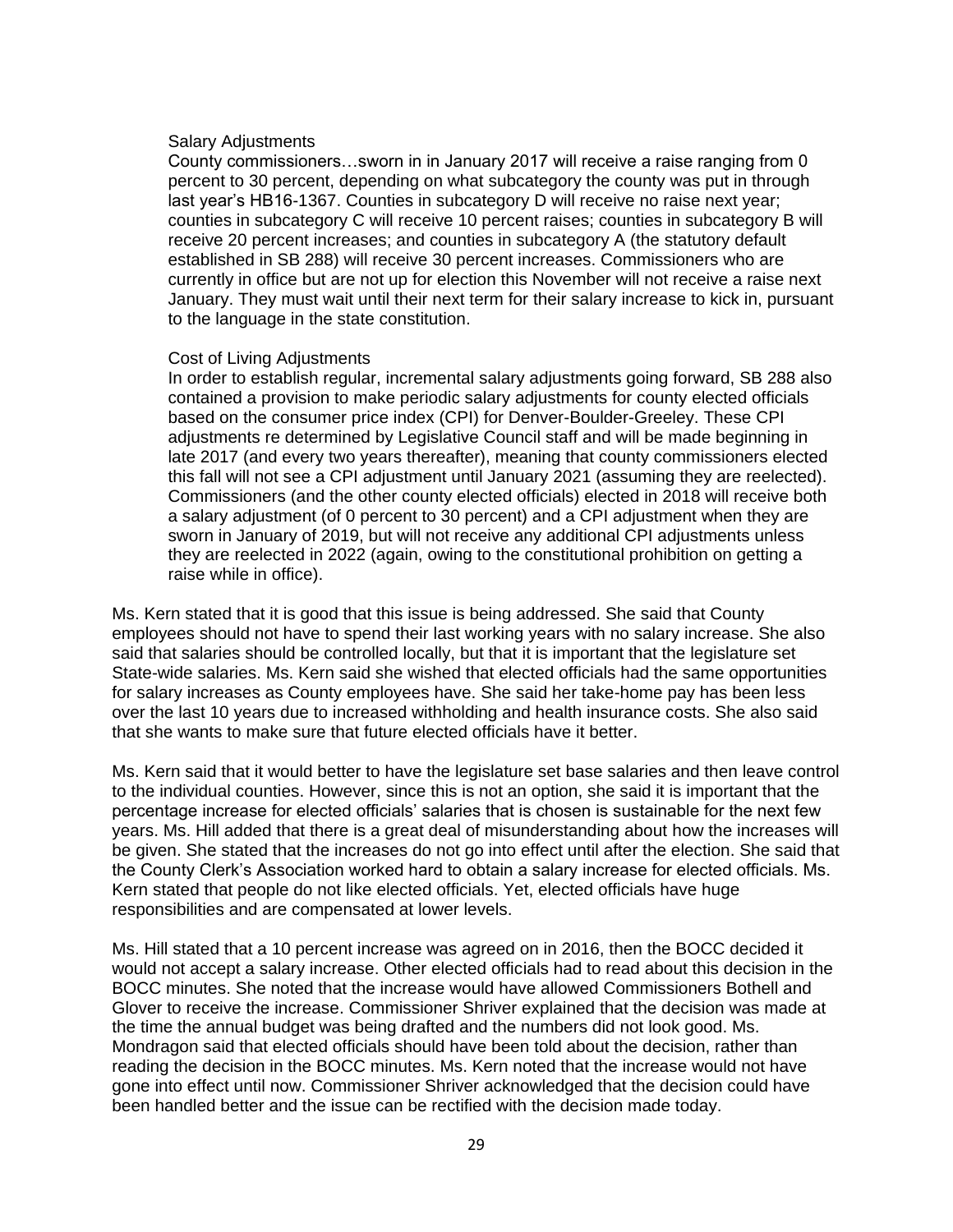#### Salary Adjustments

County commissioners…sworn in in January 2017 will receive a raise ranging from 0 percent to 30 percent, depending on what subcategory the county was put in through last year's HB16-1367. Counties in subcategory D will receive no raise next year; counties in subcategory C will receive 10 percent raises; counties in subcategory B will receive 20 percent increases; and counties in subcategory A (the statutory default established in SB 288) will receive 30 percent increases. Commissioners who are currently in office but are not up for election this November will not receive a raise next January. They must wait until their next term for their salary increase to kick in, pursuant to the language in the state constitution.

#### Cost of Living Adjustments

In order to establish regular, incremental salary adjustments going forward, SB 288 also contained a provision to make periodic salary adjustments for county elected officials based on the consumer price index (CPI) for Denver-Boulder-Greeley. These CPI adjustments re determined by Legislative Council staff and will be made beginning in late 2017 (and every two years thereafter), meaning that county commissioners elected this fall will not see a CPI adjustment until January 2021 (assuming they are reelected). Commissioners (and the other county elected officials) elected in 2018 will receive both a salary adjustment (of 0 percent to 30 percent) and a CPI adjustment when they are sworn in January of 2019, but will not receive any additional CPI adjustments unless they are reelected in 2022 (again, owing to the constitutional prohibition on getting a raise while in office).

Ms. Kern stated that it is good that this issue is being addressed. She said that County employees should not have to spend their last working years with no salary increase. She also said that salaries should be controlled locally, but that it is important that the legislature set State-wide salaries. Ms. Kern said she wished that elected officials had the same opportunities for salary increases as County employees have. She said her take-home pay has been less over the last 10 years due to increased withholding and health insurance costs. She also said that she wants to make sure that future elected officials have it better.

Ms. Kern said that it would better to have the legislature set base salaries and then leave control to the individual counties. However, since this is not an option, she said it is important that the percentage increase for elected officials' salaries that is chosen is sustainable for the next few years. Ms. Hill added that there is a great deal of misunderstanding about how the increases will be given. She stated that the increases do not go into effect until after the election. She said that the County Clerk's Association worked hard to obtain a salary increase for elected officials. Ms. Kern stated that people do not like elected officials. Yet, elected officials have huge responsibilities and are compensated at lower levels.

Ms. Hill stated that a 10 percent increase was agreed on in 2016, then the BOCC decided it would not accept a salary increase. Other elected officials had to read about this decision in the BOCC minutes. She noted that the increase would have allowed Commissioners Bothell and Glover to receive the increase. Commissioner Shriver explained that the decision was made at the time the annual budget was being drafted and the numbers did not look good. Ms. Mondragon said that elected officials should have been told about the decision, rather than reading the decision in the BOCC minutes. Ms. Kern noted that the increase would not have gone into effect until now. Commissioner Shriver acknowledged that the decision could have been handled better and the issue can be rectified with the decision made today.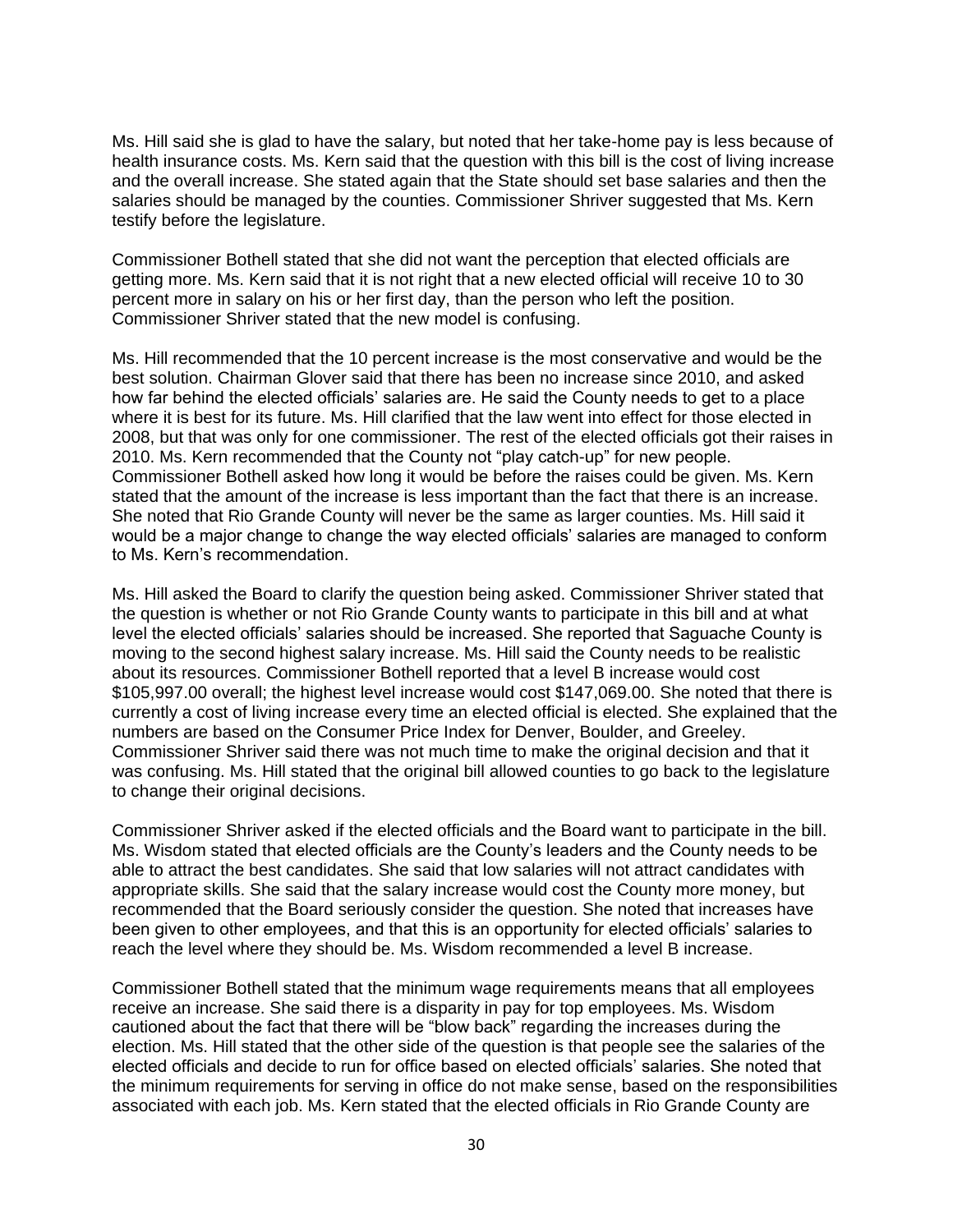Ms. Hill said she is glad to have the salary, but noted that her take-home pay is less because of health insurance costs. Ms. Kern said that the question with this bill is the cost of living increase and the overall increase. She stated again that the State should set base salaries and then the salaries should be managed by the counties. Commissioner Shriver suggested that Ms. Kern testify before the legislature.

Commissioner Bothell stated that she did not want the perception that elected officials are getting more. Ms. Kern said that it is not right that a new elected official will receive 10 to 30 percent more in salary on his or her first day, than the person who left the position. Commissioner Shriver stated that the new model is confusing.

Ms. Hill recommended that the 10 percent increase is the most conservative and would be the best solution. Chairman Glover said that there has been no increase since 2010, and asked how far behind the elected officials' salaries are. He said the County needs to get to a place where it is best for its future. Ms. Hill clarified that the law went into effect for those elected in 2008, but that was only for one commissioner. The rest of the elected officials got their raises in 2010. Ms. Kern recommended that the County not "play catch-up" for new people. Commissioner Bothell asked how long it would be before the raises could be given. Ms. Kern stated that the amount of the increase is less important than the fact that there is an increase. She noted that Rio Grande County will never be the same as larger counties. Ms. Hill said it would be a major change to change the way elected officials' salaries are managed to conform to Ms. Kern's recommendation.

Ms. Hill asked the Board to clarify the question being asked. Commissioner Shriver stated that the question is whether or not Rio Grande County wants to participate in this bill and at what level the elected officials' salaries should be increased. She reported that Saguache County is moving to the second highest salary increase. Ms. Hill said the County needs to be realistic about its resources. Commissioner Bothell reported that a level B increase would cost \$105,997.00 overall; the highest level increase would cost \$147,069.00. She noted that there is currently a cost of living increase every time an elected official is elected. She explained that the numbers are based on the Consumer Price Index for Denver, Boulder, and Greeley. Commissioner Shriver said there was not much time to make the original decision and that it was confusing. Ms. Hill stated that the original bill allowed counties to go back to the legislature to change their original decisions.

Commissioner Shriver asked if the elected officials and the Board want to participate in the bill. Ms. Wisdom stated that elected officials are the County's leaders and the County needs to be able to attract the best candidates. She said that low salaries will not attract candidates with appropriate skills. She said that the salary increase would cost the County more money, but recommended that the Board seriously consider the question. She noted that increases have been given to other employees, and that this is an opportunity for elected officials' salaries to reach the level where they should be. Ms. Wisdom recommended a level B increase.

Commissioner Bothell stated that the minimum wage requirements means that all employees receive an increase. She said there is a disparity in pay for top employees. Ms. Wisdom cautioned about the fact that there will be "blow back" regarding the increases during the election. Ms. Hill stated that the other side of the question is that people see the salaries of the elected officials and decide to run for office based on elected officials' salaries. She noted that the minimum requirements for serving in office do not make sense, based on the responsibilities associated with each job. Ms. Kern stated that the elected officials in Rio Grande County are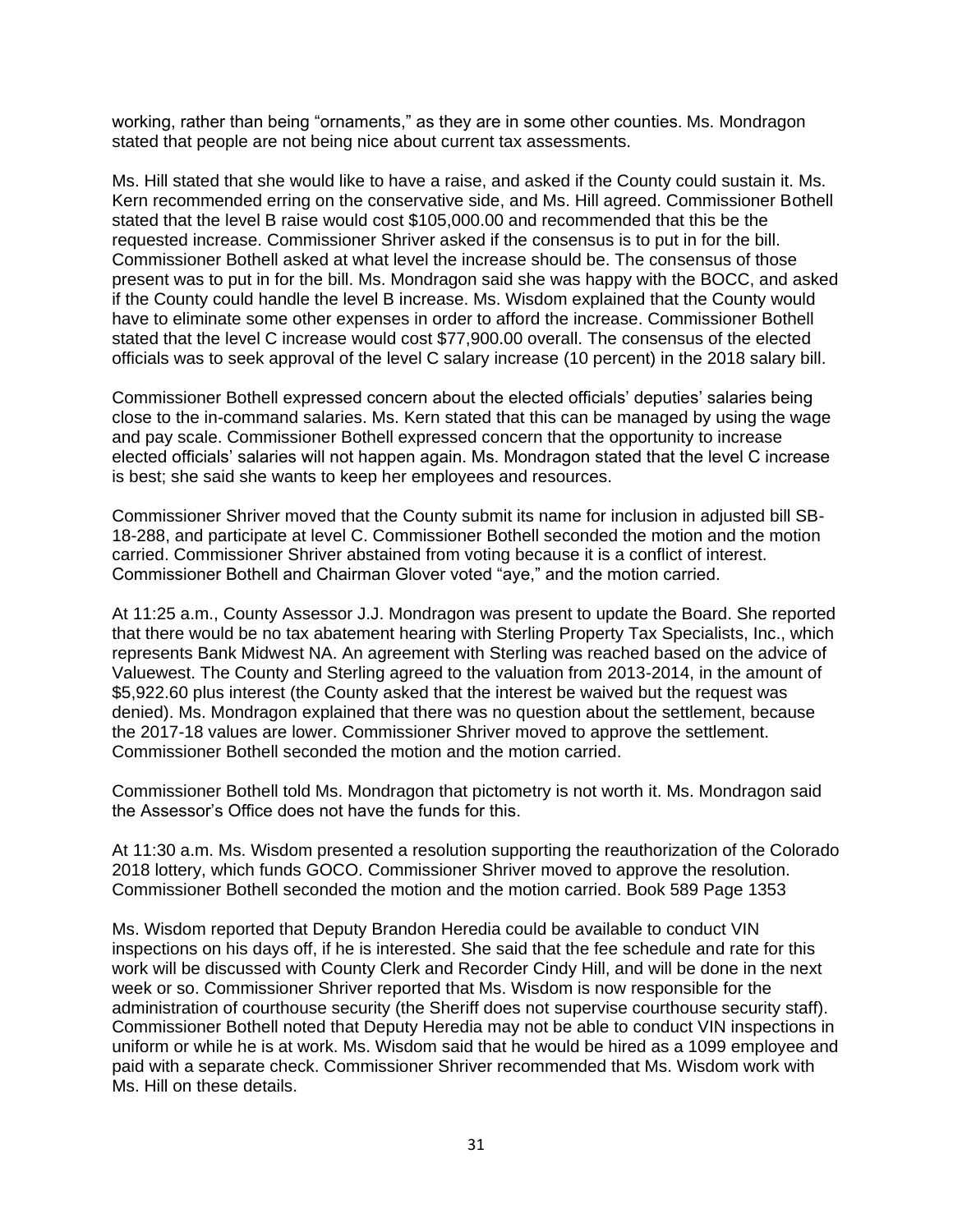working, rather than being "ornaments," as they are in some other counties. Ms. Mondragon stated that people are not being nice about current tax assessments.

Ms. Hill stated that she would like to have a raise, and asked if the County could sustain it. Ms. Kern recommended erring on the conservative side, and Ms. Hill agreed. Commissioner Bothell stated that the level B raise would cost \$105,000.00 and recommended that this be the requested increase. Commissioner Shriver asked if the consensus is to put in for the bill. Commissioner Bothell asked at what level the increase should be. The consensus of those present was to put in for the bill. Ms. Mondragon said she was happy with the BOCC, and asked if the County could handle the level B increase. Ms. Wisdom explained that the County would have to eliminate some other expenses in order to afford the increase. Commissioner Bothell stated that the level C increase would cost \$77,900.00 overall. The consensus of the elected officials was to seek approval of the level C salary increase (10 percent) in the 2018 salary bill.

Commissioner Bothell expressed concern about the elected officials' deputies' salaries being close to the in-command salaries. Ms. Kern stated that this can be managed by using the wage and pay scale. Commissioner Bothell expressed concern that the opportunity to increase elected officials' salaries will not happen again. Ms. Mondragon stated that the level C increase is best; she said she wants to keep her employees and resources.

Commissioner Shriver moved that the County submit its name for inclusion in adjusted bill SB-18-288, and participate at level C. Commissioner Bothell seconded the motion and the motion carried. Commissioner Shriver abstained from voting because it is a conflict of interest. Commissioner Bothell and Chairman Glover voted "aye," and the motion carried.

At 11:25 a.m., County Assessor J.J. Mondragon was present to update the Board. She reported that there would be no tax abatement hearing with Sterling Property Tax Specialists, Inc., which represents Bank Midwest NA. An agreement with Sterling was reached based on the advice of Valuewest. The County and Sterling agreed to the valuation from 2013-2014, in the amount of \$5,922.60 plus interest (the County asked that the interest be waived but the request was denied). Ms. Mondragon explained that there was no question about the settlement, because the 2017-18 values are lower. Commissioner Shriver moved to approve the settlement. Commissioner Bothell seconded the motion and the motion carried.

Commissioner Bothell told Ms. Mondragon that pictometry is not worth it. Ms. Mondragon said the Assessor's Office does not have the funds for this.

At 11:30 a.m. Ms. Wisdom presented a resolution supporting the reauthorization of the Colorado 2018 lottery, which funds GOCO. Commissioner Shriver moved to approve the resolution. Commissioner Bothell seconded the motion and the motion carried. Book 589 Page 1353

Ms. Wisdom reported that Deputy Brandon Heredia could be available to conduct VIN inspections on his days off, if he is interested. She said that the fee schedule and rate for this work will be discussed with County Clerk and Recorder Cindy Hill, and will be done in the next week or so. Commissioner Shriver reported that Ms. Wisdom is now responsible for the administration of courthouse security (the Sheriff does not supervise courthouse security staff). Commissioner Bothell noted that Deputy Heredia may not be able to conduct VIN inspections in uniform or while he is at work. Ms. Wisdom said that he would be hired as a 1099 employee and paid with a separate check. Commissioner Shriver recommended that Ms. Wisdom work with Ms. Hill on these details.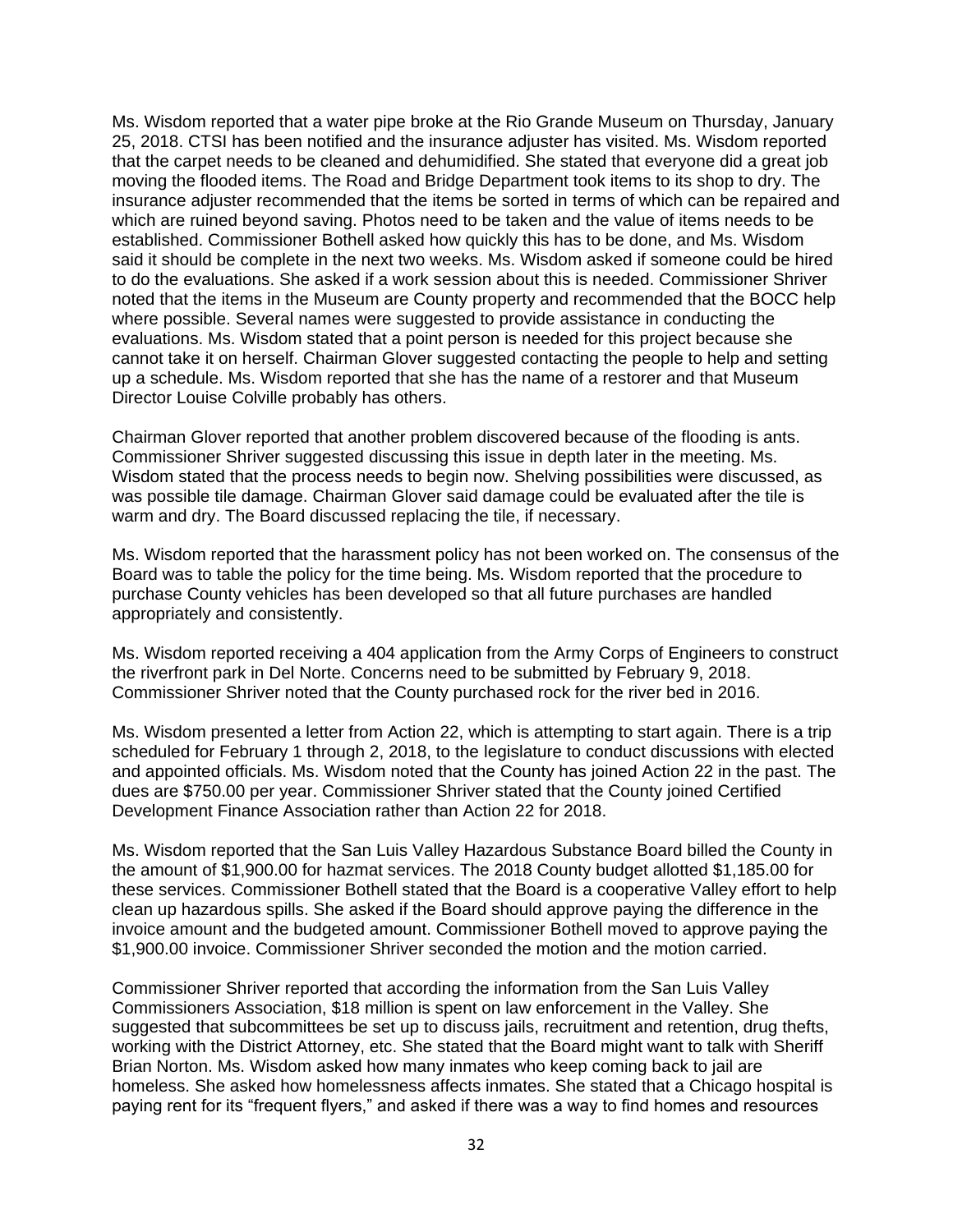Ms. Wisdom reported that a water pipe broke at the Rio Grande Museum on Thursday, January 25, 2018. CTSI has been notified and the insurance adjuster has visited. Ms. Wisdom reported that the carpet needs to be cleaned and dehumidified. She stated that everyone did a great job moving the flooded items. The Road and Bridge Department took items to its shop to dry. The insurance adjuster recommended that the items be sorted in terms of which can be repaired and which are ruined beyond saving. Photos need to be taken and the value of items needs to be established. Commissioner Bothell asked how quickly this has to be done, and Ms. Wisdom said it should be complete in the next two weeks. Ms. Wisdom asked if someone could be hired to do the evaluations. She asked if a work session about this is needed. Commissioner Shriver noted that the items in the Museum are County property and recommended that the BOCC help where possible. Several names were suggested to provide assistance in conducting the evaluations. Ms. Wisdom stated that a point person is needed for this project because she cannot take it on herself. Chairman Glover suggested contacting the people to help and setting up a schedule. Ms. Wisdom reported that she has the name of a restorer and that Museum Director Louise Colville probably has others.

Chairman Glover reported that another problem discovered because of the flooding is ants. Commissioner Shriver suggested discussing this issue in depth later in the meeting. Ms. Wisdom stated that the process needs to begin now. Shelving possibilities were discussed, as was possible tile damage. Chairman Glover said damage could be evaluated after the tile is warm and dry. The Board discussed replacing the tile, if necessary.

Ms. Wisdom reported that the harassment policy has not been worked on. The consensus of the Board was to table the policy for the time being. Ms. Wisdom reported that the procedure to purchase County vehicles has been developed so that all future purchases are handled appropriately and consistently.

Ms. Wisdom reported receiving a 404 application from the Army Corps of Engineers to construct the riverfront park in Del Norte. Concerns need to be submitted by February 9, 2018. Commissioner Shriver noted that the County purchased rock for the river bed in 2016.

Ms. Wisdom presented a letter from Action 22, which is attempting to start again. There is a trip scheduled for February 1 through 2, 2018, to the legislature to conduct discussions with elected and appointed officials. Ms. Wisdom noted that the County has joined Action 22 in the past. The dues are \$750.00 per year. Commissioner Shriver stated that the County joined Certified Development Finance Association rather than Action 22 for 2018.

Ms. Wisdom reported that the San Luis Valley Hazardous Substance Board billed the County in the amount of \$1,900.00 for hazmat services. The 2018 County budget allotted \$1,185.00 for these services. Commissioner Bothell stated that the Board is a cooperative Valley effort to help clean up hazardous spills. She asked if the Board should approve paying the difference in the invoice amount and the budgeted amount. Commissioner Bothell moved to approve paying the \$1,900.00 invoice. Commissioner Shriver seconded the motion and the motion carried.

Commissioner Shriver reported that according the information from the San Luis Valley Commissioners Association, \$18 million is spent on law enforcement in the Valley. She suggested that subcommittees be set up to discuss jails, recruitment and retention, drug thefts, working with the District Attorney, etc. She stated that the Board might want to talk with Sheriff Brian Norton. Ms. Wisdom asked how many inmates who keep coming back to jail are homeless. She asked how homelessness affects inmates. She stated that a Chicago hospital is paying rent for its "frequent flyers," and asked if there was a way to find homes and resources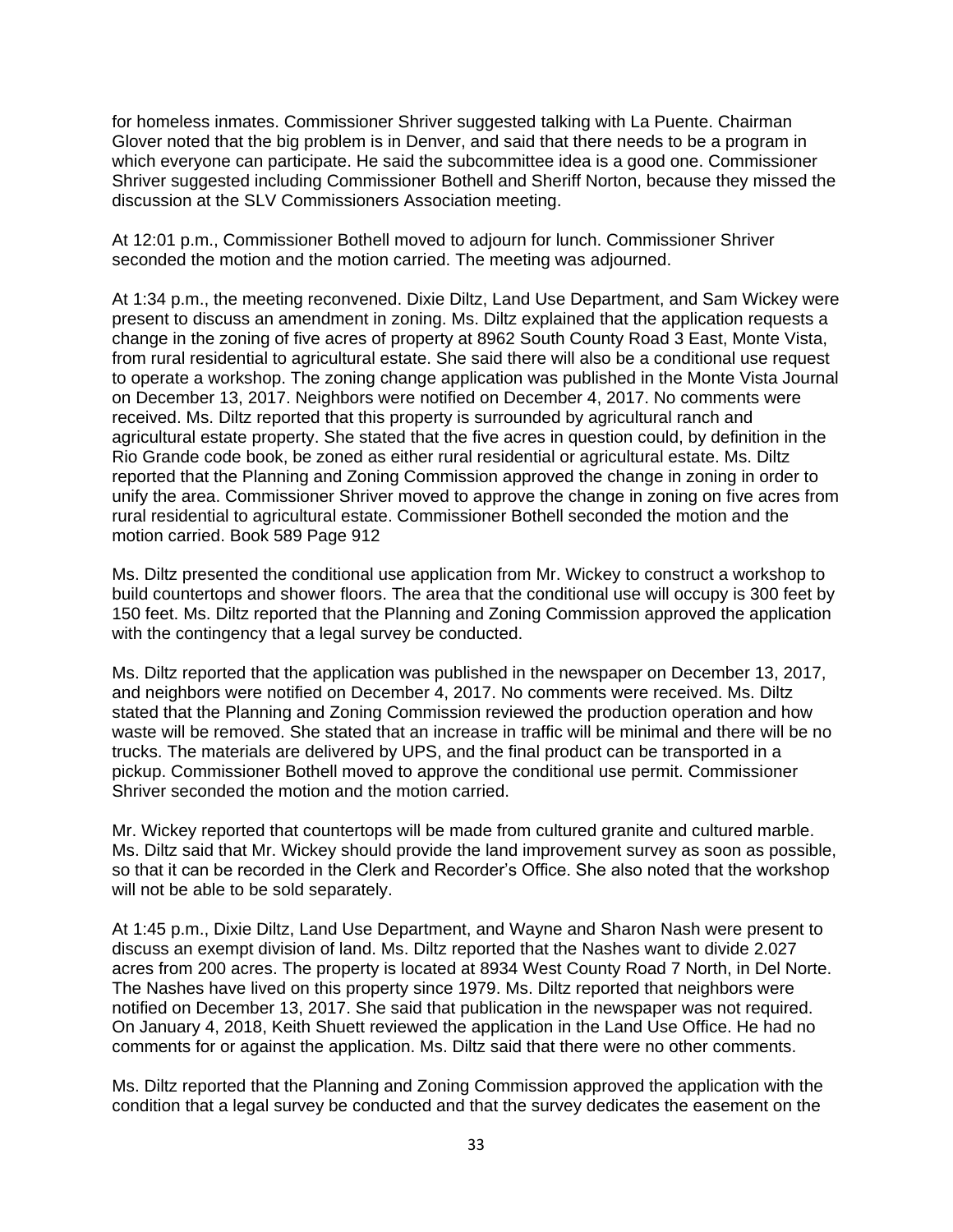for homeless inmates. Commissioner Shriver suggested talking with La Puente. Chairman Glover noted that the big problem is in Denver, and said that there needs to be a program in which everyone can participate. He said the subcommittee idea is a good one. Commissioner Shriver suggested including Commissioner Bothell and Sheriff Norton, because they missed the discussion at the SLV Commissioners Association meeting.

At 12:01 p.m., Commissioner Bothell moved to adjourn for lunch. Commissioner Shriver seconded the motion and the motion carried. The meeting was adjourned.

At 1:34 p.m., the meeting reconvened. Dixie Diltz, Land Use Department, and Sam Wickey were present to discuss an amendment in zoning. Ms. Diltz explained that the application requests a change in the zoning of five acres of property at 8962 South County Road 3 East, Monte Vista, from rural residential to agricultural estate. She said there will also be a conditional use request to operate a workshop. The zoning change application was published in the Monte Vista Journal on December 13, 2017. Neighbors were notified on December 4, 2017. No comments were received. Ms. Diltz reported that this property is surrounded by agricultural ranch and agricultural estate property. She stated that the five acres in question could, by definition in the Rio Grande code book, be zoned as either rural residential or agricultural estate. Ms. Diltz reported that the Planning and Zoning Commission approved the change in zoning in order to unify the area. Commissioner Shriver moved to approve the change in zoning on five acres from rural residential to agricultural estate. Commissioner Bothell seconded the motion and the motion carried. Book 589 Page 912

Ms. Diltz presented the conditional use application from Mr. Wickey to construct a workshop to build countertops and shower floors. The area that the conditional use will occupy is 300 feet by 150 feet. Ms. Diltz reported that the Planning and Zoning Commission approved the application with the contingency that a legal survey be conducted.

Ms. Diltz reported that the application was published in the newspaper on December 13, 2017, and neighbors were notified on December 4, 2017. No comments were received. Ms. Diltz stated that the Planning and Zoning Commission reviewed the production operation and how waste will be removed. She stated that an increase in traffic will be minimal and there will be no trucks. The materials are delivered by UPS, and the final product can be transported in a pickup. Commissioner Bothell moved to approve the conditional use permit. Commissioner Shriver seconded the motion and the motion carried.

Mr. Wickey reported that countertops will be made from cultured granite and cultured marble. Ms. Diltz said that Mr. Wickey should provide the land improvement survey as soon as possible, so that it can be recorded in the Clerk and Recorder's Office. She also noted that the workshop will not be able to be sold separately.

At 1:45 p.m., Dixie Diltz, Land Use Department, and Wayne and Sharon Nash were present to discuss an exempt division of land. Ms. Diltz reported that the Nashes want to divide 2.027 acres from 200 acres. The property is located at 8934 West County Road 7 North, in Del Norte. The Nashes have lived on this property since 1979. Ms. Diltz reported that neighbors were notified on December 13, 2017. She said that publication in the newspaper was not required. On January 4, 2018, Keith Shuett reviewed the application in the Land Use Office. He had no comments for or against the application. Ms. Diltz said that there were no other comments.

Ms. Diltz reported that the Planning and Zoning Commission approved the application with the condition that a legal survey be conducted and that the survey dedicates the easement on the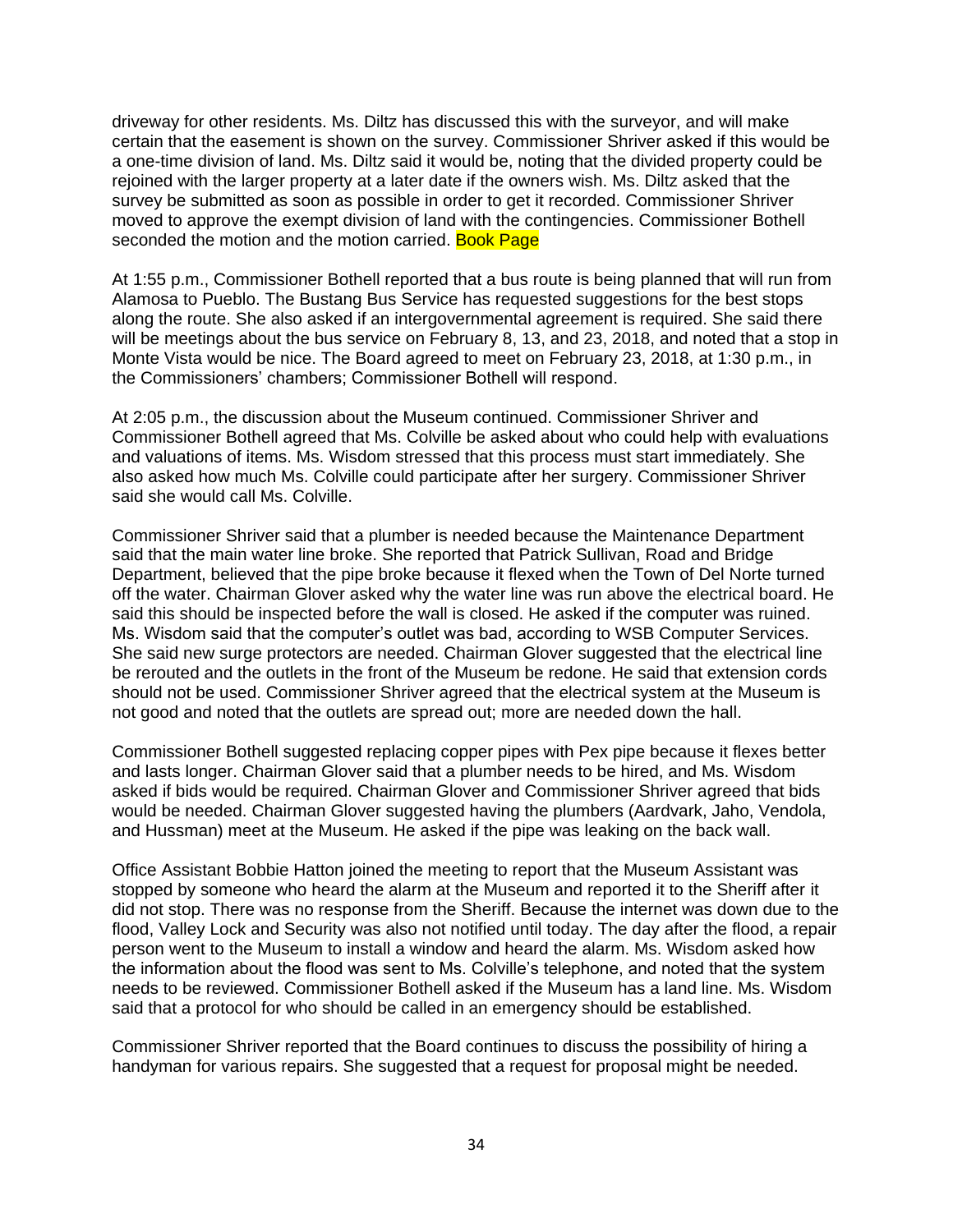driveway for other residents. Ms. Diltz has discussed this with the surveyor, and will make certain that the easement is shown on the survey. Commissioner Shriver asked if this would be a one-time division of land. Ms. Diltz said it would be, noting that the divided property could be rejoined with the larger property at a later date if the owners wish. Ms. Diltz asked that the survey be submitted as soon as possible in order to get it recorded. Commissioner Shriver moved to approve the exempt division of land with the contingencies. Commissioner Bothell seconded the motion and the motion carried. Book Page

At 1:55 p.m., Commissioner Bothell reported that a bus route is being planned that will run from Alamosa to Pueblo. The Bustang Bus Service has requested suggestions for the best stops along the route. She also asked if an intergovernmental agreement is required. She said there will be meetings about the bus service on February 8, 13, and 23, 2018, and noted that a stop in Monte Vista would be nice. The Board agreed to meet on February 23, 2018, at 1:30 p.m., in the Commissioners' chambers; Commissioner Bothell will respond.

At 2:05 p.m., the discussion about the Museum continued. Commissioner Shriver and Commissioner Bothell agreed that Ms. Colville be asked about who could help with evaluations and valuations of items. Ms. Wisdom stressed that this process must start immediately. She also asked how much Ms. Colville could participate after her surgery. Commissioner Shriver said she would call Ms. Colville.

Commissioner Shriver said that a plumber is needed because the Maintenance Department said that the main water line broke. She reported that Patrick Sullivan, Road and Bridge Department, believed that the pipe broke because it flexed when the Town of Del Norte turned off the water. Chairman Glover asked why the water line was run above the electrical board. He said this should be inspected before the wall is closed. He asked if the computer was ruined. Ms. Wisdom said that the computer's outlet was bad, according to WSB Computer Services. She said new surge protectors are needed. Chairman Glover suggested that the electrical line be rerouted and the outlets in the front of the Museum be redone. He said that extension cords should not be used. Commissioner Shriver agreed that the electrical system at the Museum is not good and noted that the outlets are spread out; more are needed down the hall.

Commissioner Bothell suggested replacing copper pipes with Pex pipe because it flexes better and lasts longer. Chairman Glover said that a plumber needs to be hired, and Ms. Wisdom asked if bids would be required. Chairman Glover and Commissioner Shriver agreed that bids would be needed. Chairman Glover suggested having the plumbers (Aardvark, Jaho, Vendola, and Hussman) meet at the Museum. He asked if the pipe was leaking on the back wall.

Office Assistant Bobbie Hatton joined the meeting to report that the Museum Assistant was stopped by someone who heard the alarm at the Museum and reported it to the Sheriff after it did not stop. There was no response from the Sheriff. Because the internet was down due to the flood, Valley Lock and Security was also not notified until today. The day after the flood, a repair person went to the Museum to install a window and heard the alarm. Ms. Wisdom asked how the information about the flood was sent to Ms. Colville's telephone, and noted that the system needs to be reviewed. Commissioner Bothell asked if the Museum has a land line. Ms. Wisdom said that a protocol for who should be called in an emergency should be established.

Commissioner Shriver reported that the Board continues to discuss the possibility of hiring a handyman for various repairs. She suggested that a request for proposal might be needed.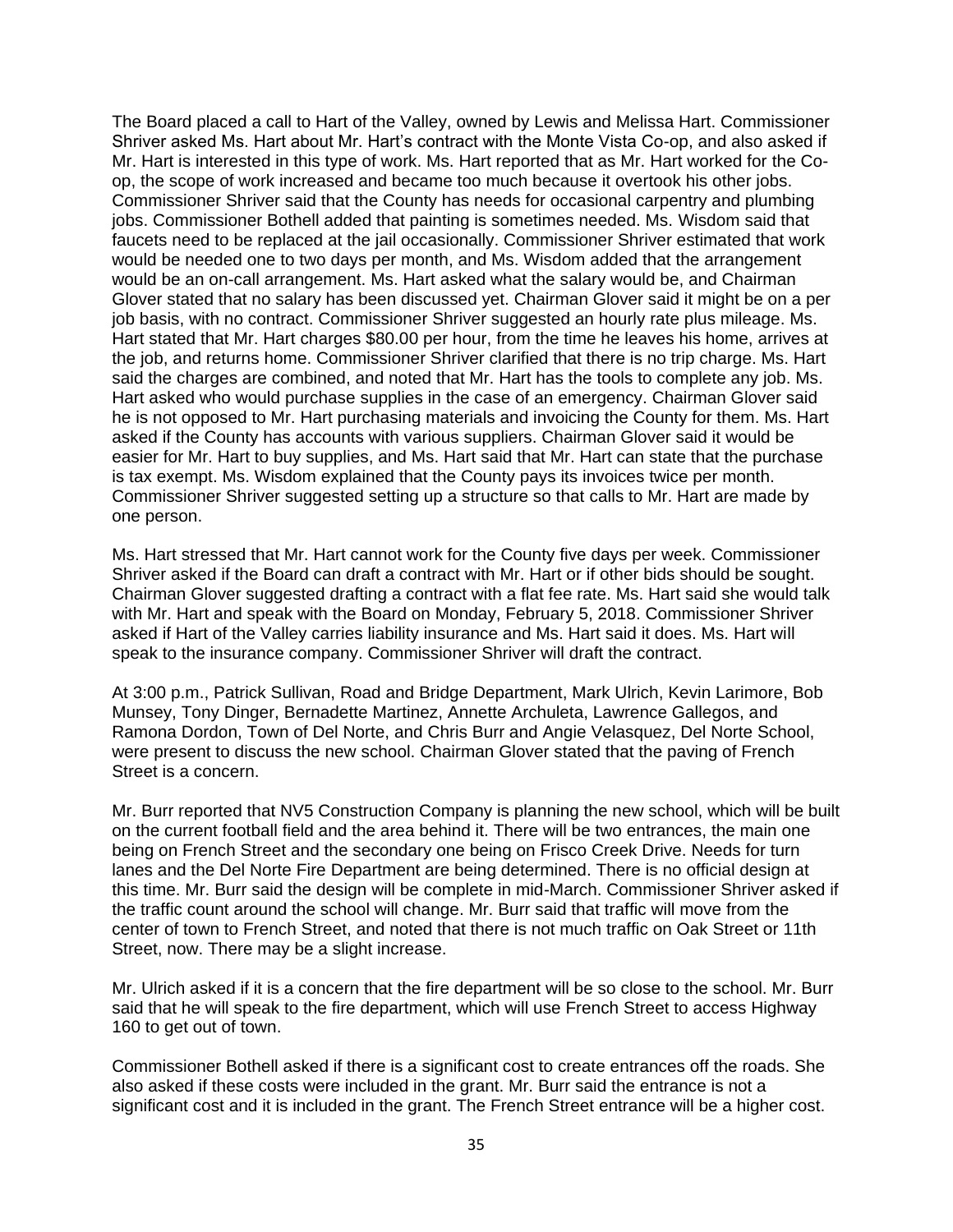The Board placed a call to Hart of the Valley, owned by Lewis and Melissa Hart. Commissioner Shriver asked Ms. Hart about Mr. Hart's contract with the Monte Vista Co-op, and also asked if Mr. Hart is interested in this type of work. Ms. Hart reported that as Mr. Hart worked for the Coop, the scope of work increased and became too much because it overtook his other jobs. Commissioner Shriver said that the County has needs for occasional carpentry and plumbing jobs. Commissioner Bothell added that painting is sometimes needed. Ms. Wisdom said that faucets need to be replaced at the jail occasionally. Commissioner Shriver estimated that work would be needed one to two days per month, and Ms. Wisdom added that the arrangement would be an on-call arrangement. Ms. Hart asked what the salary would be, and Chairman Glover stated that no salary has been discussed yet. Chairman Glover said it might be on a per job basis, with no contract. Commissioner Shriver suggested an hourly rate plus mileage. Ms. Hart stated that Mr. Hart charges \$80.00 per hour, from the time he leaves his home, arrives at the job, and returns home. Commissioner Shriver clarified that there is no trip charge. Ms. Hart said the charges are combined, and noted that Mr. Hart has the tools to complete any job. Ms. Hart asked who would purchase supplies in the case of an emergency. Chairman Glover said he is not opposed to Mr. Hart purchasing materials and invoicing the County for them. Ms. Hart asked if the County has accounts with various suppliers. Chairman Glover said it would be easier for Mr. Hart to buy supplies, and Ms. Hart said that Mr. Hart can state that the purchase is tax exempt. Ms. Wisdom explained that the County pays its invoices twice per month. Commissioner Shriver suggested setting up a structure so that calls to Mr. Hart are made by one person.

Ms. Hart stressed that Mr. Hart cannot work for the County five days per week. Commissioner Shriver asked if the Board can draft a contract with Mr. Hart or if other bids should be sought. Chairman Glover suggested drafting a contract with a flat fee rate. Ms. Hart said she would talk with Mr. Hart and speak with the Board on Monday, February 5, 2018. Commissioner Shriver asked if Hart of the Valley carries liability insurance and Ms. Hart said it does. Ms. Hart will speak to the insurance company. Commissioner Shriver will draft the contract.

At 3:00 p.m., Patrick Sullivan, Road and Bridge Department, Mark Ulrich, Kevin Larimore, Bob Munsey, Tony Dinger, Bernadette Martinez, Annette Archuleta, Lawrence Gallegos, and Ramona Dordon, Town of Del Norte, and Chris Burr and Angie Velasquez, Del Norte School, were present to discuss the new school. Chairman Glover stated that the paving of French Street is a concern.

Mr. Burr reported that NV5 Construction Company is planning the new school, which will be built on the current football field and the area behind it. There will be two entrances, the main one being on French Street and the secondary one being on Frisco Creek Drive. Needs for turn lanes and the Del Norte Fire Department are being determined. There is no official design at this time. Mr. Burr said the design will be complete in mid-March. Commissioner Shriver asked if the traffic count around the school will change. Mr. Burr said that traffic will move from the center of town to French Street, and noted that there is not much traffic on Oak Street or 11th Street, now. There may be a slight increase.

Mr. Ulrich asked if it is a concern that the fire department will be so close to the school. Mr. Burr said that he will speak to the fire department, which will use French Street to access Highway 160 to get out of town.

Commissioner Bothell asked if there is a significant cost to create entrances off the roads. She also asked if these costs were included in the grant. Mr. Burr said the entrance is not a significant cost and it is included in the grant. The French Street entrance will be a higher cost.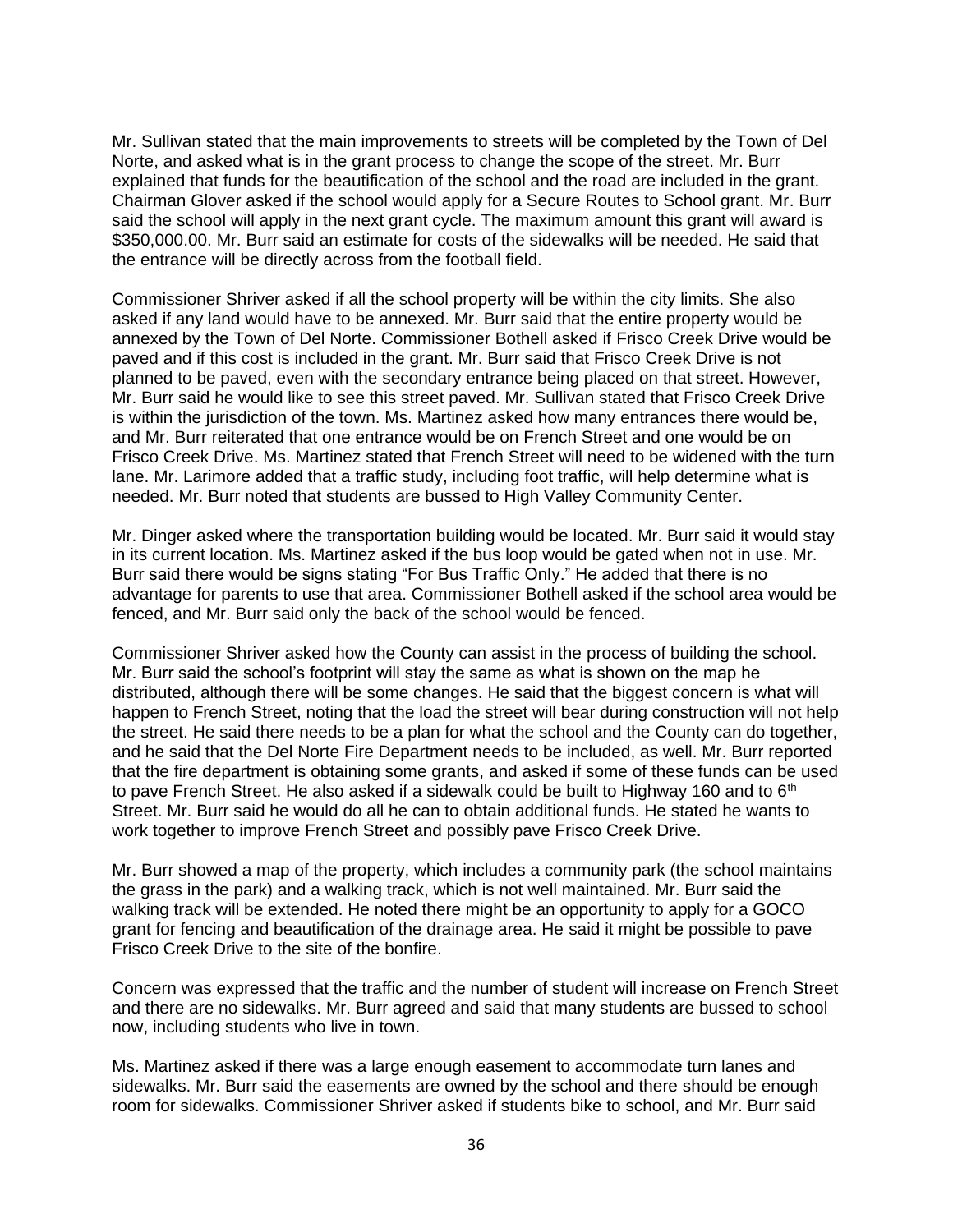Mr. Sullivan stated that the main improvements to streets will be completed by the Town of Del Norte, and asked what is in the grant process to change the scope of the street. Mr. Burr explained that funds for the beautification of the school and the road are included in the grant. Chairman Glover asked if the school would apply for a Secure Routes to School grant. Mr. Burr said the school will apply in the next grant cycle. The maximum amount this grant will award is \$350,000.00. Mr. Burr said an estimate for costs of the sidewalks will be needed. He said that the entrance will be directly across from the football field.

Commissioner Shriver asked if all the school property will be within the city limits. She also asked if any land would have to be annexed. Mr. Burr said that the entire property would be annexed by the Town of Del Norte. Commissioner Bothell asked if Frisco Creek Drive would be paved and if this cost is included in the grant. Mr. Burr said that Frisco Creek Drive is not planned to be paved, even with the secondary entrance being placed on that street. However, Mr. Burr said he would like to see this street paved. Mr. Sullivan stated that Frisco Creek Drive is within the jurisdiction of the town. Ms. Martinez asked how many entrances there would be, and Mr. Burr reiterated that one entrance would be on French Street and one would be on Frisco Creek Drive. Ms. Martinez stated that French Street will need to be widened with the turn lane. Mr. Larimore added that a traffic study, including foot traffic, will help determine what is needed. Mr. Burr noted that students are bussed to High Valley Community Center.

Mr. Dinger asked where the transportation building would be located. Mr. Burr said it would stay in its current location. Ms. Martinez asked if the bus loop would be gated when not in use. Mr. Burr said there would be signs stating "For Bus Traffic Only." He added that there is no advantage for parents to use that area. Commissioner Bothell asked if the school area would be fenced, and Mr. Burr said only the back of the school would be fenced.

Commissioner Shriver asked how the County can assist in the process of building the school. Mr. Burr said the school's footprint will stay the same as what is shown on the map he distributed, although there will be some changes. He said that the biggest concern is what will happen to French Street, noting that the load the street will bear during construction will not help the street. He said there needs to be a plan for what the school and the County can do together, and he said that the Del Norte Fire Department needs to be included, as well. Mr. Burr reported that the fire department is obtaining some grants, and asked if some of these funds can be used to pave French Street. He also asked if a sidewalk could be built to Highway 160 and to  $6<sup>th</sup>$ Street. Mr. Burr said he would do all he can to obtain additional funds. He stated he wants to work together to improve French Street and possibly pave Frisco Creek Drive.

Mr. Burr showed a map of the property, which includes a community park (the school maintains the grass in the park) and a walking track, which is not well maintained. Mr. Burr said the walking track will be extended. He noted there might be an opportunity to apply for a GOCO grant for fencing and beautification of the drainage area. He said it might be possible to pave Frisco Creek Drive to the site of the bonfire.

Concern was expressed that the traffic and the number of student will increase on French Street and there are no sidewalks. Mr. Burr agreed and said that many students are bussed to school now, including students who live in town.

Ms. Martinez asked if there was a large enough easement to accommodate turn lanes and sidewalks. Mr. Burr said the easements are owned by the school and there should be enough room for sidewalks. Commissioner Shriver asked if students bike to school, and Mr. Burr said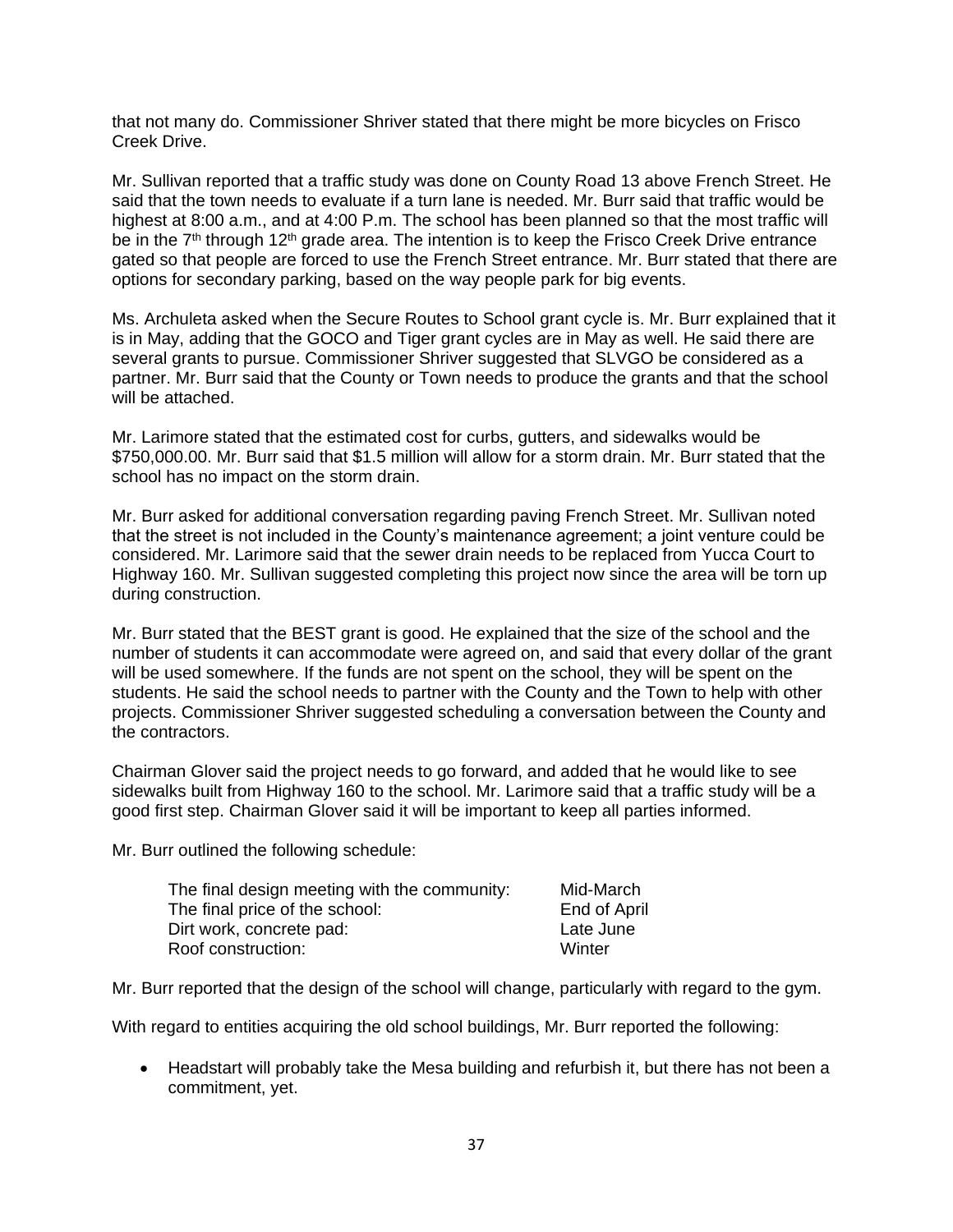that not many do. Commissioner Shriver stated that there might be more bicycles on Frisco Creek Drive.

Mr. Sullivan reported that a traffic study was done on County Road 13 above French Street. He said that the town needs to evaluate if a turn lane is needed. Mr. Burr said that traffic would be highest at 8:00 a.m., and at 4:00 P.m. The school has been planned so that the most traffic will be in the 7<sup>th</sup> through 12<sup>th</sup> grade area. The intention is to keep the Frisco Creek Drive entrance gated so that people are forced to use the French Street entrance. Mr. Burr stated that there are options for secondary parking, based on the way people park for big events.

Ms. Archuleta asked when the Secure Routes to School grant cycle is. Mr. Burr explained that it is in May, adding that the GOCO and Tiger grant cycles are in May as well. He said there are several grants to pursue. Commissioner Shriver suggested that SLVGO be considered as a partner. Mr. Burr said that the County or Town needs to produce the grants and that the school will be attached.

Mr. Larimore stated that the estimated cost for curbs, gutters, and sidewalks would be \$750,000.00. Mr. Burr said that \$1.5 million will allow for a storm drain. Mr. Burr stated that the school has no impact on the storm drain.

Mr. Burr asked for additional conversation regarding paving French Street. Mr. Sullivan noted that the street is not included in the County's maintenance agreement; a joint venture could be considered. Mr. Larimore said that the sewer drain needs to be replaced from Yucca Court to Highway 160. Mr. Sullivan suggested completing this project now since the area will be torn up during construction.

Mr. Burr stated that the BEST grant is good. He explained that the size of the school and the number of students it can accommodate were agreed on, and said that every dollar of the grant will be used somewhere. If the funds are not spent on the school, they will be spent on the students. He said the school needs to partner with the County and the Town to help with other projects. Commissioner Shriver suggested scheduling a conversation between the County and the contractors.

Chairman Glover said the project needs to go forward, and added that he would like to see sidewalks built from Highway 160 to the school. Mr. Larimore said that a traffic study will be a good first step. Chairman Glover said it will be important to keep all parties informed.

Mr. Burr outlined the following schedule:

| The final design meeting with the community: | Mid-March    |
|----------------------------------------------|--------------|
| The final price of the school:               | End of April |
| Dirt work, concrete pad:                     | Late June    |
| Roof construction:                           | Winter       |

Mr. Burr reported that the design of the school will change, particularly with regard to the gym.

With regard to entities acquiring the old school buildings, Mr. Burr reported the following:

• Headstart will probably take the Mesa building and refurbish it, but there has not been a commitment, yet.